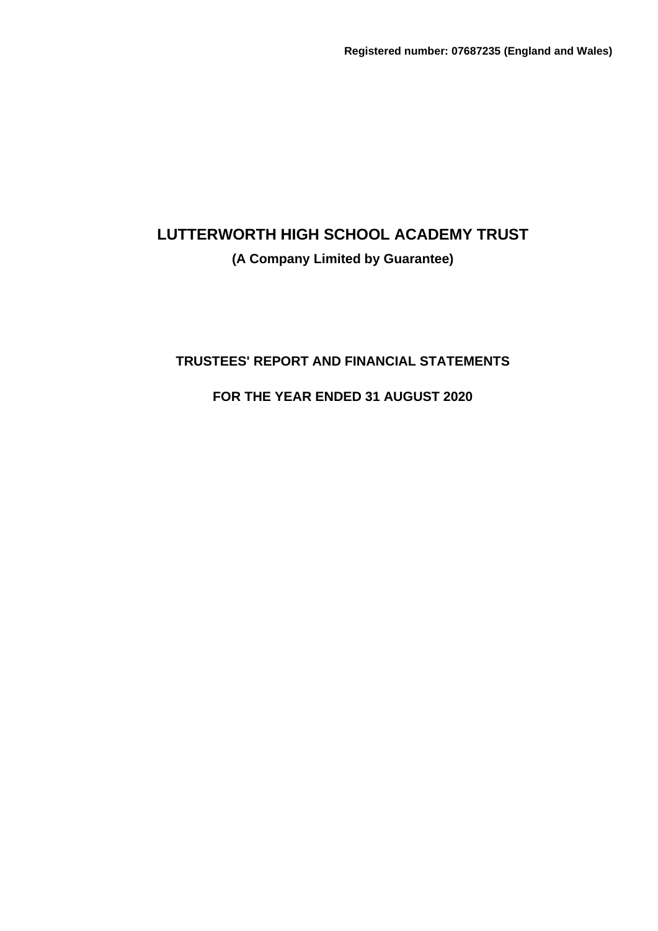**(A Company Limited by Guarantee)**

## **TRUSTEES' REPORT AND FINANCIAL STATEMENTS**

**FOR THE YEAR ENDED 31 AUGUST 2020**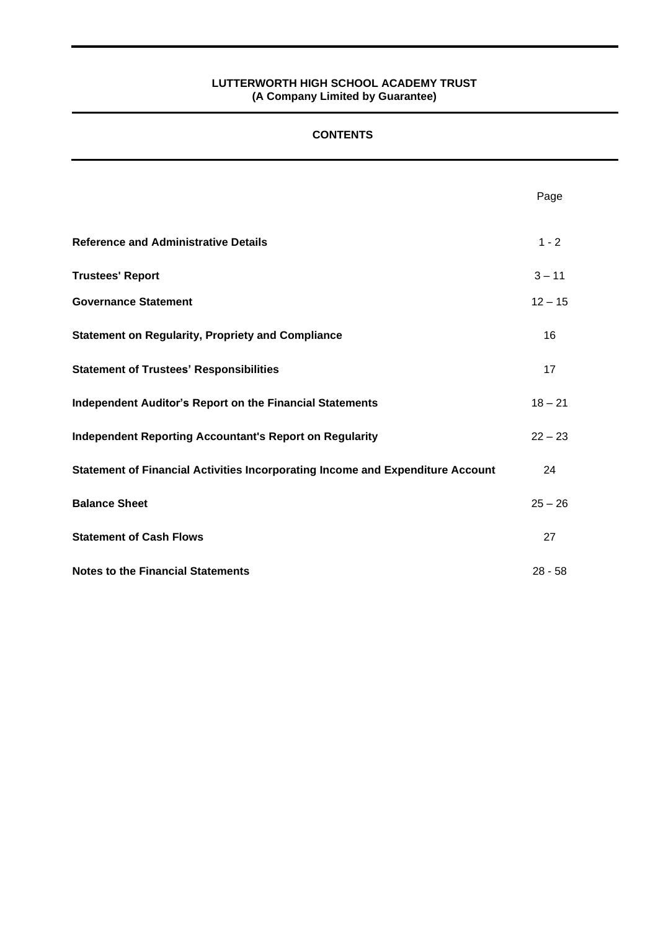#### **CONTENTS**

|                                                                                | Page      |
|--------------------------------------------------------------------------------|-----------|
| <b>Reference and Administrative Details</b>                                    | $1 - 2$   |
| <b>Trustees' Report</b>                                                        | $3 - 11$  |
| <b>Governance Statement</b>                                                    | $12 - 15$ |
| <b>Statement on Regularity, Propriety and Compliance</b>                       | 16        |
| <b>Statement of Trustees' Responsibilities</b>                                 | 17        |
| <b>Independent Auditor's Report on the Financial Statements</b>                | $18 - 21$ |
| <b>Independent Reporting Accountant's Report on Regularity</b>                 | $22 - 23$ |
| Statement of Financial Activities Incorporating Income and Expenditure Account | 24        |
| <b>Balance Sheet</b>                                                           | $25 - 26$ |
| <b>Statement of Cash Flows</b>                                                 | 27        |
| <b>Notes to the Financial Statements</b>                                       | $28 - 58$ |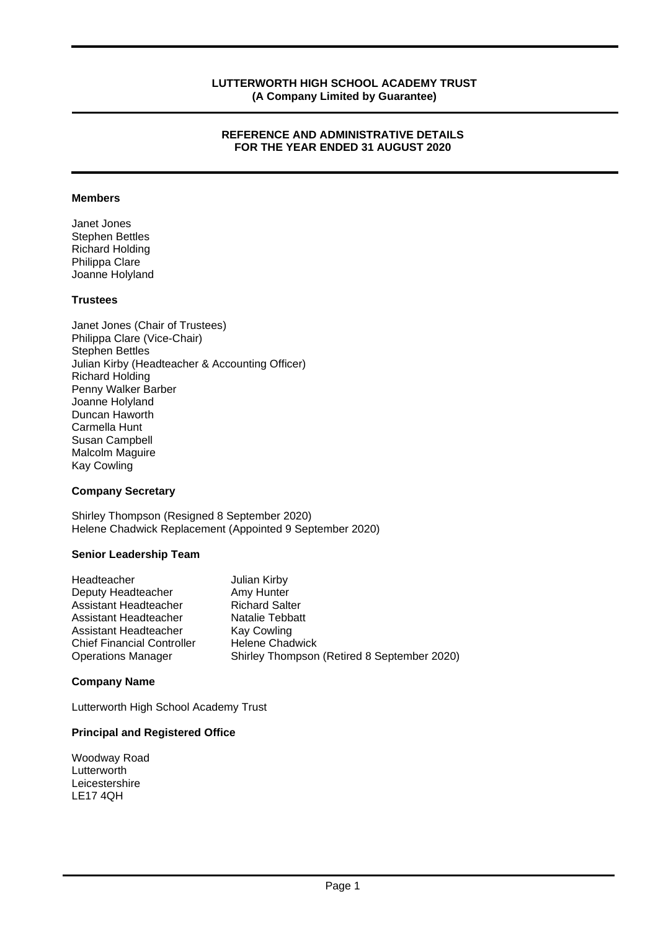#### **REFERENCE AND ADMINISTRATIVE DETAILS FOR THE YEAR ENDED 31 AUGUST 2020**

#### **Members**

Janet Jones Stephen Bettles Richard Holding Philippa Clare Joanne Holyland

#### **Trustees**

Janet Jones (Chair of Trustees) Philippa Clare (Vice-Chair) Stephen Bettles Julian Kirby (Headteacher & Accounting Officer) Richard Holding Penny Walker Barber Joanne Holyland Duncan Haworth Carmella Hunt Susan Campbell Malcolm Maguire Kay Cowling

#### **Company Secretary**

Shirley Thompson (Resigned 8 September 2020) Helene Chadwick Replacement (Appointed 9 September 2020)

#### **Senior Leadership Team**

| Headteacher                       | Julian Kirby                                |
|-----------------------------------|---------------------------------------------|
| Deputy Headteacher                | Amy Hunter                                  |
| Assistant Headteacher             | <b>Richard Salter</b>                       |
| Assistant Headteacher             | Natalie Tebbatt                             |
| Assistant Headteacher             | <b>Kay Cowling</b>                          |
| <b>Chief Financial Controller</b> | <b>Helene Chadwick</b>                      |
| <b>Operations Manager</b>         | Shirley Thompson (Retired 8 September 2020) |

#### **Company Name**

Lutterworth High School Academy Trust

#### **Principal and Registered Office**

Woodway Road **Lutterworth** Leicestershire LE17 4QH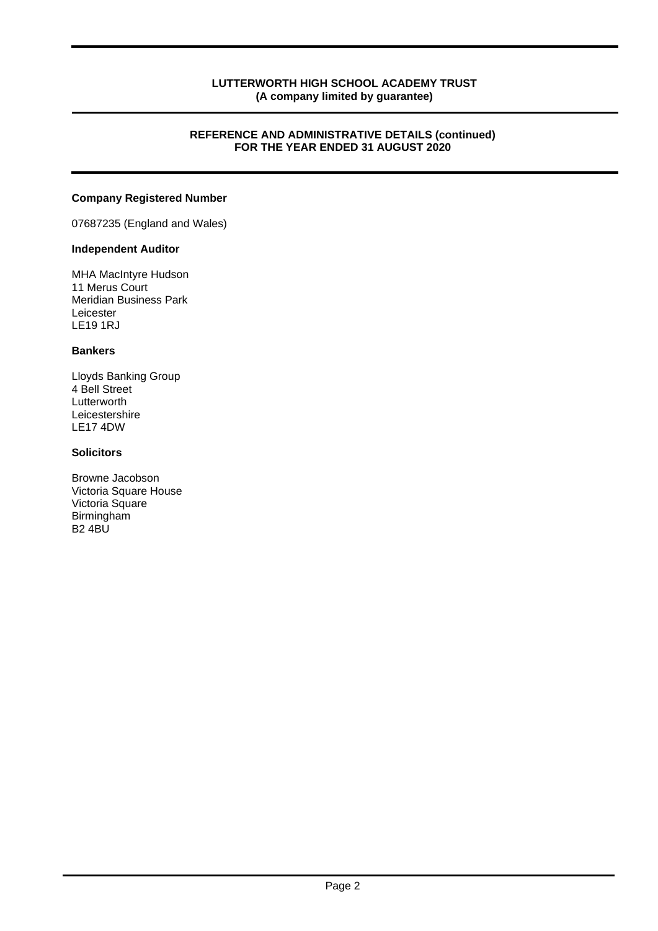#### **REFERENCE AND ADMINISTRATIVE DETAILS (continued) FOR THE YEAR ENDED 31 AUGUST 2020**

#### **Company Registered Number**

07687235 (England and Wales)

#### **Independent Auditor**

MHA MacIntyre Hudson 11 Merus Court Meridian Business Park Leicester LE19 1RJ

#### **Bankers**

Lloyds Banking Group 4 Bell Street Lutterworth Leicestershire LE17 4DW

#### **Solicitors**

Browne Jacobson Victoria Square House Victoria Square Birmingham B2 4BU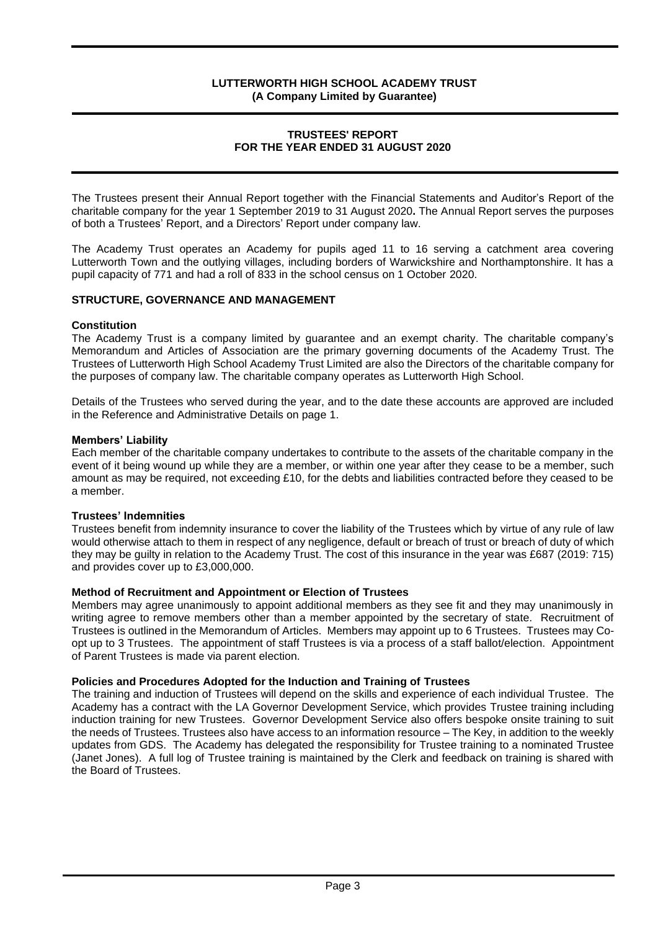#### **TRUSTEES' REPORT FOR THE YEAR ENDED 31 AUGUST 2020**

The Trustees present their Annual Report together with the Financial Statements and Auditor's Report of the charitable company for the year 1 September 2019 to 31 August 2020**.** The Annual Report serves the purposes of both a Trustees' Report, and a Directors' Report under company law.

The Academy Trust operates an Academy for pupils aged 11 to 16 serving a catchment area covering Lutterworth Town and the outlying villages, including borders of Warwickshire and Northamptonshire. It has a pupil capacity of 771 and had a roll of 833 in the school census on 1 October 2020.

#### **STRUCTURE, GOVERNANCE AND MANAGEMENT**

#### **Constitution**

The Academy Trust is a company limited by guarantee and an exempt charity. The charitable company's Memorandum and Articles of Association are the primary governing documents of the Academy Trust. The Trustees of Lutterworth High School Academy Trust Limited are also the Directors of the charitable company for the purposes of company law. The charitable company operates as Lutterworth High School.

Details of the Trustees who served during the year, and to the date these accounts are approved are included in the Reference and Administrative Details on page 1.

#### **Members' Liability**

Each member of the charitable company undertakes to contribute to the assets of the charitable company in the event of it being wound up while they are a member, or within one year after they cease to be a member, such amount as may be required, not exceeding £10, for the debts and liabilities contracted before they ceased to be a member.

#### **Trustees' Indemnities**

Trustees benefit from indemnity insurance to cover the liability of the Trustees which by virtue of any rule of law would otherwise attach to them in respect of any negligence, default or breach of trust or breach of duty of which they may be guilty in relation to the Academy Trust. The cost of this insurance in the year was £687 (2019: 715) and provides cover up to £3,000,000.

#### **Method of Recruitment and Appointment or Election of Trustees**

Members may agree unanimously to appoint additional members as they see fit and they may unanimously in writing agree to remove members other than a member appointed by the secretary of state. Recruitment of Trustees is outlined in the Memorandum of Articles. Members may appoint up to 6 Trustees. Trustees may Coopt up to 3 Trustees. The appointment of staff Trustees is via a process of a staff ballot/election. Appointment of Parent Trustees is made via parent election.

#### **Policies and Procedures Adopted for the Induction and Training of Trustees**

The training and induction of Trustees will depend on the skills and experience of each individual Trustee. The Academy has a contract with the LA Governor Development Service, which provides Trustee training including induction training for new Trustees. Governor Development Service also offers bespoke onsite training to suit the needs of Trustees. Trustees also have access to an information resource – The Key, in addition to the weekly updates from GDS. The Academy has delegated the responsibility for Trustee training to a nominated Trustee (Janet Jones). A full log of Trustee training is maintained by the Clerk and feedback on training is shared with the Board of Trustees.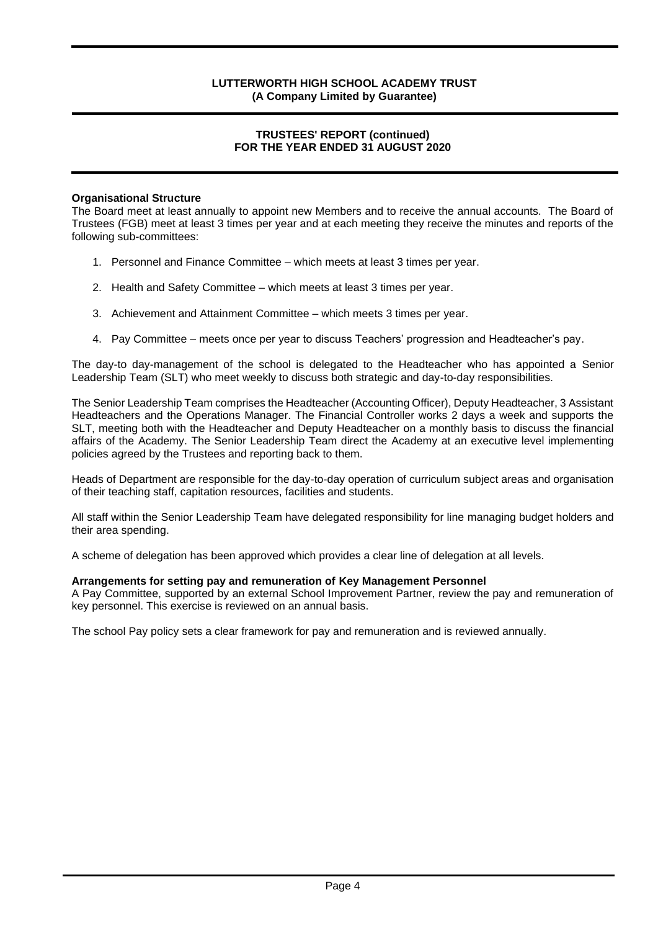#### **TRUSTEES' REPORT (continued) FOR THE YEAR ENDED 31 AUGUST 2020**

#### **Organisational Structure**

The Board meet at least annually to appoint new Members and to receive the annual accounts. The Board of Trustees (FGB) meet at least 3 times per year and at each meeting they receive the minutes and reports of the following sub-committees:

- 1. Personnel and Finance Committee which meets at least 3 times per year.
- 2. Health and Safety Committee which meets at least 3 times per year.
- 3. Achievement and Attainment Committee which meets 3 times per year.
- 4. Pay Committee meets once per year to discuss Teachers' progression and Headteacher's pay.

The day-to day-management of the school is delegated to the Headteacher who has appointed a Senior Leadership Team (SLT) who meet weekly to discuss both strategic and day-to-day responsibilities.

The Senior Leadership Team comprises the Headteacher (Accounting Officer), Deputy Headteacher, 3 Assistant Headteachers and the Operations Manager. The Financial Controller works 2 days a week and supports the SLT, meeting both with the Headteacher and Deputy Headteacher on a monthly basis to discuss the financial affairs of the Academy. The Senior Leadership Team direct the Academy at an executive level implementing policies agreed by the Trustees and reporting back to them.

Heads of Department are responsible for the day-to-day operation of curriculum subject areas and organisation of their teaching staff, capitation resources, facilities and students.

All staff within the Senior Leadership Team have delegated responsibility for line managing budget holders and their area spending.

A scheme of delegation has been approved which provides a clear line of delegation at all levels.

#### **Arrangements for setting pay and remuneration of Key Management Personnel**

A Pay Committee, supported by an external School Improvement Partner, review the pay and remuneration of key personnel. This exercise is reviewed on an annual basis.

The school Pay policy sets a clear framework for pay and remuneration and is reviewed annually.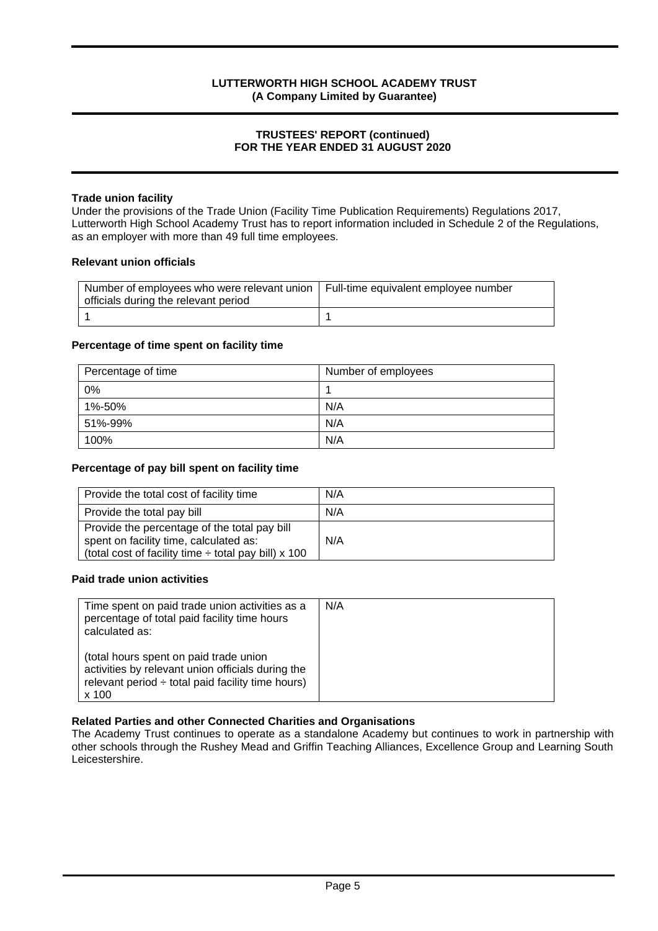#### **TRUSTEES' REPORT (continued) FOR THE YEAR ENDED 31 AUGUST 2020**

#### **Trade union facility**

Under the provisions of the Trade Union (Facility Time Publication Requirements) Regulations 2017, Lutterworth High School Academy Trust has to report information included in Schedule 2 of the Regulations, as an employer with more than 49 full time employees.

#### **Relevant union officials**

| Number of employees who were relevant union   Full-time equivalent employee number<br>officials during the relevant period |  |
|----------------------------------------------------------------------------------------------------------------------------|--|
|                                                                                                                            |  |

#### **Percentage of time spent on facility time**

| Percentage of time | Number of employees |
|--------------------|---------------------|
| 0%                 |                     |
| 1%-50%             | N/A                 |
| 51%-99%            | N/A                 |
| 100%               | N/A                 |

#### **Percentage of pay bill spent on facility time**

| Provide the total cost of facility time                                                                                                             | N/A |
|-----------------------------------------------------------------------------------------------------------------------------------------------------|-----|
| Provide the total pay bill                                                                                                                          | N/A |
| Provide the percentage of the total pay bill<br>spent on facility time, calculated as:<br>(total cost of facility time $\div$ total pay bill) x 100 | N/A |

#### **Paid trade union activities**

| Time spent on paid trade union activities as a<br>percentage of total paid facility time hours<br>calculated as:                                               | N/A |
|----------------------------------------------------------------------------------------------------------------------------------------------------------------|-----|
| (total hours spent on paid trade union<br>activities by relevant union officials during the<br>relevant period $\div$ total paid facility time hours)<br>x 100 |     |

#### **Related Parties and other Connected Charities and Organisations**

The Academy Trust continues to operate as a standalone Academy but continues to work in partnership with other schools through the Rushey Mead and Griffin Teaching Alliances, Excellence Group and Learning South Leicestershire.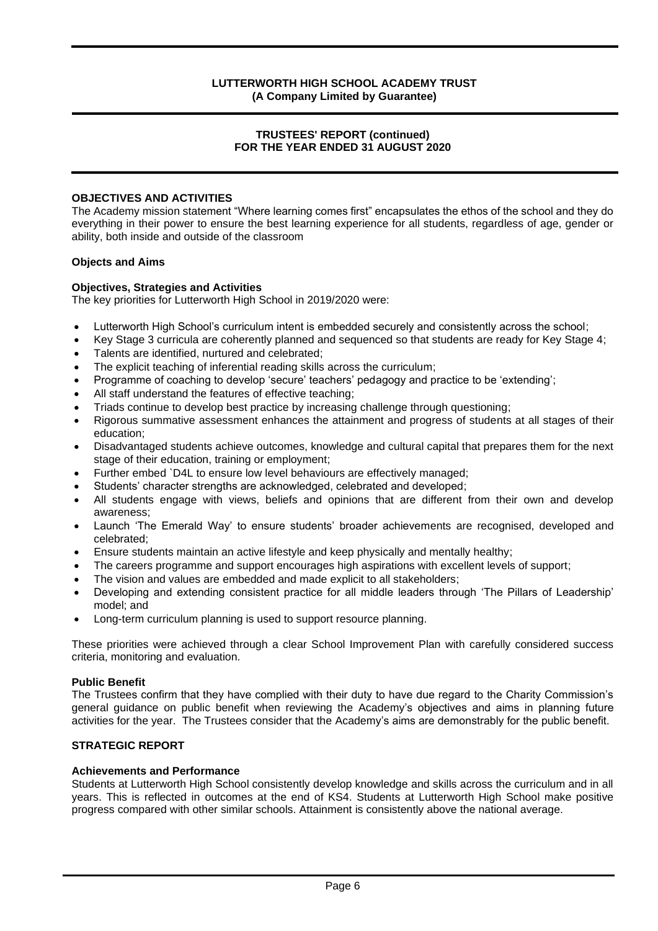#### **TRUSTEES' REPORT (continued) FOR THE YEAR ENDED 31 AUGUST 2020**

#### **OBJECTIVES AND ACTIVITIES**

The Academy mission statement "Where learning comes first" encapsulates the ethos of the school and they do everything in their power to ensure the best learning experience for all students, regardless of age, gender or ability, both inside and outside of the classroom

#### **Objects and Aims**

#### **Objectives, Strategies and Activities**

The key priorities for Lutterworth High School in 2019/2020 were:

- Lutterworth High School's curriculum intent is embedded securely and consistently across the school;
- Key Stage 3 curricula are coherently planned and sequenced so that students are ready for Key Stage 4;
- Talents are identified, nurtured and celebrated;
- The explicit teaching of inferential reading skills across the curriculum;
- Programme of coaching to develop 'secure' teachers' pedagogy and practice to be 'extending';
- All staff understand the features of effective teaching;
- Triads continue to develop best practice by increasing challenge through questioning;
- Rigorous summative assessment enhances the attainment and progress of students at all stages of their education;
- Disadvantaged students achieve outcomes, knowledge and cultural capital that prepares them for the next stage of their education, training or employment;
- Further embed `D4L to ensure low level behaviours are effectively managed;
- Students' character strengths are acknowledged, celebrated and developed;
- All students engage with views, beliefs and opinions that are different from their own and develop awareness;
- Launch 'The Emerald Way' to ensure students' broader achievements are recognised, developed and celebrated;
- Ensure students maintain an active lifestyle and keep physically and mentally healthy;
- The careers programme and support encourages high aspirations with excellent levels of support;
- The vision and values are embedded and made explicit to all stakeholders;
- Developing and extending consistent practice for all middle leaders through 'The Pillars of Leadership' model; and
- Long-term curriculum planning is used to support resource planning.

These priorities were achieved through a clear School Improvement Plan with carefully considered success criteria, monitoring and evaluation.

#### **Public Benefit**

The Trustees confirm that they have complied with their duty to have due regard to the Charity Commission's general guidance on public benefit when reviewing the Academy's objectives and aims in planning future activities for the year. The Trustees consider that the Academy's aims are demonstrably for the public benefit.

#### **STRATEGIC REPORT**

#### **Achievements and Performance**

Students at Lutterworth High School consistently develop knowledge and skills across the curriculum and in all years. This is reflected in outcomes at the end of KS4. Students at Lutterworth High School make positive progress compared with other similar schools. Attainment is consistently above the national average.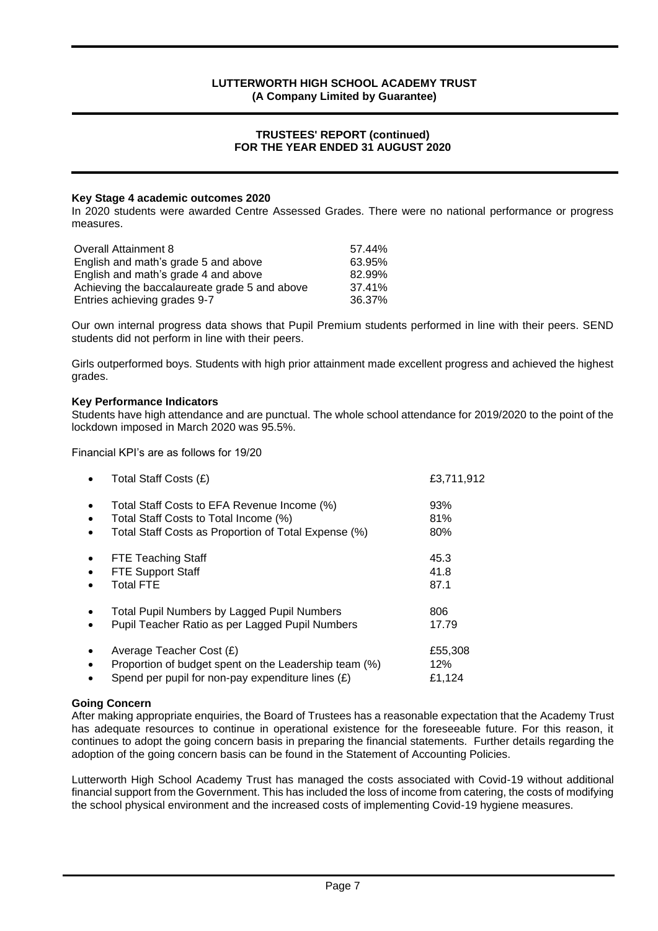#### **TRUSTEES' REPORT (continued) FOR THE YEAR ENDED 31 AUGUST 2020**

#### **Key Stage 4 academic outcomes 2020**

In 2020 students were awarded Centre Assessed Grades. There were no national performance or progress measures.

| <b>Overall Attainment 8</b>                   | 57.44% |
|-----------------------------------------------|--------|
| English and math's grade 5 and above          | 63.95% |
| English and math's grade 4 and above          | 82.99% |
| Achieving the baccalaureate grade 5 and above | 37.41% |
| Entries achieving grades 9-7                  | 36.37% |

Our own internal progress data shows that Pupil Premium students performed in line with their peers. SEND students did not perform in line with their peers.

Girls outperformed boys. Students with high prior attainment made excellent progress and achieved the highest grades.

#### **Key Performance Indicators**

Students have high attendance and are punctual. The whole school attendance for 2019/2020 to the point of the lockdown imposed in March 2020 was 95.5%.

Financial KPI's are as follows for 19/20

|                        | Total Staff Costs (£)                                                                                                                        | £3,711,912               |
|------------------------|----------------------------------------------------------------------------------------------------------------------------------------------|--------------------------|
| $\bullet$<br>$\bullet$ | Total Staff Costs to EFA Revenue Income (%)<br>Total Staff Costs to Total Income (%)<br>Total Staff Costs as Proportion of Total Expense (%) | 93%<br>81%<br>80%        |
| $\bullet$              | <b>FTE Teaching Staff</b><br><b>FTE Support Staff</b><br><b>Total FTE</b>                                                                    | 45.3<br>41.8<br>87.1     |
|                        | <b>Total Pupil Numbers by Lagged Pupil Numbers</b><br>Pupil Teacher Ratio as per Lagged Pupil Numbers                                        | 806<br>17.79             |
|                        | Average Teacher Cost (£)<br>Proportion of budget spent on the Leadership team (%)<br>Spend per pupil for non-pay expenditure lines $(E)$     | £55,308<br>12%<br>£1,124 |

#### **Going Concern**

After making appropriate enquiries, the Board of Trustees has a reasonable expectation that the Academy Trust has adequate resources to continue in operational existence for the foreseeable future. For this reason, it continues to adopt the going concern basis in preparing the financial statements. Further details regarding the adoption of the going concern basis can be found in the Statement of Accounting Policies.

Lutterworth High School Academy Trust has managed the costs associated with Covid-19 without additional financial support from the Government. This has included the loss of income from catering, the costs of modifying the school physical environment and the increased costs of implementing Covid-19 hygiene measures.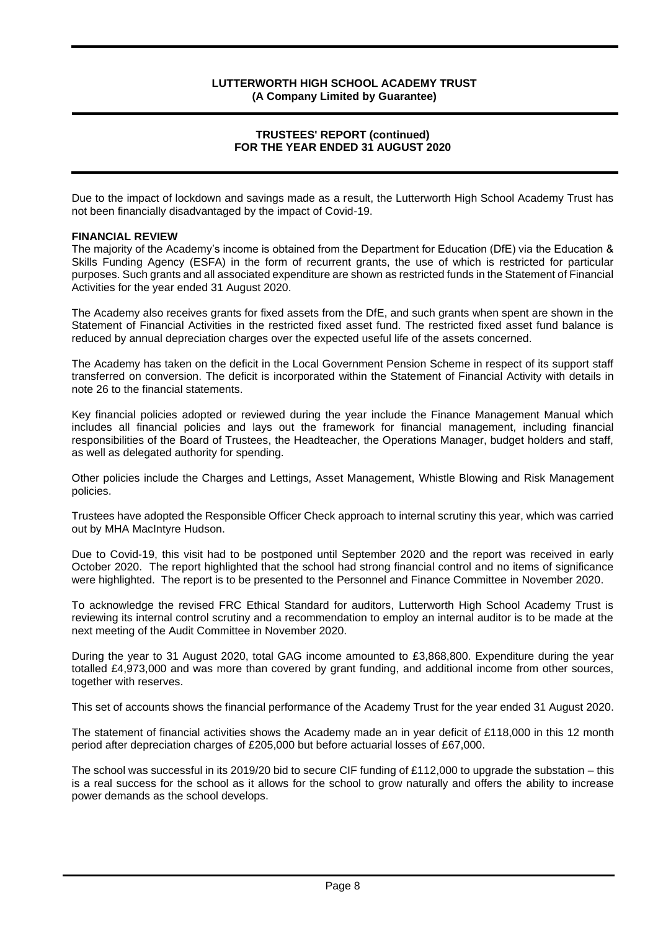#### **TRUSTEES' REPORT (continued) FOR THE YEAR ENDED 31 AUGUST 2020**

Due to the impact of lockdown and savings made as a result, the Lutterworth High School Academy Trust has not been financially disadvantaged by the impact of Covid-19.

#### **FINANCIAL REVIEW**

The majority of the Academy's income is obtained from the Department for Education (DfE) via the Education & Skills Funding Agency (ESFA) in the form of recurrent grants, the use of which is restricted for particular purposes. Such grants and all associated expenditure are shown as restricted funds in the Statement of Financial Activities for the year ended 31 August 2020.

The Academy also receives grants for fixed assets from the DfE, and such grants when spent are shown in the Statement of Financial Activities in the restricted fixed asset fund. The restricted fixed asset fund balance is reduced by annual depreciation charges over the expected useful life of the assets concerned.

The Academy has taken on the deficit in the Local Government Pension Scheme in respect of its support staff transferred on conversion. The deficit is incorporated within the Statement of Financial Activity with details in note 26 to the financial statements.

Key financial policies adopted or reviewed during the year include the Finance Management Manual which includes all financial policies and lays out the framework for financial management, including financial responsibilities of the Board of Trustees, the Headteacher, the Operations Manager, budget holders and staff, as well as delegated authority for spending.

Other policies include the Charges and Lettings, Asset Management, Whistle Blowing and Risk Management policies.

Trustees have adopted the Responsible Officer Check approach to internal scrutiny this year, which was carried out by MHA MacIntyre Hudson.

Due to Covid-19, this visit had to be postponed until September 2020 and the report was received in early October 2020. The report highlighted that the school had strong financial control and no items of significance were highlighted. The report is to be presented to the Personnel and Finance Committee in November 2020.

To acknowledge the revised FRC Ethical Standard for auditors, Lutterworth High School Academy Trust is reviewing its internal control scrutiny and a recommendation to employ an internal auditor is to be made at the next meeting of the Audit Committee in November 2020.

During the year to 31 August 2020, total GAG income amounted to £3,868,800. Expenditure during the year totalled £4,973,000 and was more than covered by grant funding, and additional income from other sources, together with reserves.

This set of accounts shows the financial performance of the Academy Trust for the year ended 31 August 2020.

The statement of financial activities shows the Academy made an in year deficit of £118,000 in this 12 month period after depreciation charges of £205,000 but before actuarial losses of £67,000.

The school was successful in its 2019/20 bid to secure CIF funding of £112,000 to upgrade the substation – this is a real success for the school as it allows for the school to grow naturally and offers the ability to increase power demands as the school develops.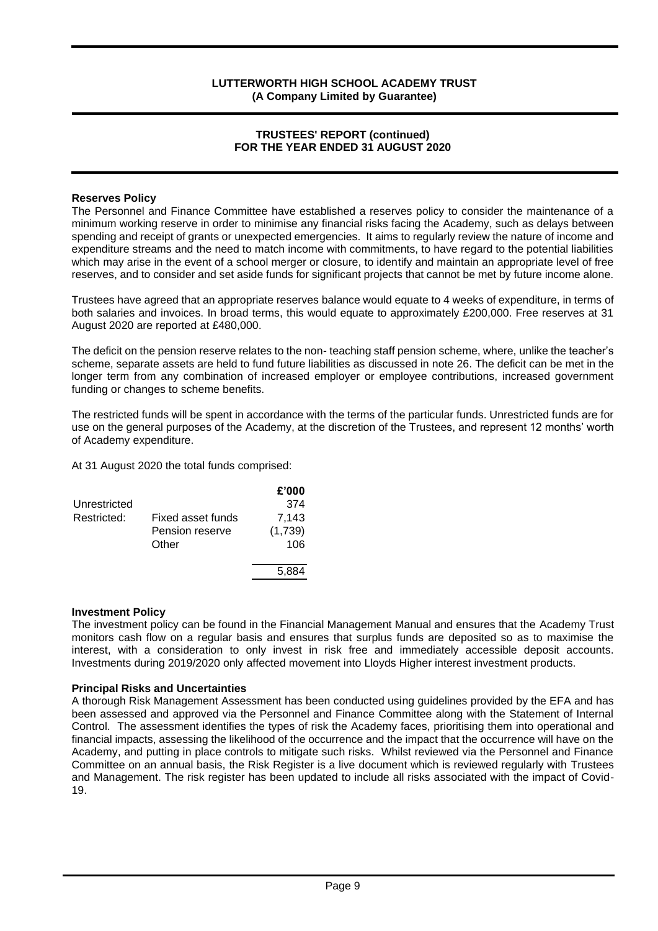#### **TRUSTEES' REPORT (continued) FOR THE YEAR ENDED 31 AUGUST 2020**

#### **Reserves Policy**

The Personnel and Finance Committee have established a reserves policy to consider the maintenance of a minimum working reserve in order to minimise any financial risks facing the Academy, such as delays between spending and receipt of grants or unexpected emergencies. It aims to regularly review the nature of income and expenditure streams and the need to match income with commitments, to have regard to the potential liabilities which may arise in the event of a school merger or closure, to identify and maintain an appropriate level of free reserves, and to consider and set aside funds for significant projects that cannot be met by future income alone.

Trustees have agreed that an appropriate reserves balance would equate to 4 weeks of expenditure, in terms of both salaries and invoices. In broad terms, this would equate to approximately £200,000. Free reserves at 31 August 2020 are reported at £480,000.

The deficit on the pension reserve relates to the non- teaching staff pension scheme, where, unlike the teacher's scheme, separate assets are held to fund future liabilities as discussed in note 26. The deficit can be met in the longer term from any combination of increased employer or employee contributions, increased government funding or changes to scheme benefits.

The restricted funds will be spent in accordance with the terms of the particular funds. Unrestricted funds are for use on the general purposes of the Academy, at the discretion of the Trustees, and represent 12 months' worth of Academy expenditure.

At 31 August 2020 the total funds comprised:

|              |                   | £'000   |
|--------------|-------------------|---------|
| Unrestricted |                   | 374     |
| Restricted:  | Fixed asset funds | 7.143   |
|              | Pension reserve   | (1,739) |
|              | Other             | 106     |
|              |                   | 5,884   |

#### **Investment Policy**

The investment policy can be found in the Financial Management Manual and ensures that the Academy Trust monitors cash flow on a regular basis and ensures that surplus funds are deposited so as to maximise the interest, with a consideration to only invest in risk free and immediately accessible deposit accounts. Investments during 2019/2020 only affected movement into Lloyds Higher interest investment products.

#### **Principal Risks and Uncertainties**

A thorough Risk Management Assessment has been conducted using guidelines provided by the EFA and has been assessed and approved via the Personnel and Finance Committee along with the Statement of Internal Control. The assessment identifies the types of risk the Academy faces, prioritising them into operational and financial impacts, assessing the likelihood of the occurrence and the impact that the occurrence will have on the Academy, and putting in place controls to mitigate such risks. Whilst reviewed via the Personnel and Finance Committee on an annual basis, the Risk Register is a live document which is reviewed regularly with Trustees and Management. The risk register has been updated to include all risks associated with the impact of Covid-19.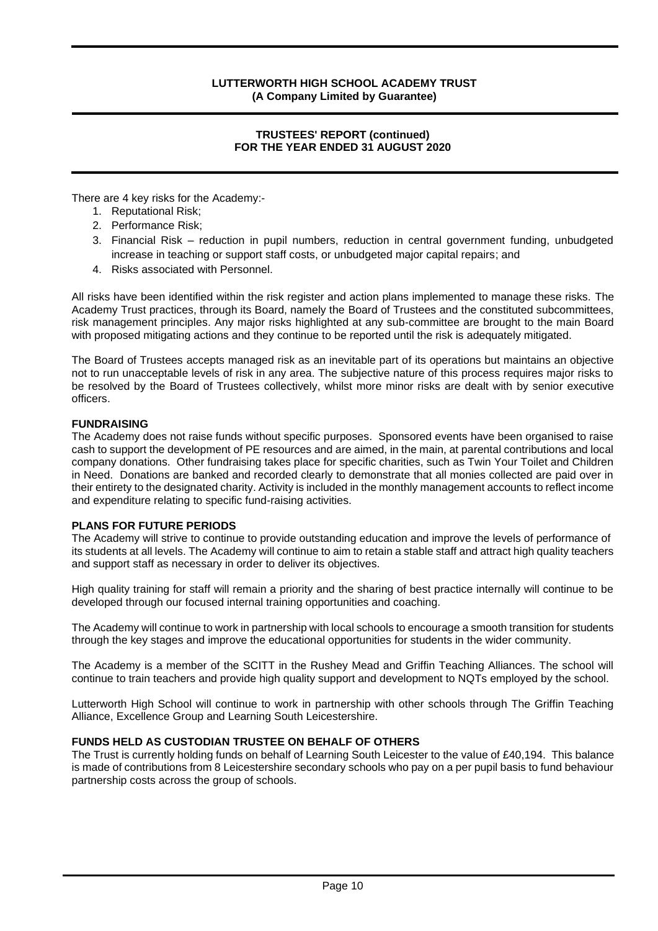#### **TRUSTEES' REPORT (continued) FOR THE YEAR ENDED 31 AUGUST 2020**

There are 4 key risks for the Academy:-

- 1. Reputational Risk;
- 2. Performance Risk;
- 3. Financial Risk reduction in pupil numbers, reduction in central government funding, unbudgeted increase in teaching or support staff costs, or unbudgeted major capital repairs; and
- 4. Risks associated with Personnel.

All risks have been identified within the risk register and action plans implemented to manage these risks. The Academy Trust practices, through its Board, namely the Board of Trustees and the constituted subcommittees, risk management principles. Any major risks highlighted at any sub-committee are brought to the main Board with proposed mitigating actions and they continue to be reported until the risk is adequately mitigated.

The Board of Trustees accepts managed risk as an inevitable part of its operations but maintains an objective not to run unacceptable levels of risk in any area. The subjective nature of this process requires major risks to be resolved by the Board of Trustees collectively, whilst more minor risks are dealt with by senior executive officers.

#### **FUNDRAISING**

The Academy does not raise funds without specific purposes. Sponsored events have been organised to raise cash to support the development of PE resources and are aimed, in the main, at parental contributions and local company donations. Other fundraising takes place for specific charities, such as Twin Your Toilet and Children in Need. Donations are banked and recorded clearly to demonstrate that all monies collected are paid over in their entirety to the designated charity. Activity is included in the monthly management accounts to reflect income and expenditure relating to specific fund-raising activities.

#### **PLANS FOR FUTURE PERIODS**

The Academy will strive to continue to provide outstanding education and improve the levels of performance of its students at all levels. The Academy will continue to aim to retain a stable staff and attract high quality teachers and support staff as necessary in order to deliver its objectives.

High quality training for staff will remain a priority and the sharing of best practice internally will continue to be developed through our focused internal training opportunities and coaching.

The Academy will continue to work in partnership with local schools to encourage a smooth transition for students through the key stages and improve the educational opportunities for students in the wider community.

The Academy is a member of the SCITT in the Rushey Mead and Griffin Teaching Alliances. The school will continue to train teachers and provide high quality support and development to NQTs employed by the school.

Lutterworth High School will continue to work in partnership with other schools through The Griffin Teaching Alliance, Excellence Group and Learning South Leicestershire.

#### **FUNDS HELD AS CUSTODIAN TRUSTEE ON BEHALF OF OTHERS**

The Trust is currently holding funds on behalf of Learning South Leicester to the value of £40,194. This balance is made of contributions from 8 Leicestershire secondary schools who pay on a per pupil basis to fund behaviour partnership costs across the group of schools.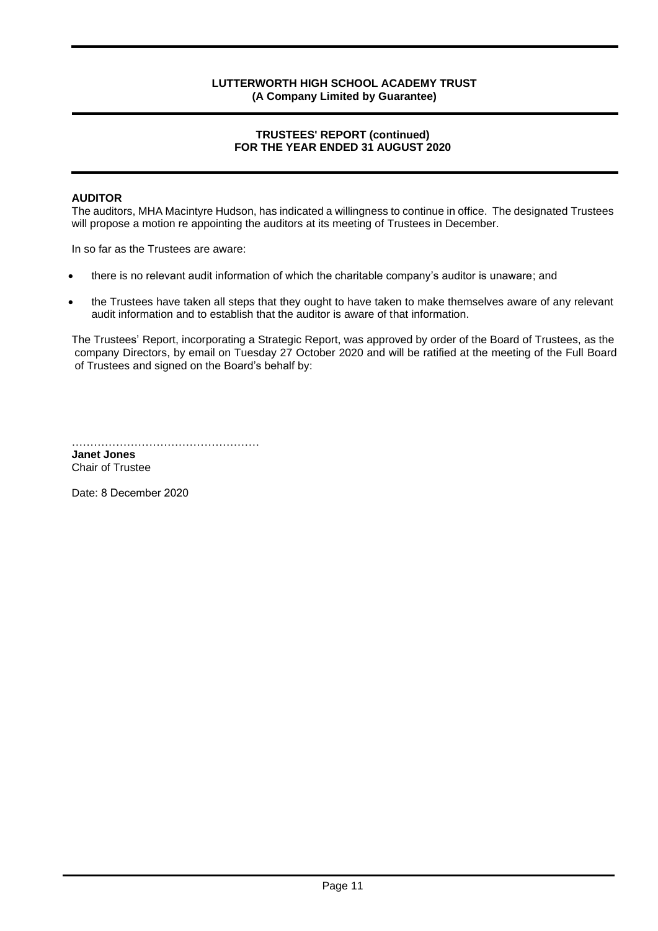#### **TRUSTEES' REPORT (continued) FOR THE YEAR ENDED 31 AUGUST 2020**

#### **AUDITOR**

The auditors, MHA Macintyre Hudson, has indicated a willingness to continue in office. The designated Trustees will propose a motion re appointing the auditors at its meeting of Trustees in December.

In so far as the Trustees are aware:

- there is no relevant audit information of which the charitable company's auditor is unaware; and
- the Trustees have taken all steps that they ought to have taken to make themselves aware of any relevant audit information and to establish that the auditor is aware of that information.

The Trustees' Report, incorporating a Strategic Report, was approved by order of the Board of Trustees, as the company Directors, by email on Tuesday 27 October 2020 and will be ratified at the meeting of the Full Board of Trustees and signed on the Board's behalf by:

…………………………………………………

**Janet Jones** Chair of Trustee

Date: 8 December 2020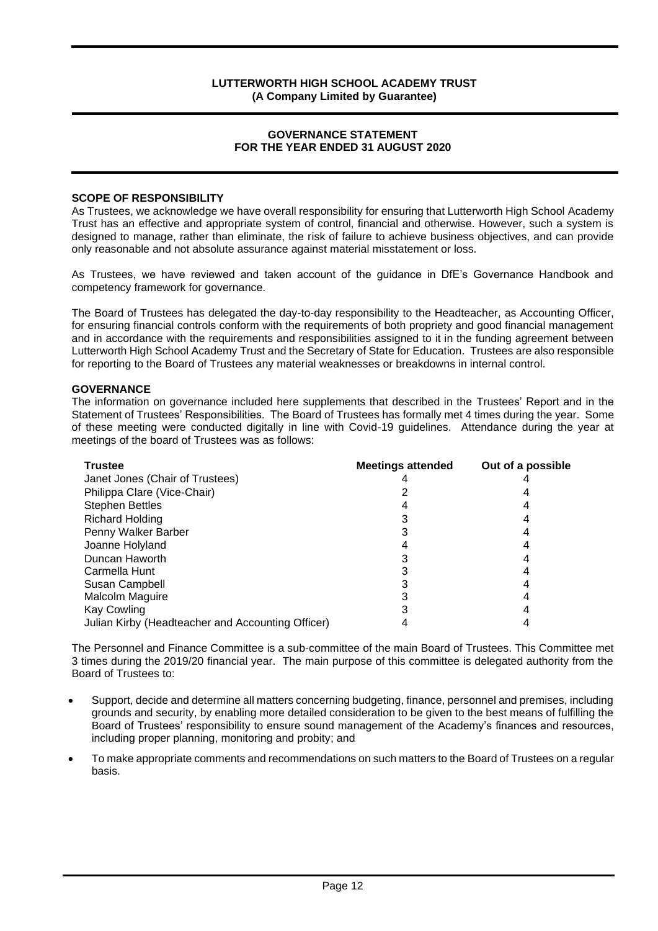#### **GOVERNANCE STATEMENT FOR THE YEAR ENDED 31 AUGUST 2020**

#### **SCOPE OF RESPONSIBILITY**

As Trustees, we acknowledge we have overall responsibility for ensuring that Lutterworth High School Academy Trust has an effective and appropriate system of control, financial and otherwise. However, such a system is designed to manage, rather than eliminate, the risk of failure to achieve business objectives, and can provide only reasonable and not absolute assurance against material misstatement or loss.

As Trustees, we have reviewed and taken account of the guidance in DfE's Governance Handbook and competency framework for governance.

The Board of Trustees has delegated the day-to-day responsibility to the Headteacher, as Accounting Officer, for ensuring financial controls conform with the requirements of both propriety and good financial management and in accordance with the requirements and responsibilities assigned to it in the funding agreement between Lutterworth High School Academy Trust and the Secretary of State for Education. Trustees are also responsible for reporting to the Board of Trustees any material weaknesses or breakdowns in internal control.

#### **GOVERNANCE**

The information on governance included here supplements that described in the Trustees' Report and in the Statement of Trustees' Responsibilities. The Board of Trustees has formally met 4 times during the year. Some of these meeting were conducted digitally in line with Covid-19 guidelines. Attendance during the year at meetings of the board of Trustees was as follows:

| <b>Trustee</b>                                    | <b>Meetings attended</b> | Out of a possible |
|---------------------------------------------------|--------------------------|-------------------|
| Janet Jones (Chair of Trustees)                   |                          |                   |
| Philippa Clare (Vice-Chair)                       |                          |                   |
| <b>Stephen Bettles</b>                            |                          |                   |
| <b>Richard Holding</b>                            |                          |                   |
| Penny Walker Barber                               |                          |                   |
| Joanne Holyland                                   |                          |                   |
| Duncan Haworth                                    |                          |                   |
| Carmella Hunt                                     |                          |                   |
| Susan Campbell                                    |                          |                   |
| Malcolm Maguire                                   |                          |                   |
| Kay Cowling                                       |                          |                   |
| Julian Kirby (Headteacher and Accounting Officer) |                          |                   |

The Personnel and Finance Committee is a sub-committee of the main Board of Trustees. This Committee met 3 times during the 2019/20 financial year. The main purpose of this committee is delegated authority from the Board of Trustees to:

- Support, decide and determine all matters concerning budgeting, finance, personnel and premises, including grounds and security, by enabling more detailed consideration to be given to the best means of fulfilling the Board of Trustees' responsibility to ensure sound management of the Academy's finances and resources, including proper planning, monitoring and probity; and
- To make appropriate comments and recommendations on such matters to the Board of Trustees on a regular basis.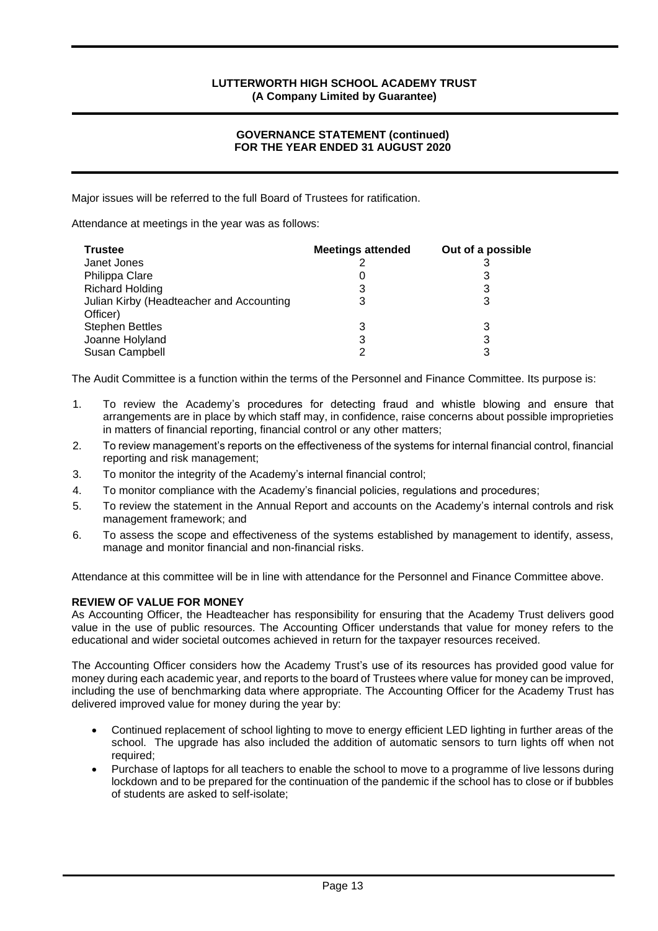#### **GOVERNANCE STATEMENT (continued) FOR THE YEAR ENDED 31 AUGUST 2020**

Major issues will be referred to the full Board of Trustees for ratification.

Attendance at meetings in the year was as follows:

| Trustee                                              | <b>Meetings attended</b> | Out of a possible |
|------------------------------------------------------|--------------------------|-------------------|
| Janet Jones                                          |                          |                   |
| Philippa Clare                                       |                          |                   |
| <b>Richard Holding</b>                               | 3                        |                   |
| Julian Kirby (Headteacher and Accounting<br>Officer) | 3                        |                   |
| Stephen Bettles                                      | 3                        |                   |
| Joanne Holyland                                      | 3                        |                   |
| Susan Campbell                                       | ົ                        |                   |

The Audit Committee is a function within the terms of the Personnel and Finance Committee. Its purpose is:

- 1. To review the Academy's procedures for detecting fraud and whistle blowing and ensure that arrangements are in place by which staff may, in confidence, raise concerns about possible improprieties in matters of financial reporting, financial control or any other matters;
- 2. To review management's reports on the effectiveness of the systems for internal financial control, financial reporting and risk management;
- 3. To monitor the integrity of the Academy's internal financial control;
- 4. To monitor compliance with the Academy's financial policies, regulations and procedures;
- 5. To review the statement in the Annual Report and accounts on the Academy's internal controls and risk management framework; and
- 6. To assess the scope and effectiveness of the systems established by management to identify, assess, manage and monitor financial and non-financial risks.

Attendance at this committee will be in line with attendance for the Personnel and Finance Committee above.

#### **REVIEW OF VALUE FOR MONEY**

As Accounting Officer, the Headteacher has responsibility for ensuring that the Academy Trust delivers good value in the use of public resources. The Accounting Officer understands that value for money refers to the educational and wider societal outcomes achieved in return for the taxpayer resources received.

The Accounting Officer considers how the Academy Trust's use of its resources has provided good value for money during each academic year, and reports to the board of Trustees where value for money can be improved, including the use of benchmarking data where appropriate. The Accounting Officer for the Academy Trust has delivered improved value for money during the year by:

- Continued replacement of school lighting to move to energy efficient LED lighting in further areas of the school. The upgrade has also included the addition of automatic sensors to turn lights off when not required;
- Purchase of laptops for all teachers to enable the school to move to a programme of live lessons during lockdown and to be prepared for the continuation of the pandemic if the school has to close or if bubbles of students are asked to self-isolate;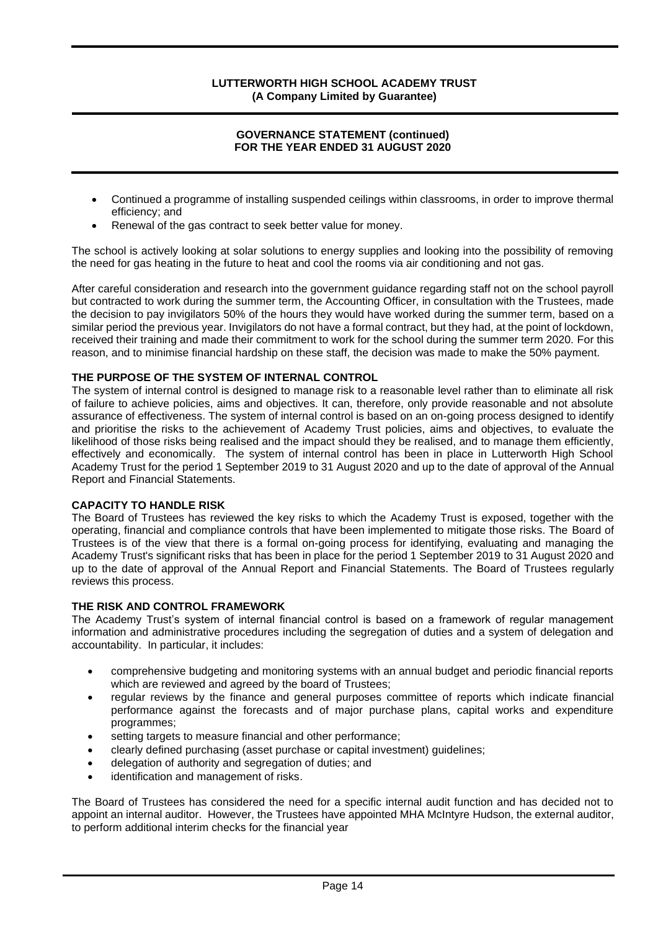#### **GOVERNANCE STATEMENT (continued) FOR THE YEAR ENDED 31 AUGUST 2020**

- Continued a programme of installing suspended ceilings within classrooms, in order to improve thermal efficiency; and
- Renewal of the gas contract to seek better value for money.

The school is actively looking at solar solutions to energy supplies and looking into the possibility of removing the need for gas heating in the future to heat and cool the rooms via air conditioning and not gas.

After careful consideration and research into the government guidance regarding staff not on the school payroll but contracted to work during the summer term, the Accounting Officer, in consultation with the Trustees, made the decision to pay invigilators 50% of the hours they would have worked during the summer term, based on a similar period the previous year. Invigilators do not have a formal contract, but they had, at the point of lockdown, received their training and made their commitment to work for the school during the summer term 2020. For this reason, and to minimise financial hardship on these staff, the decision was made to make the 50% payment.

#### **THE PURPOSE OF THE SYSTEM OF INTERNAL CONTROL**

The system of internal control is designed to manage risk to a reasonable level rather than to eliminate all risk of failure to achieve policies, aims and objectives. It can, therefore, only provide reasonable and not absolute assurance of effectiveness. The system of internal control is based on an on-going process designed to identify and prioritise the risks to the achievement of Academy Trust policies, aims and objectives, to evaluate the likelihood of those risks being realised and the impact should they be realised, and to manage them efficiently, effectively and economically. The system of internal control has been in place in Lutterworth High School Academy Trust for the period 1 September 2019 to 31 August 2020 and up to the date of approval of the Annual Report and Financial Statements.

#### **CAPACITY TO HANDLE RISK**

The Board of Trustees has reviewed the key risks to which the Academy Trust is exposed, together with the operating, financial and compliance controls that have been implemented to mitigate those risks. The Board of Trustees is of the view that there is a formal on-going process for identifying, evaluating and managing the Academy Trust's significant risks that has been in place for the period 1 September 2019 to 31 August 2020 and up to the date of approval of the Annual Report and Financial Statements. The Board of Trustees regularly reviews this process.

#### **THE RISK AND CONTROL FRAMEWORK**

The Academy Trust's system of internal financial control is based on a framework of regular management information and administrative procedures including the segregation of duties and a system of delegation and accountability. In particular, it includes:

- comprehensive budgeting and monitoring systems with an annual budget and periodic financial reports which are reviewed and agreed by the board of Trustees;
- regular reviews by the finance and general purposes committee of reports which indicate financial performance against the forecasts and of major purchase plans, capital works and expenditure programmes;
- setting targets to measure financial and other performance;
- clearly defined purchasing (asset purchase or capital investment) guidelines;
- delegation of authority and segregation of duties; and
- identification and management of risks.

The Board of Trustees has considered the need for a specific internal audit function and has decided not to appoint an internal auditor. However, the Trustees have appointed MHA McIntyre Hudson, the external auditor, to perform additional interim checks for the financial year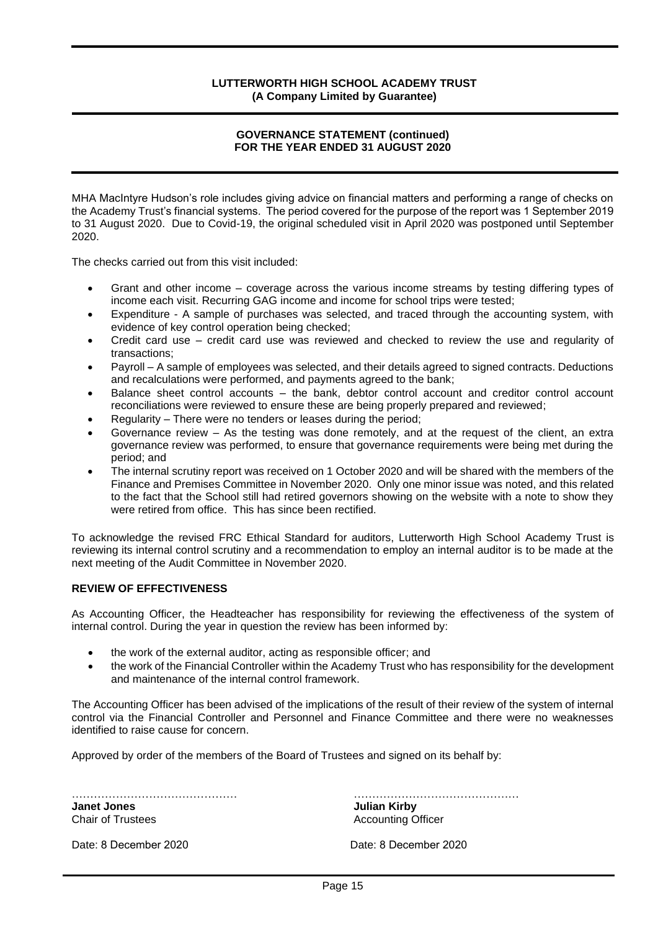#### **GOVERNANCE STATEMENT (continued) FOR THE YEAR ENDED 31 AUGUST 2020**

MHA MacIntyre Hudson's role includes giving advice on financial matters and performing a range of checks on the Academy Trust's financial systems. The period covered for the purpose of the report was 1 September 2019 to 31 August 2020. Due to Covid-19, the original scheduled visit in April 2020 was postponed until September 2020.

The checks carried out from this visit included:

- Grant and other income coverage across the various income streams by testing differing types of income each visit. Recurring GAG income and income for school trips were tested;
- Expenditure A sample of purchases was selected, and traced through the accounting system, with evidence of key control operation being checked;
- Credit card use credit card use was reviewed and checked to review the use and regularity of transactions;
- Payroll A sample of employees was selected, and their details agreed to signed contracts. Deductions and recalculations were performed, and payments agreed to the bank;
- Balance sheet control accounts the bank, debtor control account and creditor control account reconciliations were reviewed to ensure these are being properly prepared and reviewed;
- Regularity There were no tenders or leases during the period;
- Governance review As the testing was done remotely, and at the request of the client, an extra governance review was performed, to ensure that governance requirements were being met during the period; and
- The internal scrutiny report was received on 1 October 2020 and will be shared with the members of the Finance and Premises Committee in November 2020. Only one minor issue was noted, and this related to the fact that the School still had retired governors showing on the website with a note to show they were retired from office. This has since been rectified.

To acknowledge the revised FRC Ethical Standard for auditors, Lutterworth High School Academy Trust is reviewing its internal control scrutiny and a recommendation to employ an internal auditor is to be made at the next meeting of the Audit Committee in November 2020.

#### **REVIEW OF EFFECTIVENESS**

As Accounting Officer, the Headteacher has responsibility for reviewing the effectiveness of the system of internal control. During the year in question the review has been informed by:

- the work of the external auditor, acting as responsible officer; and
- the work of the Financial Controller within the Academy Trust who has responsibility for the development and maintenance of the internal control framework.

The Accounting Officer has been advised of the implications of the result of their review of the system of internal control via the Financial Controller and Personnel and Finance Committee and there were no weaknesses identified to raise cause for concern.

Approved by order of the members of the Board of Trustees and signed on its behalf by:

**Janet Jones Julian Kirby** Chair of Trustees **Accounting Officer** Accounting Officer

……………………………………… ………………………………………

Date: 8 December 2020 Date: 8 December 2020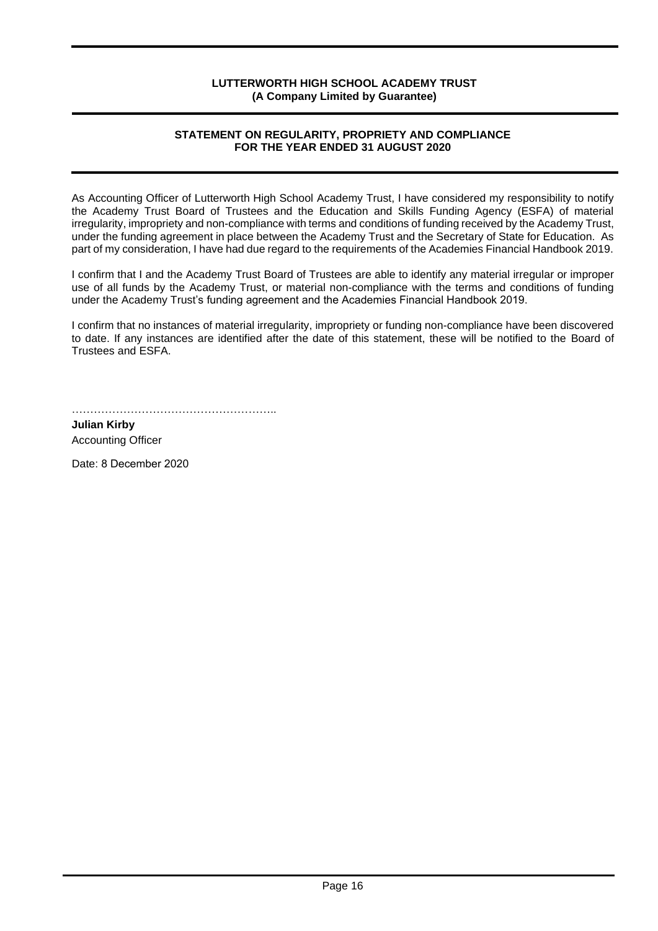#### **STATEMENT ON REGULARITY, PROPRIETY AND COMPLIANCE FOR THE YEAR ENDED 31 AUGUST 2020**

As Accounting Officer of Lutterworth High School Academy Trust, I have considered my responsibility to notify the Academy Trust Board of Trustees and the Education and Skills Funding Agency (ESFA) of material irregularity, impropriety and non-compliance with terms and conditions of funding received by the Academy Trust, under the funding agreement in place between the Academy Trust and the Secretary of State for Education. As part of my consideration, I have had due regard to the requirements of the Academies Financial Handbook 2019.

I confirm that I and the Academy Trust Board of Trustees are able to identify any material irregular or improper use of all funds by the Academy Trust, or material non-compliance with the terms and conditions of funding under the Academy Trust's funding agreement and the Academies Financial Handbook 2019.

I confirm that no instances of material irregularity, impropriety or funding non-compliance have been discovered to date. If any instances are identified after the date of this statement, these will be notified to the Board of Trustees and ESFA.

**Julian Kirby** Accounting Officer

Date: 8 December 2020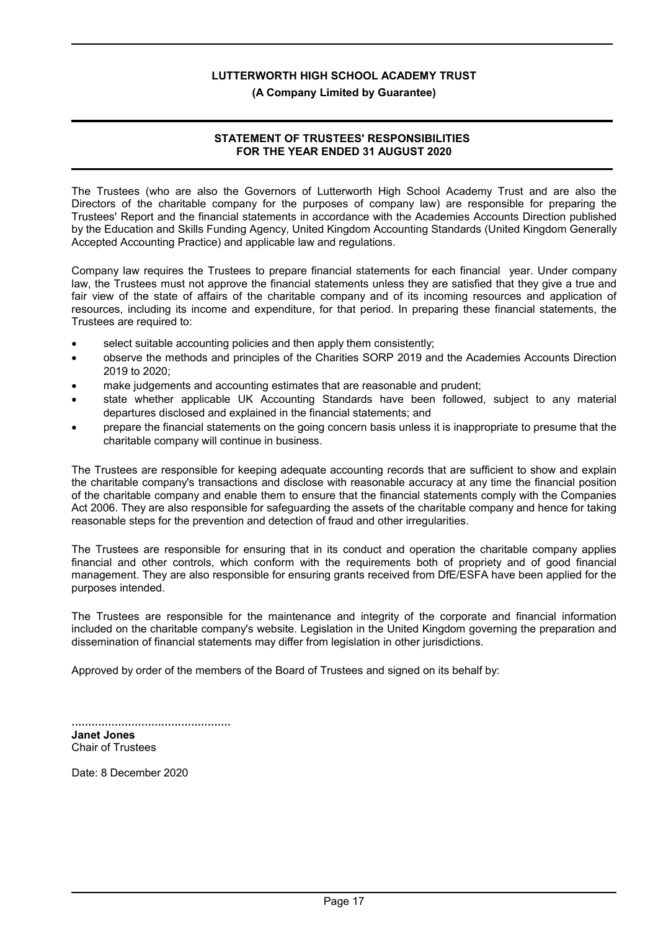#### **(A Company Limited by Guarantee)**

#### **STATEMENT OF TRUSTEES' RESPONSIBILITIES FOR THE YEAR ENDED 31 AUGUST 2020**

The Trustees (who are also the Governors of Lutterworth High School Academy Trust and are also the Directors of the charitable company for the purposes of company law) are responsible for preparing the Trustees' Report and the financial statements in accordance with the Academies Accounts Direction published by the Education and Skills Funding Agency, United Kingdom Accounting Standards (United Kingdom Generally Accepted Accounting Practice) and applicable law and regulations.

Company law requires the Trustees to prepare financial statements for each financial year. Under company law, the Trustees must not approve the financial statements unless they are satisfied that they give a true and fair view of the state of affairs of the charitable company and of its incoming resources and application of resources, including its income and expenditure, for that period. In preparing these financial statements, the Trustees are required to:

- select suitable accounting policies and then apply them consistently;
- observe the methods and principles of the Charities SORP 2019 and the Academies Accounts Direction 2019 to 2020;
- make judgements and accounting estimates that are reasonable and prudent;
- state whether applicable UK Accounting Standards have been followed, subject to any material departures disclosed and explained in the financial statements; and
- prepare the financial statements on the going concern basis unless it is inappropriate to presume that the charitable company will continue in business.

The Trustees are responsible for keeping adequate accounting records that are sufficient to show and explain the charitable company's transactions and disclose with reasonable accuracy at any time the financial position of the charitable company and enable them to ensure that the financial statements comply with the Companies Act 2006. They are also responsible for safeguarding the assets of the charitable company and hence for taking reasonable steps for the prevention and detection of fraud and other irregularities.

The Trustees are responsible for ensuring that in its conduct and operation the charitable company applies financial and other controls, which conform with the requirements both of propriety and of good financial management. They are also responsible for ensuring grants received from DfE/ESFA have been applied for the purposes intended.

The Trustees are responsible for the maintenance and integrity of the corporate and financial information included on the charitable company's website. Legislation in the United Kingdom governing the preparation and dissemination of financial statements may differ from legislation in other jurisdictions.

Approved by order of the members of the Board of Trustees and signed on its behalf by:

| Janet Jones              |  |
|--------------------------|--|
| <b>Chair of Trustees</b> |  |

Date: 8 December 2020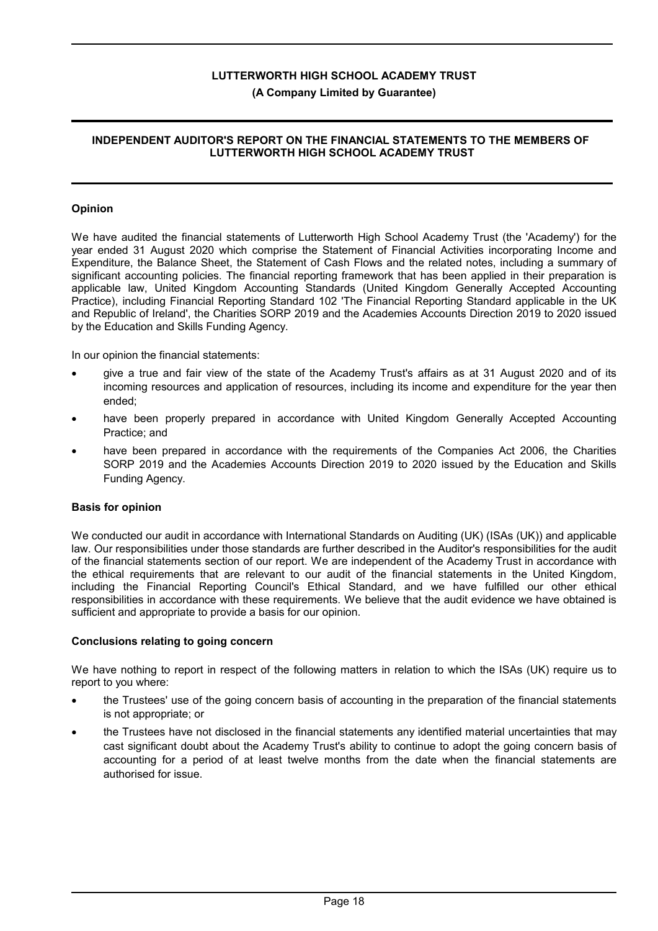#### **(A Company Limited by Guarantee)**

#### **INDEPENDENT AUDITOR'S REPORT ON THE FINANCIAL STATEMENTS TO THE MEMBERS OF LUTTERWORTH HIGH SCHOOL ACADEMY TRUST**

#### **Opinion**

We have audited the financial statements of Lutterworth High School Academy Trust (the 'Academy') for the year ended 31 August 2020 which comprise the Statement of Financial Activities incorporating Income and Expenditure, the Balance Sheet, the Statement of Cash Flows and the related notes, including a summary of significant accounting policies. The financial reporting framework that has been applied in their preparation is applicable law, United Kingdom Accounting Standards (United Kingdom Generally Accepted Accounting Practice), including Financial Reporting Standard 102 'The Financial Reporting Standard applicable in the UK and Republic of Ireland', the Charities SORP 2019 and the Academies Accounts Direction 2019 to 2020 issued by the Education and Skills Funding Agency.

In our opinion the financial statements:

- give a true and fair view of the state of the Academy Trust's affairs as at 31 August 2020 and of its incoming resources and application of resources, including its income and expenditure for the year then ended;
- have been properly prepared in accordance with United Kingdom Generally Accepted Accounting Practice; and
- have been prepared in accordance with the requirements of the Companies Act 2006, the Charities SORP 2019 and the Academies Accounts Direction 2019 to 2020 issued by the Education and Skills Funding Agency.

#### **Basis for opinion**

We conducted our audit in accordance with International Standards on Auditing (UK) (ISAs (UK)) and applicable law. Our responsibilities under those standards are further described in the Auditor's responsibilities for the audit of the financial statements section of our report. We are independent of the Academy Trust in accordance with the ethical requirements that are relevant to our audit of the financial statements in the United Kingdom, including the Financial Reporting Council's Ethical Standard, and we have fulfilled our other ethical responsibilities in accordance with these requirements. We believe that the audit evidence we have obtained is sufficient and appropriate to provide a basis for our opinion.

#### **Conclusions relating to going concern**

We have nothing to report in respect of the following matters in relation to which the ISAs (UK) require us to report to you where:

- the Trustees' use of the going concern basis of accounting in the preparation of the financial statements is not appropriate; or
- the Trustees have not disclosed in the financial statements any identified material uncertainties that may cast significant doubt about the Academy Trust's ability to continue to adopt the going concern basis of accounting for a period of at least twelve months from the date when the financial statements are authorised for issue.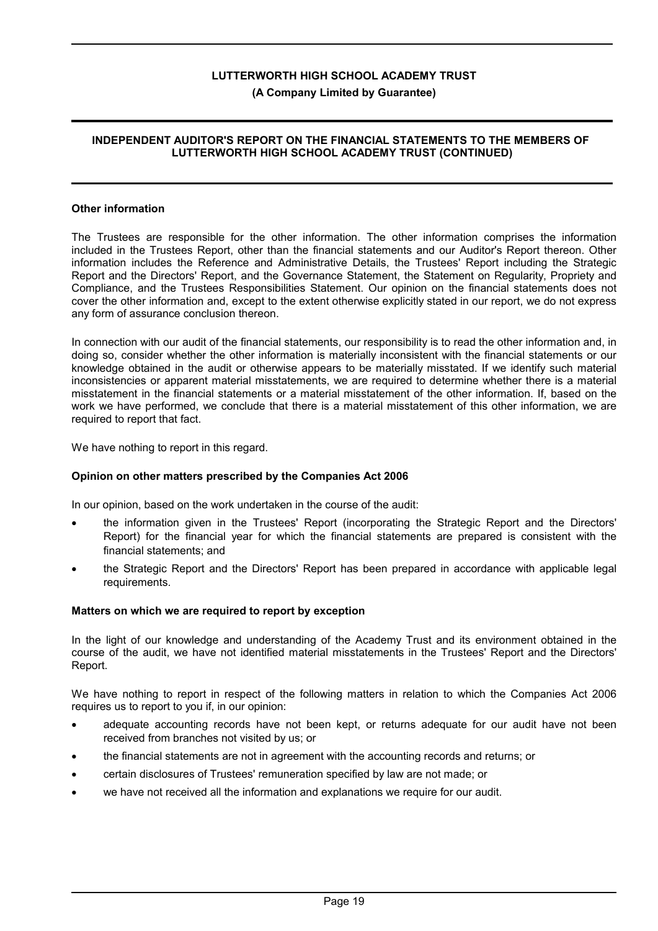#### **(A Company Limited by Guarantee)**

#### **INDEPENDENT AUDITOR'S REPORT ON THE FINANCIAL STATEMENTS TO THE MEMBERS OF LUTTERWORTH HIGH SCHOOL ACADEMY TRUST (CONTINUED)**

#### **Other information**

The Trustees are responsible for the other information. The other information comprises the information included in the Trustees Report, other than the financial statements and our Auditor's Report thereon. Other information includes the Reference and Administrative Details, the Trustees' Report including the Strategic Report and the Directors' Report, and the Governance Statement, the Statement on Regularity, Propriety and Compliance, and the Trustees Responsibilities Statement. Our opinion on the financial statements does not cover the other information and, except to the extent otherwise explicitly stated in our report, we do not express any form of assurance conclusion thereon.

In connection with our audit of the financial statements, our responsibility is to read the other information and, in doing so, consider whether the other information is materially inconsistent with the financial statements or our knowledge obtained in the audit or otherwise appears to be materially misstated. If we identify such material inconsistencies or apparent material misstatements, we are required to determine whether there is a material misstatement in the financial statements or a material misstatement of the other information. If, based on the work we have performed, we conclude that there is a material misstatement of this other information, we are required to report that fact.

We have nothing to report in this regard.

#### **Opinion on other matters prescribed by the Companies Act 2006**

In our opinion, based on the work undertaken in the course of the audit:

- the information given in the Trustees' Report (incorporating the Strategic Report and the Directors' Report) for the financial year for which the financial statements are prepared is consistent with the financial statements; and
- the Strategic Report and the Directors' Report has been prepared in accordance with applicable legal requirements.

#### **Matters on which we are required to report by exception**

In the light of our knowledge and understanding of the Academy Trust and its environment obtained in the course of the audit, we have not identified material misstatements in the Trustees' Report and the Directors' Report.

We have nothing to report in respect of the following matters in relation to which the Companies Act 2006 requires us to report to you if, in our opinion:

- adequate accounting records have not been kept, or returns adequate for our audit have not been received from branches not visited by us; or
- the financial statements are not in agreement with the accounting records and returns; or
- certain disclosures of Trustees' remuneration specified by law are not made; or
- we have not received all the information and explanations we require for our audit.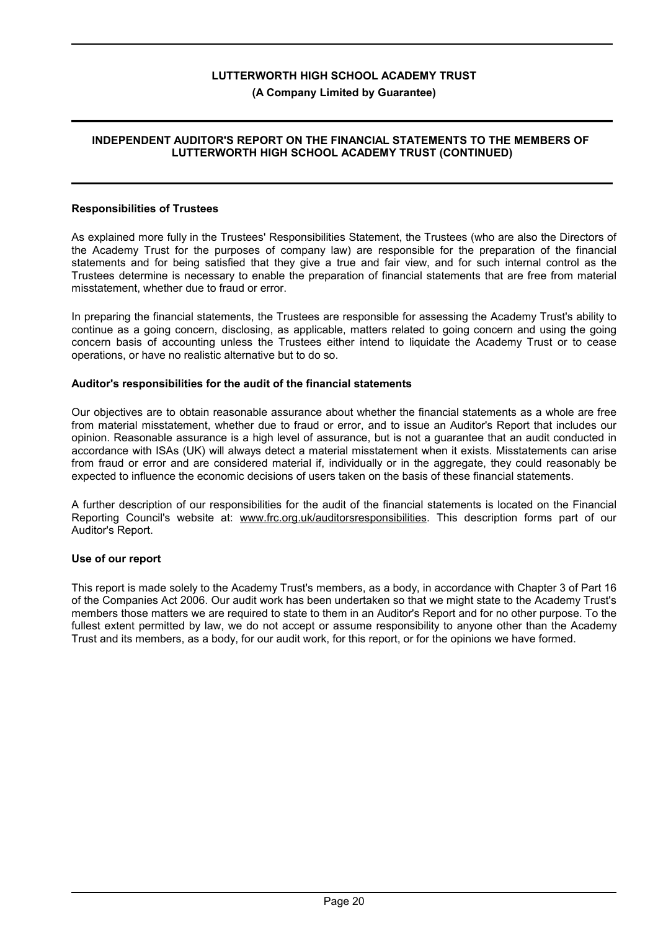#### **(A Company Limited by Guarantee)**

#### **INDEPENDENT AUDITOR'S REPORT ON THE FINANCIAL STATEMENTS TO THE MEMBERS OF LUTTERWORTH HIGH SCHOOL ACADEMY TRUST (CONTINUED)**

#### **Responsibilities of Trustees**

As explained more fully in the Trustees' Responsibilities Statement, the Trustees (who are also the Directors of the Academy Trust for the purposes of company law) are responsible for the preparation of the financial statements and for being satisfied that they give a true and fair view, and for such internal control as the Trustees determine is necessary to enable the preparation of financial statements that are free from material misstatement, whether due to fraud or error.

In preparing the financial statements, the Trustees are responsible for assessing the Academy Trust's ability to continue as a going concern, disclosing, as applicable, matters related to going concern and using the going concern basis of accounting unless the Trustees either intend to liquidate the Academy Trust or to cease operations, or have no realistic alternative but to do so.

#### **Auditor's responsibilities for the audit of the financial statements**

Our objectives are to obtain reasonable assurance about whether the financial statements as a whole are free from material misstatement, whether due to fraud or error, and to issue an Auditor's Report that includes our opinion. Reasonable assurance is a high level of assurance, but is not a guarantee that an audit conducted in accordance with ISAs (UK) will always detect a material misstatement when it exists. Misstatements can arise from fraud or error and are considered material if, individually or in the aggregate, they could reasonably be expected to influence the economic decisions of users taken on the basis of these financial statements.

A further description of our responsibilities for the audit of the financial statements is located on the Financial Reporting Council's website at: www.frc.org.uk/auditorsresponsibilities. This description forms part of our Auditor's Report.

#### **Use of our report**

This report is made solely to the Academy Trust's members, as a body, in accordance with Chapter 3 of Part 16 of the Companies Act 2006. Our audit work has been undertaken so that we might state to the Academy Trust's members those matters we are required to state to them in an Auditor's Report and for no other purpose. To the fullest extent permitted by law, we do not accept or assume responsibility to anyone other than the Academy Trust and its members, as a body, for our audit work, for this report, or for the opinions we have formed.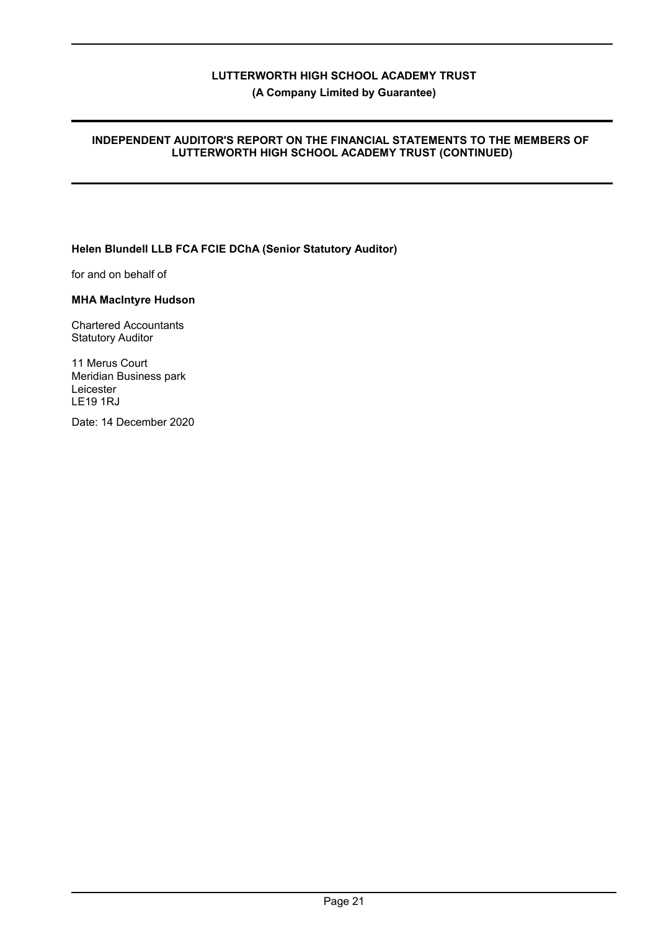**(A Company Limited by Guarantee)**

#### **INDEPENDENT AUDITOR'S REPORT ON THE FINANCIAL STATEMENTS TO THE MEMBERS OF LUTTERWORTH HIGH SCHOOL ACADEMY TRUST (CONTINUED)**

### **Helen Blundell LLB FCA FCIE DChA (Senior Statutory Auditor)**

for and on behalf of

#### **MHA MacIntyre Hudson**

Chartered Accountants Statutory Auditor

11 Merus Court Meridian Business park Leicester LE19 1RJ

Date: 14 December 2020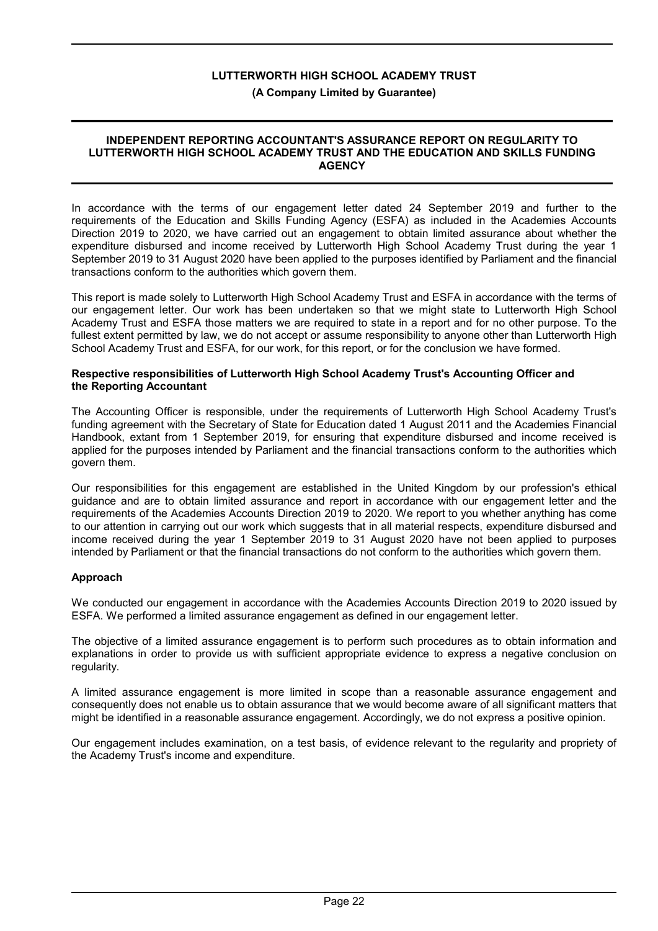#### **(A Company Limited by Guarantee)**

#### **INDEPENDENT REPORTING ACCOUNTANT'S ASSURANCE REPORT ON REGULARITY TO LUTTERWORTH HIGH SCHOOL ACADEMY TRUST AND THE EDUCATION AND SKILLS FUNDING AGENCY**

In accordance with the terms of our engagement letter dated 24 September 2019 and further to the requirements of the Education and Skills Funding Agency (ESFA) as included in the Academies Accounts Direction 2019 to 2020, we have carried out an engagement to obtain limited assurance about whether the expenditure disbursed and income received by Lutterworth High School Academy Trust during the year 1 September 2019 to 31 August 2020 have been applied to the purposes identified by Parliament and the financial transactions conform to the authorities which govern them.

This report is made solely to Lutterworth High School Academy Trust and ESFA in accordance with the terms of our engagement letter. Our work has been undertaken so that we might state to Lutterworth High School Academy Trust and ESFA those matters we are required to state in a report and for no other purpose. To the fullest extent permitted by law, we do not accept or assume responsibility to anyone other than Lutterworth High School Academy Trust and ESFA, for our work, for this report, or for the conclusion we have formed.

#### **Respective responsibilities of Lutterworth High School Academy Trust's Accounting Officer and the Reporting Accountant**

The Accounting Officer is responsible, under the requirements of Lutterworth High School Academy Trust's funding agreement with the Secretary of State for Education dated 1 August 2011 and the Academies Financial Handbook, extant from 1 September 2019, for ensuring that expenditure disbursed and income received is applied for the purposes intended by Parliament and the financial transactions conform to the authorities which govern them.

Our responsibilities for this engagement are established in the United Kingdom by our profession's ethical guidance and are to obtain limited assurance and report in accordance with our engagement letter and the requirements of the Academies Accounts Direction 2019 to 2020. We report to you whether anything has come to our attention in carrying out our work which suggests that in all material respects, expenditure disbursed and income received during the year 1 September 2019 to 31 August 2020 have not been applied to purposes intended by Parliament or that the financial transactions do not conform to the authorities which govern them.

#### **Approach**

We conducted our engagement in accordance with the Academies Accounts Direction 2019 to 2020 issued by ESFA. We performed a limited assurance engagement as defined in our engagement letter.

The objective of a limited assurance engagement is to perform such procedures as to obtain information and explanations in order to provide us with sufficient appropriate evidence to express a negative conclusion on regularity.

A limited assurance engagement is more limited in scope than a reasonable assurance engagement and consequently does not enable us to obtain assurance that we would become aware of all significant matters that might be identified in a reasonable assurance engagement. Accordingly, we do not express a positive opinion.

Our engagement includes examination, on a test basis, of evidence relevant to the regularity and propriety of the Academy Trust's income and expenditure.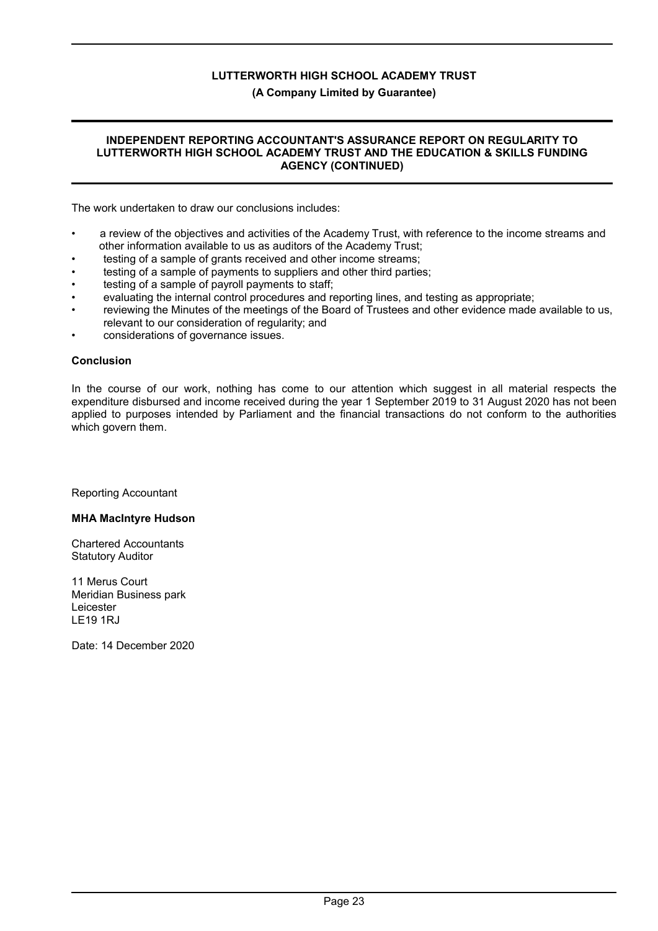#### **(A Company Limited by Guarantee)**

#### **INDEPENDENT REPORTING ACCOUNTANT'S ASSURANCE REPORT ON REGULARITY TO LUTTERWORTH HIGH SCHOOL ACADEMY TRUST AND THE EDUCATION & SKILLS FUNDING AGENCY (CONTINUED)**

The work undertaken to draw our conclusions includes:

- a review of the objectives and activities of the Academy Trust, with reference to the income streams and other information available to us as auditors of the Academy Trust;
- testing of a sample of grants received and other income streams;
- testing of a sample of payments to suppliers and other third parties;
- testing of a sample of payroll payments to staff;
- evaluating the internal control procedures and reporting lines, and testing as appropriate;
- reviewing the Minutes of the meetings of the Board of Trustees and other evidence made available to us, relevant to our consideration of regularity; and
- considerations of governance issues.

#### **Conclusion**

In the course of our work, nothing has come to our attention which suggest in all material respects the expenditure disbursed and income received during the year 1 September 2019 to 31 August 2020 has not been applied to purposes intended by Parliament and the financial transactions do not conform to the authorities which govern them.

Reporting Accountant

#### **MHA MacIntyre Hudson**

Chartered Accountants Statutory Auditor

11 Merus Court Meridian Business park Leicester LE19 1RJ

Date: 14 December 2020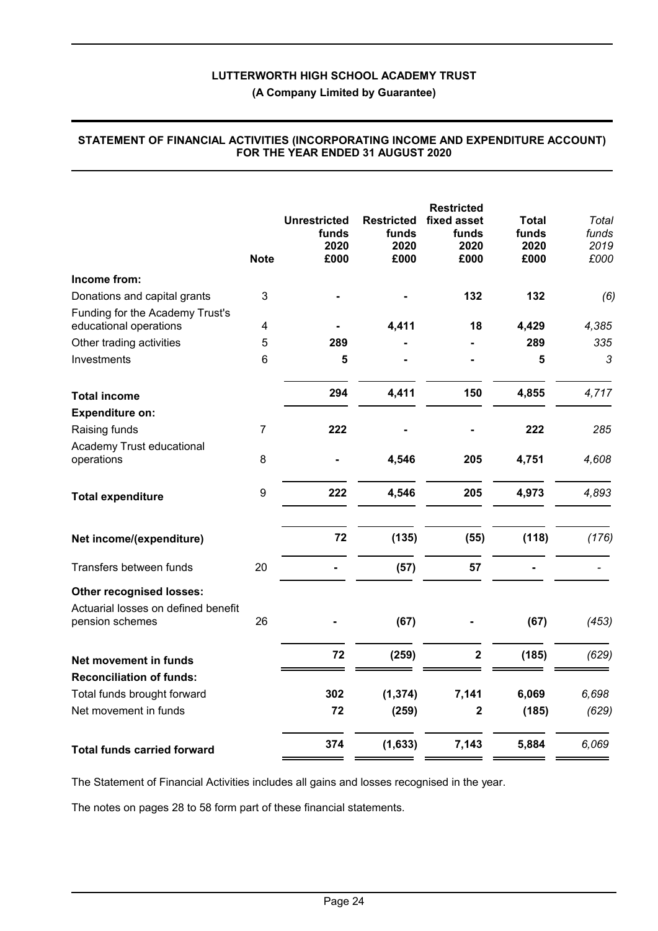|                                                           | <b>Note</b>      | <b>Unrestricted</b><br>funds<br>2020<br>£000 | <b>Restricted</b><br>funds<br>2020<br>£000 | <b>Restricted</b><br>fixed asset<br>funds<br>2020<br>£000 | <b>Total</b><br>funds<br>2020<br>£000 | Total<br>funds<br>2019<br>£000 |
|-----------------------------------------------------------|------------------|----------------------------------------------|--------------------------------------------|-----------------------------------------------------------|---------------------------------------|--------------------------------|
| Income from:                                              |                  |                                              |                                            |                                                           |                                       |                                |
| Donations and capital grants                              | 3                |                                              |                                            | 132                                                       | 132                                   | (6)                            |
| Funding for the Academy Trust's<br>educational operations | 4                |                                              | 4,411                                      | 18                                                        | 4,429                                 | 4,385                          |
| Other trading activities                                  | 5                | 289                                          |                                            |                                                           | 289                                   | 335                            |
| Investments                                               | 6                | 5                                            |                                            |                                                           | 5                                     | 3                              |
|                                                           |                  |                                              |                                            |                                                           |                                       |                                |
| <b>Total income</b>                                       |                  | 294                                          | 4,411                                      | 150                                                       | 4,855                                 | 4,717                          |
| <b>Expenditure on:</b>                                    |                  |                                              |                                            |                                                           |                                       |                                |
| Raising funds                                             | $\overline{7}$   | 222                                          |                                            |                                                           | 222                                   | 285                            |
| Academy Trust educational                                 |                  |                                              |                                            |                                                           |                                       |                                |
| operations                                                | 8                |                                              | 4,546                                      | 205                                                       | 4,751                                 | 4,608                          |
| <b>Total expenditure</b>                                  | $\boldsymbol{9}$ | 222                                          | 4,546                                      | 205                                                       | 4,973                                 | 4,893                          |
| Net income/(expenditure)                                  |                  | 72                                           | (135)                                      | (55)                                                      | (118)                                 | (176)                          |
| Transfers between funds                                   | 20               |                                              | (57)                                       | 57                                                        |                                       |                                |
| <b>Other recognised losses:</b>                           |                  |                                              |                                            |                                                           |                                       |                                |
| Actuarial losses on defined benefit<br>pension schemes    | 26               |                                              | (67)                                       |                                                           | (67)                                  | (453)                          |
| Net movement in funds                                     |                  | 72                                           | (259)                                      | $\mathbf 2$                                               | (185)                                 | (629)                          |
| <b>Reconciliation of funds:</b>                           |                  |                                              |                                            |                                                           |                                       |                                |
| Total funds brought forward                               |                  | 302                                          | (1, 374)                                   | 7,141                                                     | 6,069                                 | 6,698                          |
| Net movement in funds                                     |                  | 72                                           | (259)                                      | $\mathbf 2$                                               | (185)                                 | (629)                          |
| <b>Total funds carried forward</b>                        |                  | 374                                          | (1,633)                                    | 7,143                                                     | 5,884                                 | 6,069                          |

#### **STATEMENT OF FINANCIAL ACTIVITIES (INCORPORATING INCOME AND EXPENDITURE ACCOUNT) FOR THE YEAR ENDED 31 AUGUST 2020**

The Statement of Financial Activities includes all gains and losses recognised in the year.

The notes on pages 28 to 58 form part of these financial statements.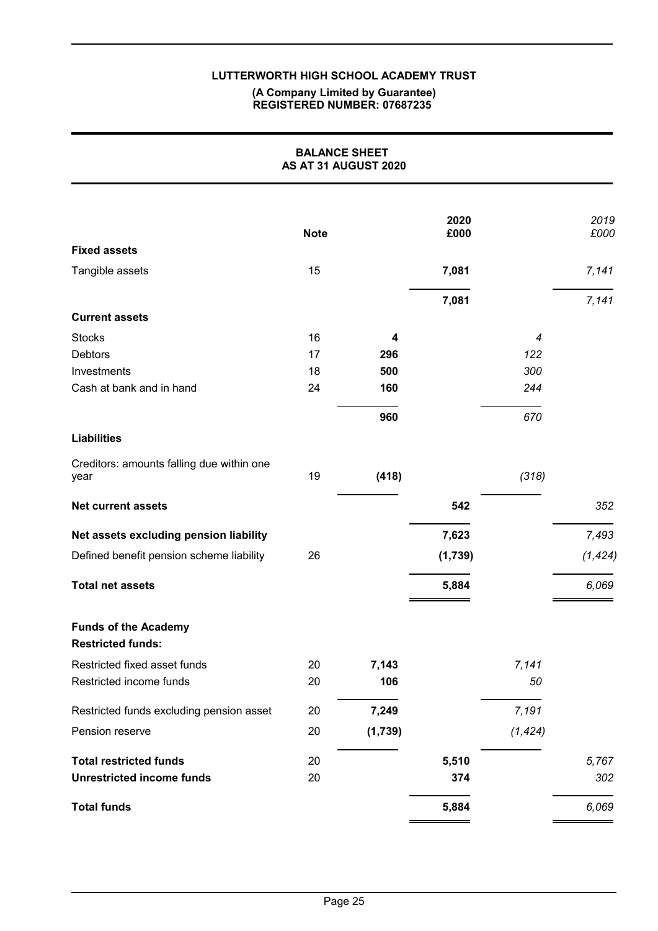#### **(A Company Limited by Guarantee) REGISTERED NUMBER: 07687235**

|                                                         | <b>BALANCE SHEET</b><br>AS AT 31 AUGUST 2020 |         |              |          |              |
|---------------------------------------------------------|----------------------------------------------|---------|--------------|----------|--------------|
|                                                         | <b>Note</b>                                  |         | 2020<br>£000 |          | 2019<br>£000 |
| <b>Fixed assets</b>                                     |                                              |         |              |          |              |
| Tangible assets                                         | 15                                           |         | 7,081        |          | 7,141        |
|                                                         |                                              |         | 7,081        |          | 7,141        |
| <b>Current assets</b>                                   |                                              |         |              |          |              |
| <b>Stocks</b>                                           | 16                                           | 4       |              | 4        |              |
| <b>Debtors</b>                                          | 17                                           | 296     |              | 122      |              |
| Investments                                             | 18                                           | 500     |              | 300      |              |
| Cash at bank and in hand                                | 24                                           | 160     |              | 244      |              |
|                                                         |                                              | 960     |              | 670      |              |
| <b>Liabilities</b>                                      |                                              |         |              |          |              |
| Creditors: amounts falling due within one<br>year       | 19                                           | (418)   |              | (318)    |              |
| <b>Net current assets</b>                               |                                              |         | 542          |          | 352          |
| Net assets excluding pension liability                  |                                              |         | 7,623        |          | 7,493        |
| Defined benefit pension scheme liability                | 26                                           |         | (1,739)      |          | (1, 424)     |
| <b>Total net assets</b>                                 |                                              |         | 5,884        |          | 6,069        |
| <b>Funds of the Academy</b><br><b>Restricted funds:</b> |                                              |         |              |          |              |
| Restricted fixed asset funds                            | 20                                           | 7,143   |              | 7,141    |              |
| Restricted income funds                                 | 20                                           | 106     |              | 50       |              |
| Restricted funds excluding pension asset                | 20                                           | 7,249   |              | 7,191    |              |
| Pension reserve                                         | 20                                           | (1,739) |              | (1, 424) |              |
| <b>Total restricted funds</b>                           | 20                                           |         | 5,510        |          | 5,767        |
| <b>Unrestricted income funds</b>                        | 20                                           |         | 374          |          | 302          |
| <b>Total funds</b>                                      |                                              |         | 5,884        |          | 6,069        |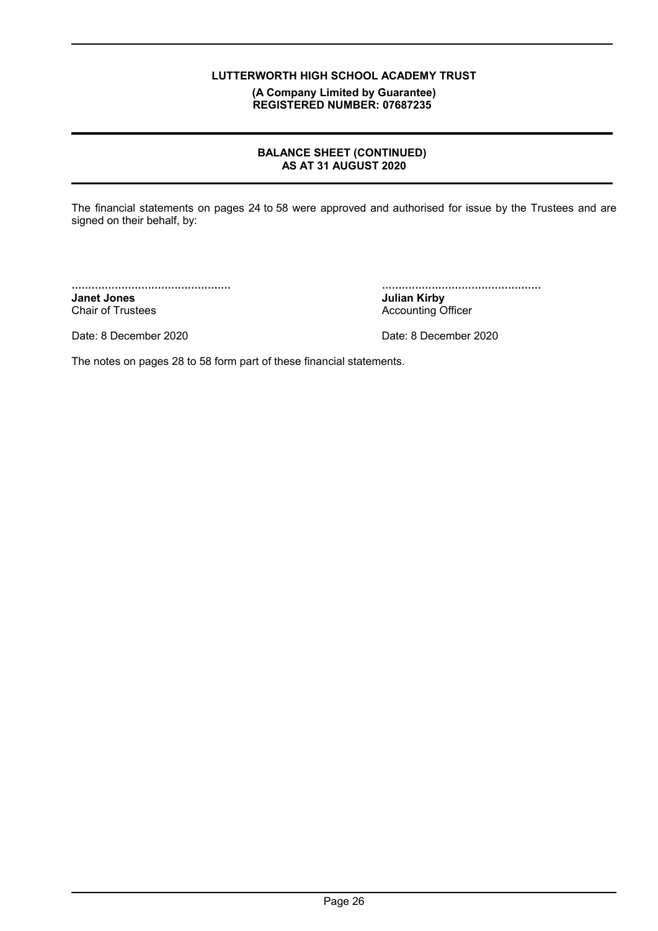**(A Company Limited by Guarantee) REGISTERED NUMBER: 07687235**

#### **BALANCE SHEET (CONTINUED) AS AT 31 AUGUST 2020**

The financial statements on pages 24 to 58 were approved and authorised for issue by the Trustees and are signed on their behalf, by:

................................................ **Janet Jones** Chair of Trustees

................................................ **Julian Kirby** Accounting Officer

Date: 8 December 2020 Date: 8 December 2020

The notes on pages 28 to 58 form part of these financial statements.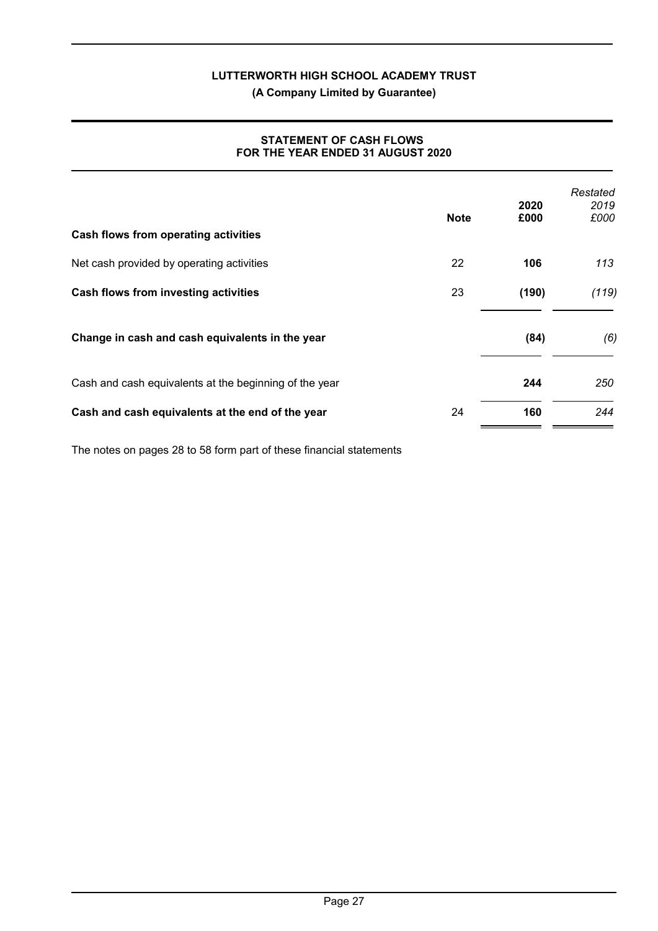**(A Company Limited by Guarantee)**

#### **STATEMENT OF CASH FLOWS FOR THE YEAR ENDED 31 AUGUST 2020**

| Cash flows from operating activities                   | <b>Note</b> | 2020<br>£000 | Restated<br>2019<br>£000 |
|--------------------------------------------------------|-------------|--------------|--------------------------|
| Net cash provided by operating activities              | 22          | 106          | 113                      |
| Cash flows from investing activities                   | 23          | (190)        | (119)                    |
| Change in cash and cash equivalents in the year        |             | (84)         | (6)                      |
| Cash and cash equivalents at the beginning of the year |             | 244          | 250                      |
| Cash and cash equivalents at the end of the year       | 24          | 160          | 244                      |

The notes on pages 28 to 58 form part of these financial statements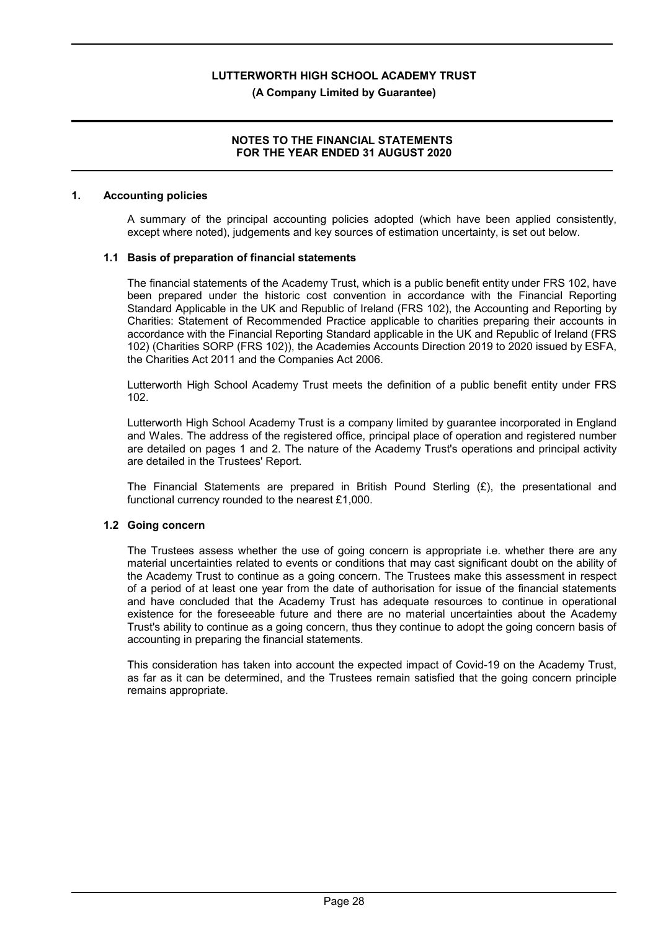#### **(A Company Limited by Guarantee)**

#### **NOTES TO THE FINANCIAL STATEMENTS FOR THE YEAR ENDED 31 AUGUST 2020**

#### **1. Accounting policies**

A summary of the principal accounting policies adopted (which have been applied consistently, except where noted), judgements and key sources of estimation uncertainty, is set out below.

#### **1.1 Basis of preparation of financial statements**

The financial statements of the Academy Trust, which is a public benefit entity under FRS 102, have been prepared under the historic cost convention in accordance with the Financial Reporting Standard Applicable in the UK and Republic of Ireland (FRS 102), the Accounting and Reporting by Charities: Statement of Recommended Practice applicable to charities preparing their accounts in accordance with the Financial Reporting Standard applicable in the UK and Republic of Ireland (FRS 102) (Charities SORP (FRS 102)), the Academies Accounts Direction 2019 to 2020 issued by ESFA, the Charities Act 2011 and the Companies Act 2006.

Lutterworth High School Academy Trust meets the definition of a public benefit entity under FRS 102.

Lutterworth High School Academy Trust is a company limited by guarantee incorporated in England and Wales. The address of the registered office, principal place of operation and registered number are detailed on pages 1 and 2. The nature of the Academy Trust's operations and principal activity are detailed in the Trustees' Report.

The Financial Statements are prepared in British Pound Sterling  $(E)$ , the presentational and functional currency rounded to the nearest £1,000.

#### **1.2 Going concern**

The Trustees assess whether the use of going concern is appropriate i.e. whether there are any material uncertainties related to events or conditions that may cast significant doubt on the ability of the Academy Trust to continue as a going concern. The Trustees make this assessment in respect of a period of at least one year from the date of authorisation for issue of the financial statements and have concluded that the Academy Trust has adequate resources to continue in operational existence for the foreseeable future and there are no material uncertainties about the Academy Trust's ability to continue as a going concern, thus they continue to adopt the going concern basis of accounting in preparing the financial statements.

This consideration has taken into account the expected impact of Covid-19 on the Academy Trust, as far as it can be determined, and the Trustees remain satisfied that the going concern principle remains appropriate.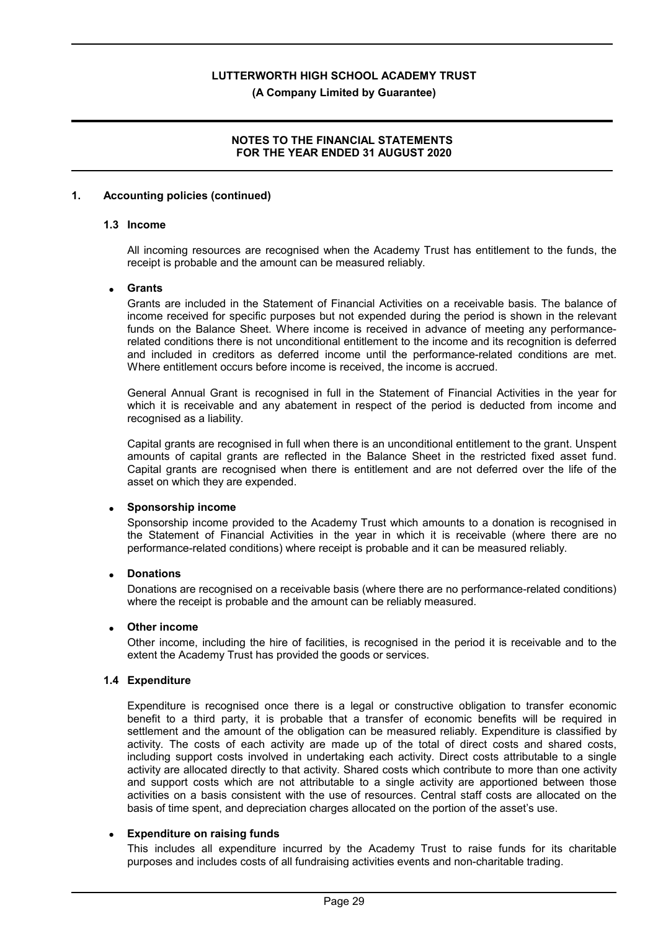**(A Company Limited by Guarantee)**

#### **NOTES TO THE FINANCIAL STATEMENTS FOR THE YEAR ENDED 31 AUGUST 2020**

#### **1. Accounting policies (continued)**

#### **1.3 Income**

All incoming resources are recognised when the Academy Trust has entitlement to the funds, the receipt is probable and the amount can be measured reliably.

#### **Grants**

Grants are included in the Statement of Financial Activities on a receivable basis. The balance of income received for specific purposes but not expended during the period is shown in the relevant funds on the Balance Sheet. Where income is received in advance of meeting any performancerelated conditions there is not unconditional entitlement to the income and its recognition is deferred and included in creditors as deferred income until the performance-related conditions are met. Where entitlement occurs before income is received, the income is accrued.

General Annual Grant is recognised in full in the Statement of Financial Activities in the year for which it is receivable and any abatement in respect of the period is deducted from income and recognised as a liability.

Capital grants are recognised in full when there is an unconditional entitlement to the grant. Unspent amounts of capital grants are reflected in the Balance Sheet in the restricted fixed asset fund. Capital grants are recognised when there is entitlement and are not deferred over the life of the asset on which they are expended.

#### **Sponsorship income**

Sponsorship income provided to the Academy Trust which amounts to a donation is recognised in the Statement of Financial Activities in the year in which it is receivable (where there are no performance-related conditions) where receipt is probable and it can be measured reliably.

#### **Donations**

Donations are recognised on a receivable basis (where there are no performance-related conditions) where the receipt is probable and the amount can be reliably measured.

#### **Other income**

Other income, including the hire of facilities, is recognised in the period it is receivable and to the extent the Academy Trust has provided the goods or services.

#### **1.4 Expenditure**

Expenditure is recognised once there is a legal or constructive obligation to transfer economic benefit to a third party, it is probable that a transfer of economic benefits will be required in settlement and the amount of the obligation can be measured reliably. Expenditure is classified by activity. The costs of each activity are made up of the total of direct costs and shared costs, including support costs involved in undertaking each activity. Direct costs attributable to a single activity are allocated directly to that activity. Shared costs which contribute to more than one activity and support costs which are not attributable to a single activity are apportioned between those activities on a basis consistent with the use of resources. Central staff costs are allocated on the basis of time spent, and depreciation charges allocated on the portion of the asset's use.

#### **Expenditure on raising funds**

This includes all expenditure incurred by the Academy Trust to raise funds for its charitable purposes and includes costs of all fundraising activities events and non-charitable trading.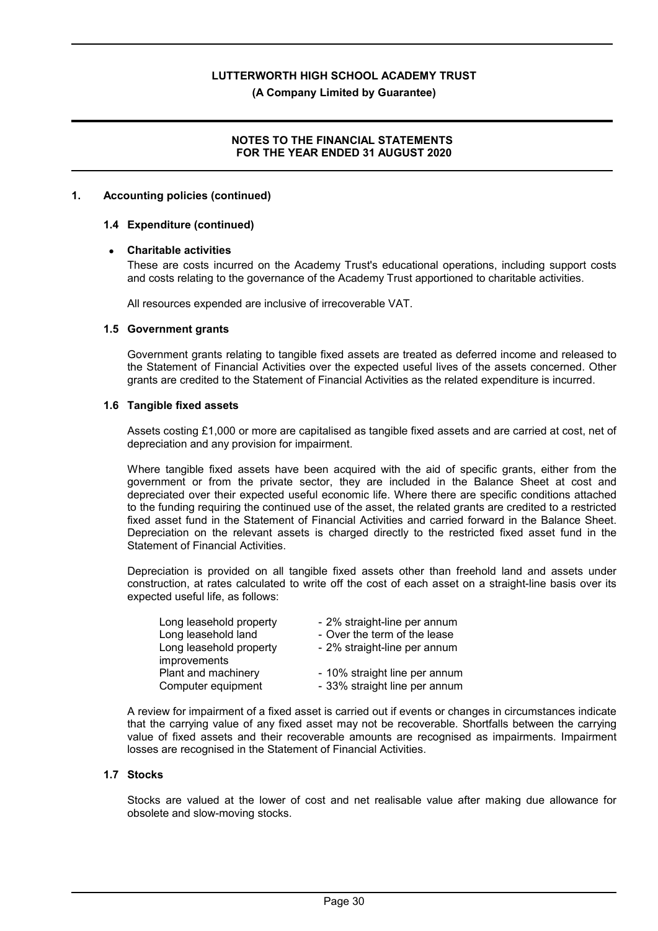**(A Company Limited by Guarantee)**

#### **NOTES TO THE FINANCIAL STATEMENTS FOR THE YEAR ENDED 31 AUGUST 2020**

#### **1. Accounting policies (continued)**

#### **1.4 Expenditure (continued)**

#### **Charitable activities**

These are costs incurred on the Academy Trust's educational operations, including support costs and costs relating to the governance of the Academy Trust apportioned to charitable activities.

All resources expended are inclusive of irrecoverable VAT.

#### **1.5 Government grants**

Government grants relating to tangible fixed assets are treated as deferred income and released to the Statement of Financial Activities over the expected useful lives of the assets concerned. Other grants are credited to the Statement of Financial Activities as the related expenditure is incurred.

#### **1.6 Tangible fixed assets**

Assets costing £1,000 or more are capitalised as tangible fixed assets and are carried at cost, net of depreciation and any provision for impairment.

Where tangible fixed assets have been acquired with the aid of specific grants, either from the government or from the private sector, they are included in the Balance Sheet at cost and depreciated over their expected useful economic life. Where there are specific conditions attached to the funding requiring the continued use of the asset, the related grants are credited to a restricted fixed asset fund in the Statement of Financial Activities and carried forward in the Balance Sheet. Depreciation on the relevant assets is charged directly to the restricted fixed asset fund in the Statement of Financial Activities.

Depreciation is provided on all tangible fixed assets other than freehold land and assets under construction, at rates calculated to write off the cost of each asset on a straight-line basis over its expected useful life, as follows:

| Long leasehold property | - 2% straight-line per annum  |
|-------------------------|-------------------------------|
| Long leasehold land     | - Over the term of the lease  |
| Long leasehold property | - 2% straight-line per annum  |
| improvements            |                               |
| Plant and machinery     | - 10% straight line per annum |
| Computer equipment      | - 33% straight line per annum |

A review for impairment of a fixed asset is carried out if events or changes in circumstances indicate that the carrying value of any fixed asset may not be recoverable. Shortfalls between the carrying value of fixed assets and their recoverable amounts are recognised as impairments. Impairment losses are recognised in the Statement of Financial Activities.

#### **1.7 Stocks**

Stocks are valued at the lower of cost and net realisable value after making due allowance for obsolete and slow-moving stocks.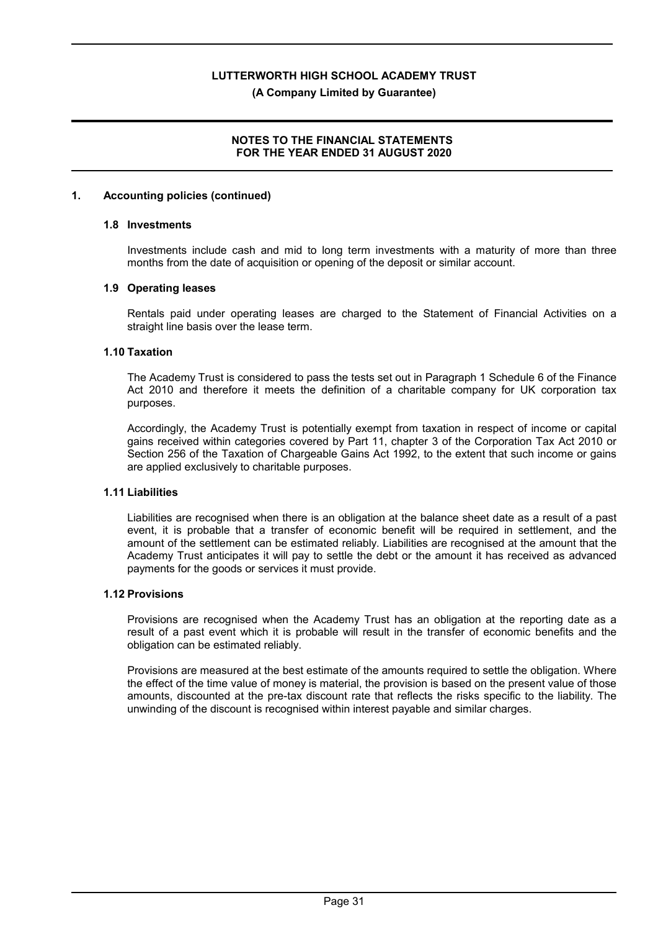**(A Company Limited by Guarantee)**

#### **NOTES TO THE FINANCIAL STATEMENTS FOR THE YEAR ENDED 31 AUGUST 2020**

#### **1. Accounting policies (continued)**

#### **1.8 Investments**

Investments include cash and mid to long term investments with a maturity of more than three months from the date of acquisition or opening of the deposit or similar account.

#### **1.9 Operating leases**

Rentals paid under operating leases are charged to the Statement of Financial Activities on a straight line basis over the lease term.

#### **1.10 Taxation**

The Academy Trust is considered to pass the tests set out in Paragraph 1 Schedule 6 of the Finance Act 2010 and therefore it meets the definition of a charitable company for UK corporation tax purposes.

Accordingly, the Academy Trust is potentially exempt from taxation in respect of income or capital gains received within categories covered by Part 11, chapter 3 of the Corporation Tax Act 2010 or Section 256 of the Taxation of Chargeable Gains Act 1992, to the extent that such income or gains are applied exclusively to charitable purposes.

#### **1.11 Liabilities**

Liabilities are recognised when there is an obligation at the balance sheet date as a result of a past event, it is probable that a transfer of economic benefit will be required in settlement, and the amount of the settlement can be estimated reliably. Liabilities are recognised at the amount that the Academy Trust anticipates it will pay to settle the debt or the amount it has received as advanced payments for the goods or services it must provide.

#### **1.12 Provisions**

Provisions are recognised when the Academy Trust has an obligation at the reporting date as a result of a past event which it is probable will result in the transfer of economic benefits and the obligation can be estimated reliably.

Provisions are measured at the best estimate of the amounts required to settle the obligation. Where the effect of the time value of money is material, the provision is based on the present value of those amounts, discounted at the pre-tax discount rate that reflects the risks specific to the liability. The unwinding of the discount is recognised within interest payable and similar charges.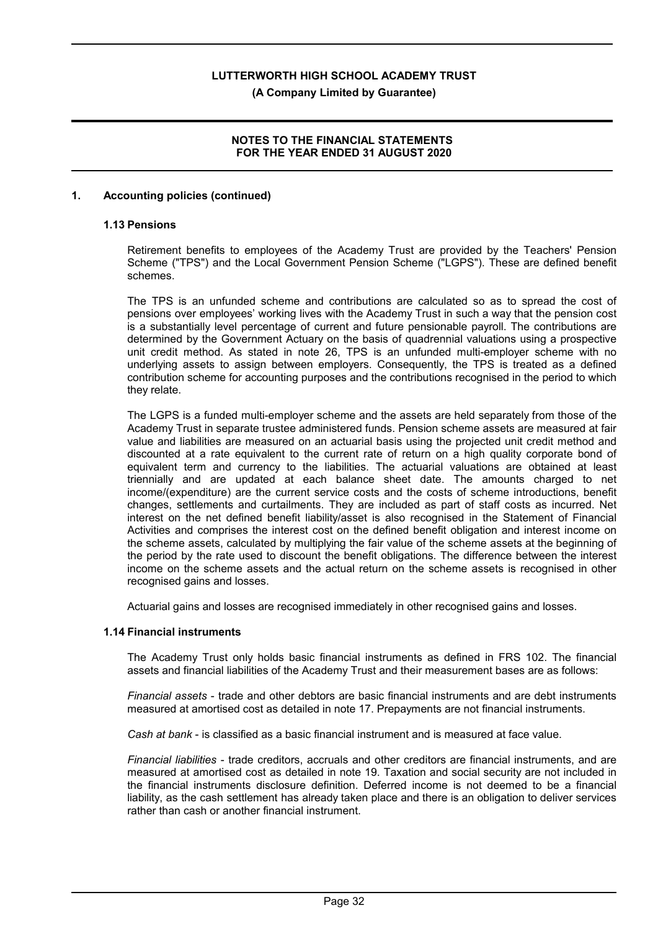**(A Company Limited by Guarantee)**

#### **NOTES TO THE FINANCIAL STATEMENTS FOR THE YEAR ENDED 31 AUGUST 2020**

#### **1. Accounting policies (continued)**

#### **1.13 Pensions**

Retirement benefits to employees of the Academy Trust are provided by the Teachers' Pension Scheme ("TPS") and the Local Government Pension Scheme ("LGPS"). These are defined benefit schemes.

The TPS is an unfunded scheme and contributions are calculated so as to spread the cost of pensions over employees' working lives with the Academy Trust in such a way that the pension cost is a substantially level percentage of current and future pensionable payroll. The contributions are determined by the Government Actuary on the basis of quadrennial valuations using a prospective unit credit method. As stated in note 26, TPS is an unfunded multi-employer scheme with no underlying assets to assign between employers. Consequently, the TPS is treated as a defined contribution scheme for accounting purposes and the contributions recognised in the period to which they relate.

The LGPS is a funded multi-employer scheme and the assets are held separately from those of the Academy Trust in separate trustee administered funds. Pension scheme assets are measured at fair value and liabilities are measured on an actuarial basis using the projected unit credit method and discounted at a rate equivalent to the current rate of return on a high quality corporate bond of equivalent term and currency to the liabilities. The actuarial valuations are obtained at least triennially and are updated at each balance sheet date. The amounts charged to net income/(expenditure) are the current service costs and the costs of scheme introductions, benefit changes, settlements and curtailments. They are included as part of staff costs as incurred. Net interest on the net defined benefit liability/asset is also recognised in the Statement of Financial Activities and comprises the interest cost on the defined benefit obligation and interest income on the scheme assets, calculated by multiplying the fair value of the scheme assets at the beginning of the period by the rate used to discount the benefit obligations. The difference between the interest income on the scheme assets and the actual return on the scheme assets is recognised in other recognised gains and losses.

Actuarial gains and losses are recognised immediately in other recognised gains and losses.

#### **1.14 Financial instruments**

The Academy Trust only holds basic financial instruments as defined in FRS 102. The financial assets and financial liabilities of the Academy Trust and their measurement bases are as follows:

*Financial assets* - trade and other debtors are basic financial instruments and are debt instruments measured at amortised cost as detailed in note 17. Prepayments are not financial instruments.

*Cash at bank* - is classified as a basic financial instrument and is measured at face value.

*Financial liabilities* - trade creditors, accruals and other creditors are financial instruments, and are measured at amortised cost as detailed in note 19. Taxation and social security are not included in the financial instruments disclosure definition. Deferred income is not deemed to be a financial liability, as the cash settlement has already taken place and there is an obligation to deliver services rather than cash or another financial instrument.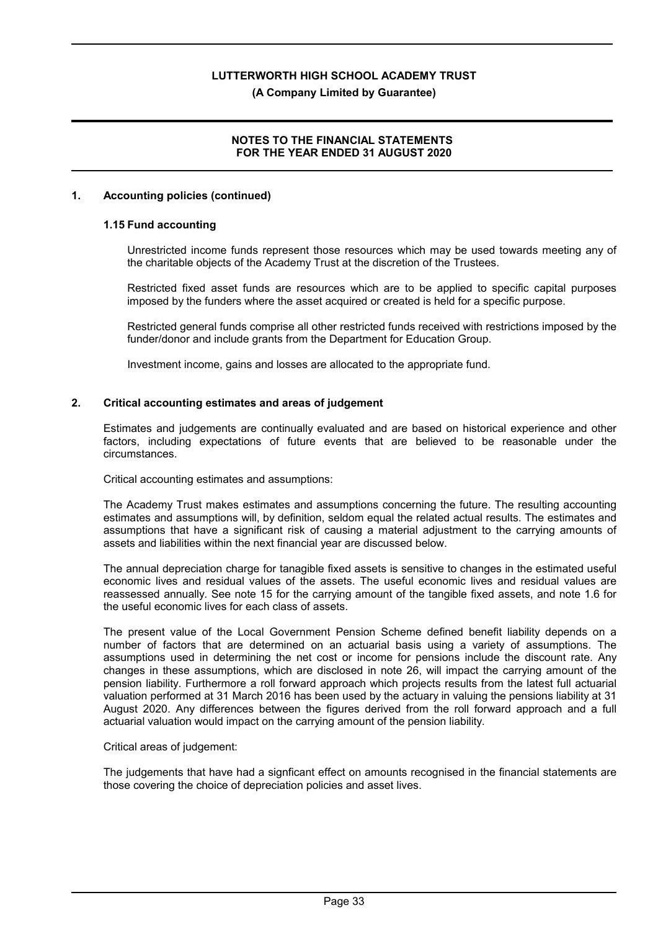#### **(A Company Limited by Guarantee)**

#### **NOTES TO THE FINANCIAL STATEMENTS FOR THE YEAR ENDED 31 AUGUST 2020**

#### **1. Accounting policies (continued)**

#### **1.15 Fund accounting**

Unrestricted income funds represent those resources which may be used towards meeting any of the charitable objects of the Academy Trust at the discretion of the Trustees.

Restricted fixed asset funds are resources which are to be applied to specific capital purposes imposed by the funders where the asset acquired or created is held for a specific purpose.

Restricted general funds comprise all other restricted funds received with restrictions imposed by the funder/donor and include grants from the Department for Education Group.

Investment income, gains and losses are allocated to the appropriate fund.

#### **2. Critical accounting estimates and areas of judgement**

Estimates and judgements are continually evaluated and are based on historical experience and other factors, including expectations of future events that are believed to be reasonable under the circumstances.

Critical accounting estimates and assumptions:

The Academy Trust makes estimates and assumptions concerning the future. The resulting accounting estimates and assumptions will, by definition, seldom equal the related actual results. The estimates and assumptions that have a significant risk of causing a material adjustment to the carrying amounts of assets and liabilities within the next financial year are discussed below.

The annual depreciation charge for tanagible fixed assets is sensitive to changes in the estimated useful economic lives and residual values of the assets. The useful economic lives and residual values are reassessed annually. See note 15 for the carrying amount of the tangible fixed assets, and note 1.6 for the useful economic lives for each class of assets.

The present value of the Local Government Pension Scheme defined benefit liability depends on a number of factors that are determined on an actuarial basis using a variety of assumptions. The assumptions used in determining the net cost or income for pensions include the discount rate. Any changes in these assumptions, which are disclosed in note 26, will impact the carrying amount of the pension liability. Furthermore a roll forward approach which projects results from the latest full actuarial valuation performed at 31 March 2016 has been used by the actuary in valuing the pensions liability at 31 August 2020. Any differences between the figures derived from the roll forward approach and a full actuarial valuation would impact on the carrying amount of the pension liability.

#### Critical areas of judgement:

The judgements that have had a signficant effect on amounts recognised in the financial statements are those covering the choice of depreciation policies and asset lives.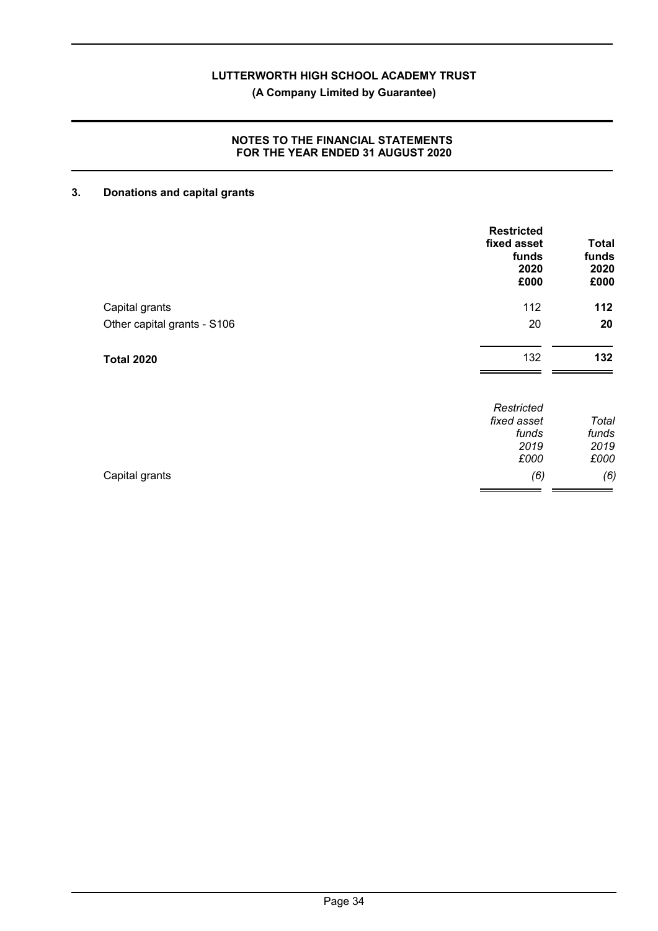**(A Company Limited by Guarantee)**

#### **NOTES TO THE FINANCIAL STATEMENTS FOR THE YEAR ENDED 31 AUGUST 2020**

## **3. Donations and capital grants**

|                             | <b>Restricted</b><br>fixed asset<br>funds<br>2020<br>£000 | <b>Total</b><br>funds<br>2020<br>£000 |
|-----------------------------|-----------------------------------------------------------|---------------------------------------|
| Capital grants              | 112                                                       | 112                                   |
| Other capital grants - S106 | 20                                                        | 20                                    |
| <b>Total 2020</b>           | 132                                                       | 132                                   |
|                             | Restricted                                                |                                       |
|                             | fixed asset                                               | Total                                 |
|                             | funds<br>2019                                             | funds                                 |
|                             | £000                                                      | 2019<br>£000                          |

#### Capital grants *(6) (6)*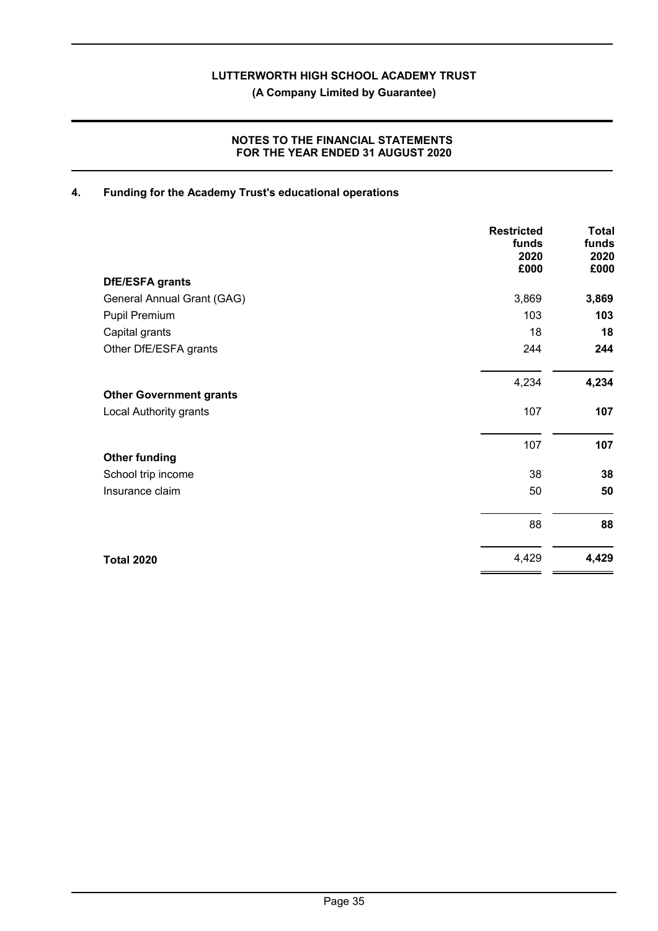**(A Company Limited by Guarantee)**

#### **NOTES TO THE FINANCIAL STATEMENTS FOR THE YEAR ENDED 31 AUGUST 2020**

## **4. Funding for the Academy Trust's educational operations**

|                                | <b>Restricted</b><br>funds<br>2020<br>£000 | <b>Total</b><br>funds<br>2020<br>£000 |
|--------------------------------|--------------------------------------------|---------------------------------------|
| <b>DfE/ESFA grants</b>         |                                            |                                       |
| General Annual Grant (GAG)     | 3,869                                      | 3,869                                 |
| Pupil Premium                  | 103                                        | 103                                   |
| Capital grants                 | 18                                         | 18                                    |
| Other DfE/ESFA grants          | 244                                        | 244                                   |
|                                | 4,234                                      | 4,234                                 |
| <b>Other Government grants</b> |                                            |                                       |
| Local Authority grants         | 107                                        | 107                                   |
|                                | 107                                        | 107                                   |
| <b>Other funding</b>           |                                            |                                       |
| School trip income             | 38                                         | 38                                    |
| Insurance claim                | 50                                         | 50                                    |
|                                | 88                                         | 88                                    |
| <b>Total 2020</b>              | 4,429                                      | 4,429                                 |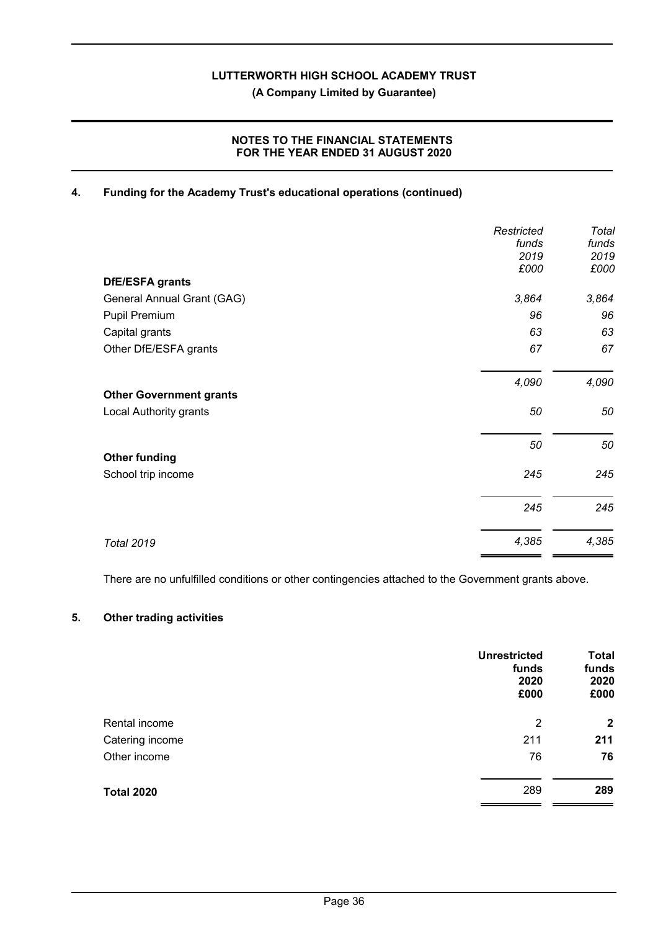**(A Company Limited by Guarantee)**

#### **NOTES TO THE FINANCIAL STATEMENTS FOR THE YEAR ENDED 31 AUGUST 2020**

#### **4. Funding for the Academy Trust's educational operations (continued)**

|                                | Restricted    | Total         |
|--------------------------------|---------------|---------------|
|                                | funds<br>2019 | funds<br>2019 |
|                                | £000          | £000          |
| <b>DfE/ESFA grants</b>         |               |               |
| General Annual Grant (GAG)     | 3,864         | 3,864         |
| Pupil Premium                  | 96            | 96            |
| Capital grants                 | 63            | 63            |
| Other DfE/ESFA grants          | 67            | 67            |
|                                | 4,090         | 4,090         |
| <b>Other Government grants</b> |               |               |
| Local Authority grants         | 50            | 50            |
|                                | 50            | 50            |
| <b>Other funding</b>           |               |               |
| School trip income             | 245           | 245           |
|                                | 245           | 245           |
| <b>Total 2019</b>              | 4,385         | 4,385         |

There are no unfulfilled conditions or other contingencies attached to the Government grants above.

#### **5. Other trading activities**

|                   | <b>Unrestricted</b><br>funds<br>2020<br>£000 | <b>Total</b><br>funds<br>2020<br>£000 |
|-------------------|----------------------------------------------|---------------------------------------|
| Rental income     | $\overline{2}$                               | $\mathbf{2}$                          |
| Catering income   | 211                                          | 211                                   |
| Other income      | 76                                           | 76                                    |
| <b>Total 2020</b> | 289                                          | 289                                   |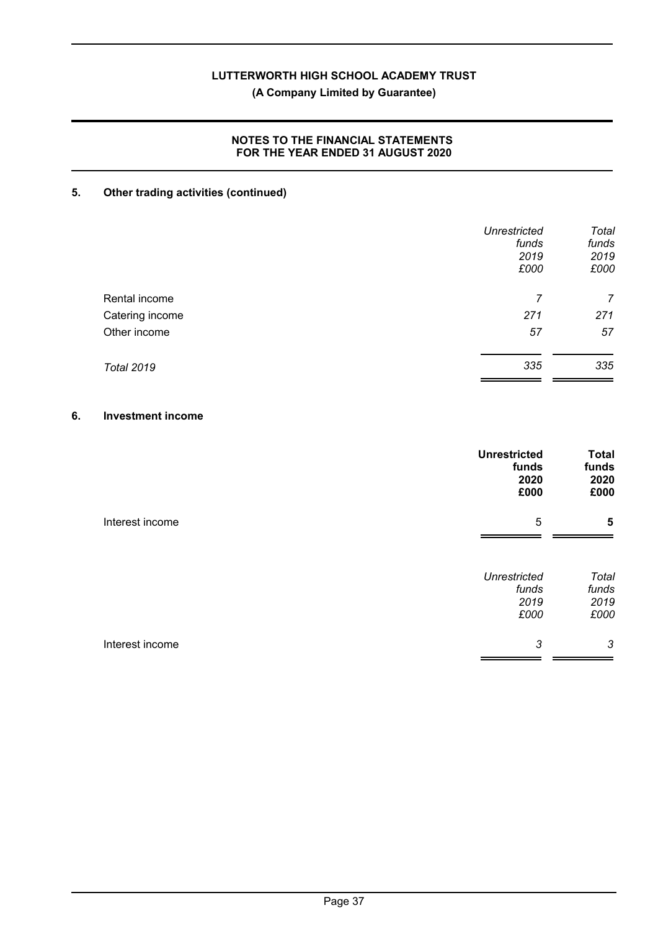**(A Company Limited by Guarantee)**

#### **NOTES TO THE FINANCIAL STATEMENTS FOR THE YEAR ENDED 31 AUGUST 2020**

## **5. Other trading activities (continued)**

|                   | <b>Unrestricted</b> | Total |
|-------------------|---------------------|-------|
|                   | funds               | funds |
|                   | 2019                | 2019  |
|                   | £000                | £000  |
| Rental income     | 7                   | 7     |
| Catering income   | 271                 | 271   |
| Other income      | 57                  | 57    |
| <b>Total 2019</b> | 335                 | 335   |
|                   |                     |       |

#### **6. Investment income**

|                 | <b>Unrestricted</b><br>funds<br>2020<br>£000 | <b>Total</b><br>funds<br>2020<br>£000 |
|-----------------|----------------------------------------------|---------------------------------------|
| Interest income | 5                                            | 5                                     |
|                 | <b>Unrestricted</b><br>funds<br>2019<br>£000 | Total<br>funds<br>2019<br>£000        |
| Interest income | 3                                            | 3                                     |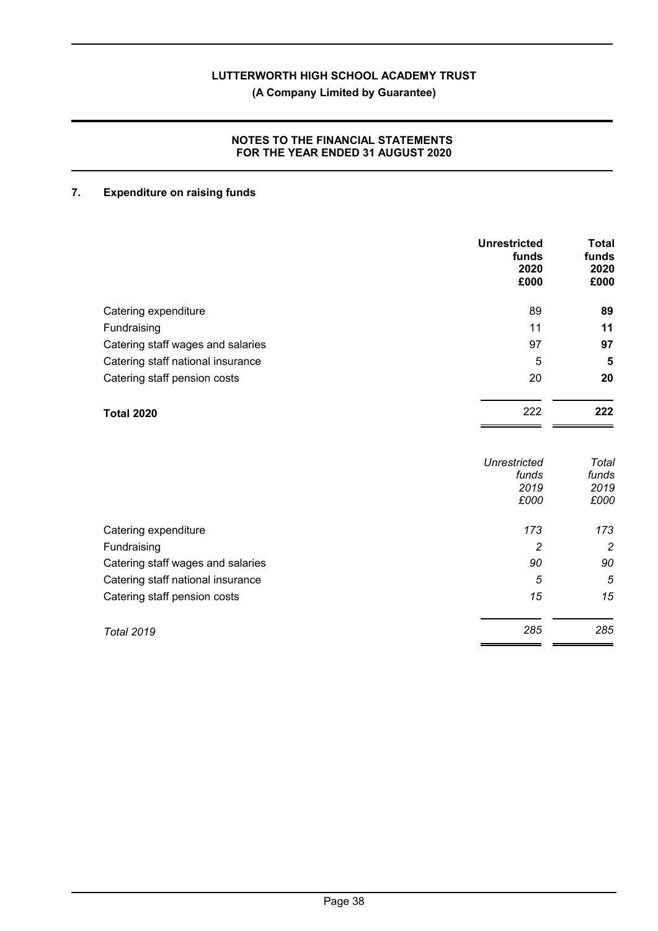**(A Company Limited by Guarantee)**

#### **NOTES TO THE FINANCIAL STATEMENTS FOR THE YEAR ENDED 31 AUGUST 2020**

## **7. Expenditure on raising funds**

|                                   | <b>Unrestricted</b><br>funds<br>2020<br>£000 | <b>Total</b><br>funds<br>2020<br>£000 |
|-----------------------------------|----------------------------------------------|---------------------------------------|
| Catering expenditure              | 89                                           | 89                                    |
| Fundraising                       | 11                                           | 11                                    |
| Catering staff wages and salaries | 97                                           | 97                                    |
| Catering staff national insurance | 5                                            | 5                                     |
| Catering staff pension costs      | 20                                           | 20                                    |
| <b>Total 2020</b>                 | 222                                          | 222                                   |
|                                   | <b>Unrestricted</b><br>funds<br>2019<br>£000 | Total<br>funds<br>2019<br>£000        |
| Catering expenditure              | 173                                          | 173                                   |
| Fundraising                       | $\overline{c}$                               | $\overline{c}$                        |
| Catering staff wages and salaries | 90                                           | 90                                    |
| Catering staff national insurance | 5                                            | 5                                     |
| Catering staff pension costs      | 15                                           | 15                                    |
| <b>Total 2019</b>                 | 285                                          | 285                                   |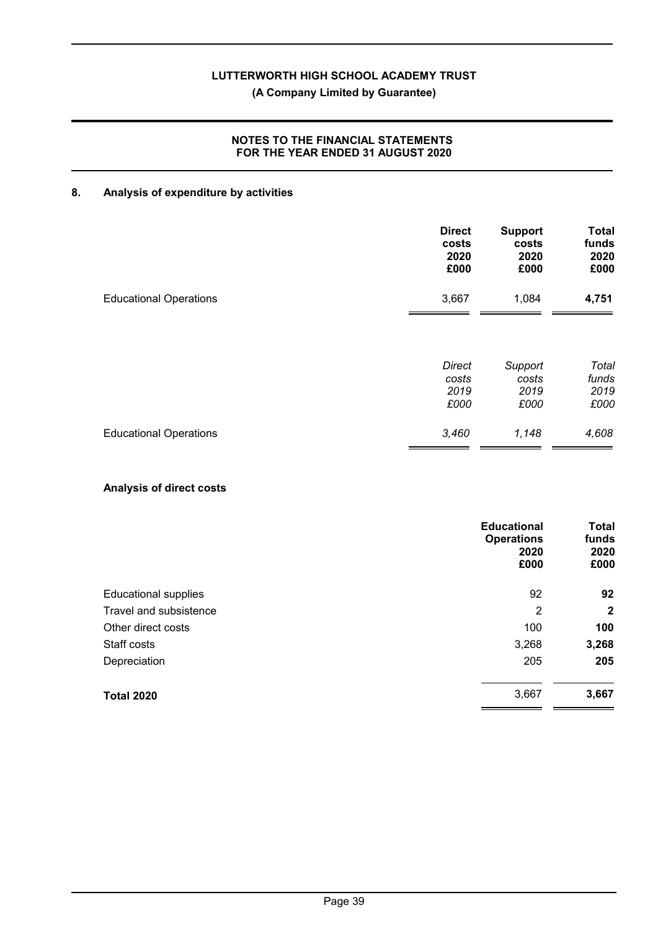#### **(A Company Limited by Guarantee)**

#### **NOTES TO THE FINANCIAL STATEMENTS FOR THE YEAR ENDED 31 AUGUST 2020**

#### **8. Analysis of expenditure by activities**

|                               | <b>Direct</b> | <b>Support</b> | <b>Total</b> |
|-------------------------------|---------------|----------------|--------------|
|                               | costs         | costs          | funds        |
|                               | 2020          | 2020           | 2020         |
|                               | £000          | £000           | £000         |
| <b>Educational Operations</b> | 3,667         | 1,084          | 4,751        |
|                               | Direct        | Support        | Total        |
|                               | costs         | costs          | funds        |
|                               | 2019          | 2019           | 2019         |
|                               | £000          | £000           | £000         |
| <b>Educational Operations</b> | 3,460         | 1,148          | 4,608        |

#### **Analysis of direct costs**

|                             | <b>Educational</b><br><b>Operations</b><br>2020<br>£000 | <b>Total</b><br>funds<br>2020<br>£000 |
|-----------------------------|---------------------------------------------------------|---------------------------------------|
| <b>Educational supplies</b> | 92                                                      | 92                                    |
| Travel and subsistence      | 2                                                       | $\mathbf{2}$                          |
| Other direct costs          | 100                                                     | 100                                   |
| Staff costs                 | 3,268                                                   | 3,268                                 |
| Depreciation                | 205                                                     | 205                                   |
| <b>Total 2020</b>           | 3,667                                                   | 3,667                                 |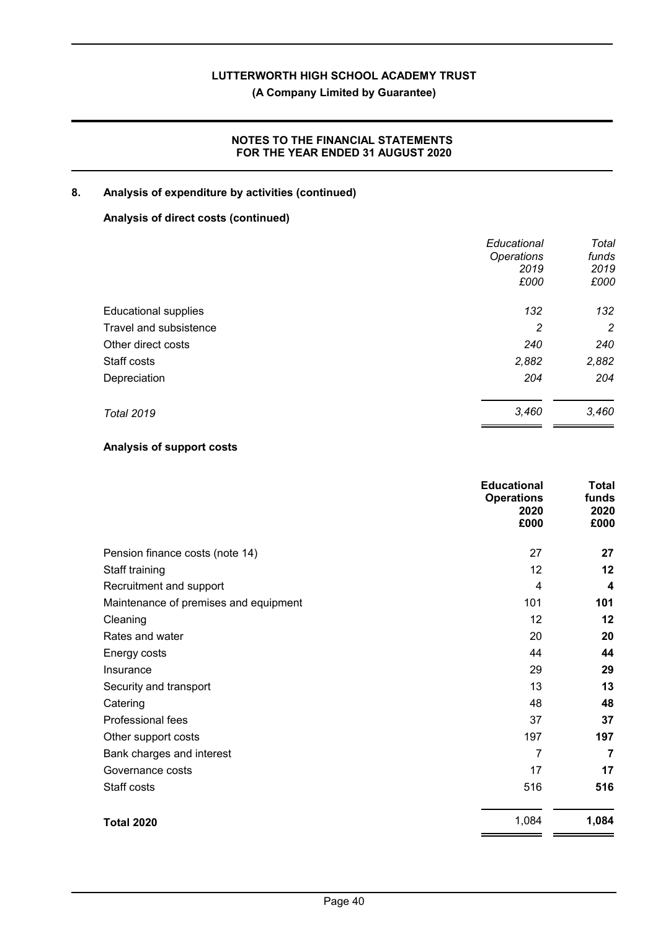**(A Company Limited by Guarantee)**

#### **NOTES TO THE FINANCIAL STATEMENTS FOR THE YEAR ENDED 31 AUGUST 2020**

#### **8. Analysis of expenditure by activities (continued)**

#### **Analysis of direct costs (continued)**

|                             | Educational       | Total          |
|-----------------------------|-------------------|----------------|
|                             | <b>Operations</b> | funds          |
|                             | 2019              | 2019           |
|                             | £000              | £000           |
| <b>Educational supplies</b> | 132               | 132            |
| Travel and subsistence      | 2                 | $\overline{2}$ |
| Other direct costs          | 240               | 240            |
| Staff costs                 | 2,882             | 2,882          |
| Depreciation                | 204               | 204            |
| <b>Total 2019</b>           | 3,460             | 3,460          |

#### **Analysis of support costs**

|                                       | <b>Educational</b><br><b>Operations</b><br>2020<br>£000 | Total<br>funds<br>2020<br>£000 |
|---------------------------------------|---------------------------------------------------------|--------------------------------|
| Pension finance costs (note 14)       | 27                                                      | 27                             |
| Staff training                        | 12                                                      | 12                             |
| Recruitment and support               | 4                                                       | 4                              |
| Maintenance of premises and equipment | 101                                                     | 101                            |
| Cleaning                              | 12                                                      | 12                             |
| Rates and water                       | 20                                                      | 20                             |
| Energy costs                          | 44                                                      | 44                             |
| Insurance                             | 29                                                      | 29                             |
| Security and transport                | 13                                                      | 13                             |
| Catering                              | 48                                                      | 48                             |
| <b>Professional fees</b>              | 37                                                      | 37                             |
| Other support costs                   | 197                                                     | 197                            |
| Bank charges and interest             | 7                                                       | $\overline{7}$                 |
| Governance costs                      | 17                                                      | 17                             |
| Staff costs                           | 516                                                     | 516                            |
| <b>Total 2020</b>                     | 1,084                                                   | 1,084                          |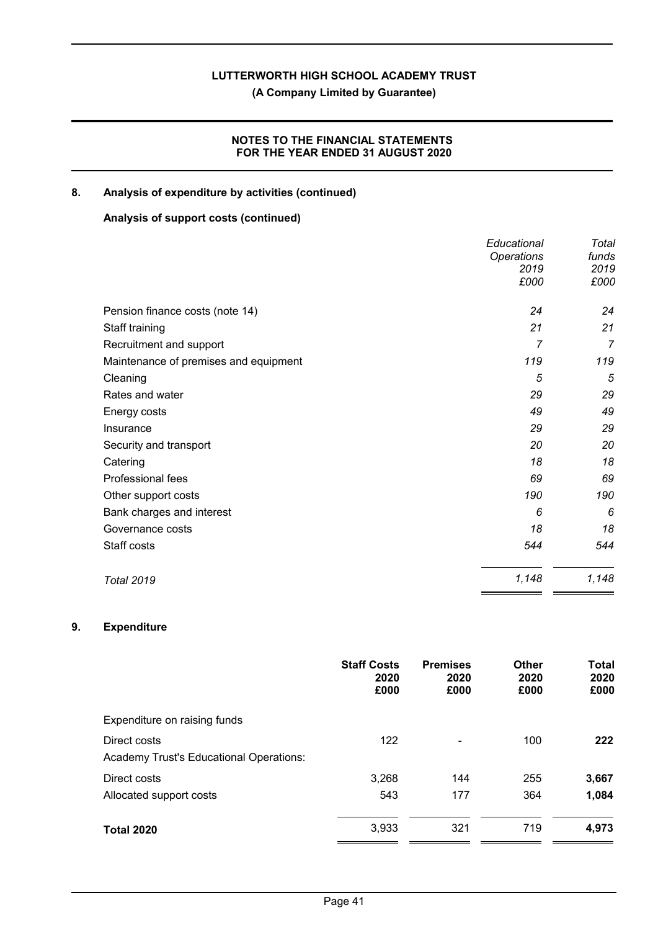**(A Company Limited by Guarantee)**

#### **NOTES TO THE FINANCIAL STATEMENTS FOR THE YEAR ENDED 31 AUGUST 2020**

#### **8. Analysis of expenditure by activities (continued)**

#### **Analysis of support costs (continued)**

|                                       | Educational       | Total          |
|---------------------------------------|-------------------|----------------|
|                                       | <b>Operations</b> | funds          |
|                                       | 2019              | 2019           |
|                                       | £000              | £000           |
| Pension finance costs (note 14)       | 24                | 24             |
| Staff training                        | 21                | 21             |
| Recruitment and support               | 7                 | $\overline{7}$ |
| Maintenance of premises and equipment | 119               | 119            |
| Cleaning                              | 5                 | 5              |
| Rates and water                       | 29                | 29             |
| Energy costs                          | 49                | 49             |
| Insurance                             | 29                | 29             |
| Security and transport                | 20                | 20             |
| Catering                              | 18                | 18             |
| Professional fees                     | 69                | 69             |
| Other support costs                   | 190               | 190            |
| Bank charges and interest             | 6                 | 6              |
| Governance costs                      | 18                | 18             |
| Staff costs                           | 544               | 544            |
| <b>Total 2019</b>                     | 1,148             | 1,148          |

### **9. Expenditure**

|                                         | <b>Staff Costs</b><br>2020<br>£000 | <b>Premises</b><br>2020<br>£000 | <b>Other</b><br>2020<br>£000 | <b>Total</b><br>2020<br>£000 |
|-----------------------------------------|------------------------------------|---------------------------------|------------------------------|------------------------------|
| Expenditure on raising funds            |                                    |                                 |                              |                              |
| Direct costs                            | 122                                | -                               | 100                          | 222                          |
| Academy Trust's Educational Operations: |                                    |                                 |                              |                              |
| Direct costs                            | 3,268                              | 144                             | 255                          | 3,667                        |
| Allocated support costs                 | 543                                | 177                             | 364                          | 1,084                        |
| <b>Total 2020</b>                       | 3,933                              | 321                             | 719                          | 4,973                        |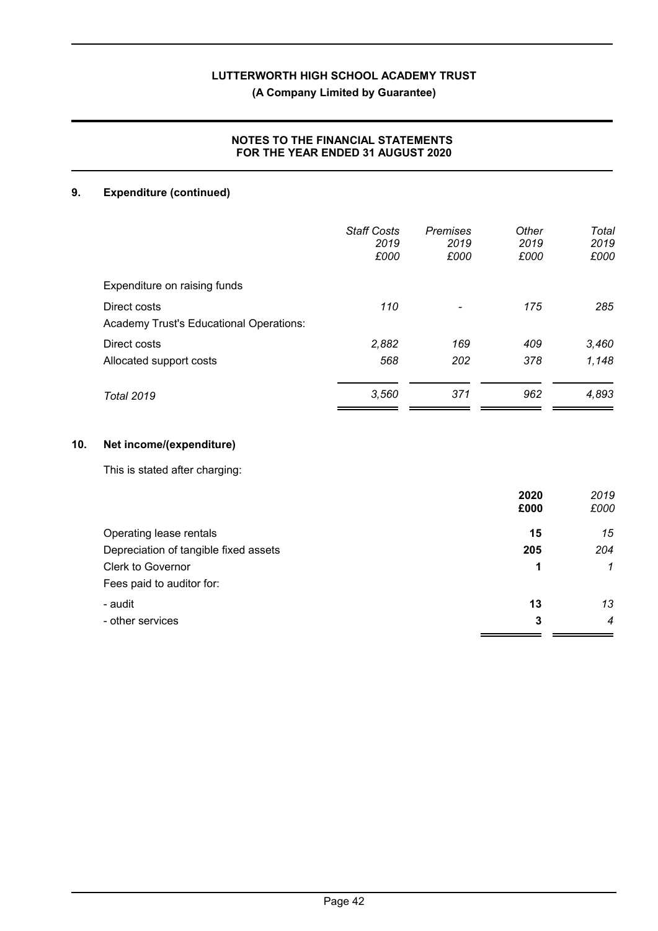## **(A Company Limited by Guarantee)**

#### **NOTES TO THE FINANCIAL STATEMENTS FOR THE YEAR ENDED 31 AUGUST 2020**

## **9. Expenditure (continued)**

|                                                         | <b>Staff Costs</b><br>2019<br>£000 | Premises<br>2019<br>£000 | Other<br>2019<br>£000 | Total<br>2019<br>£000 |
|---------------------------------------------------------|------------------------------------|--------------------------|-----------------------|-----------------------|
| Expenditure on raising funds                            |                                    |                          |                       |                       |
| Direct costs<br>Academy Trust's Educational Operations: | 110                                |                          | 175                   | 285                   |
| Direct costs                                            | 2,882                              | 169                      | 409                   | 3,460                 |
| Allocated support costs                                 | 568                                | 202                      | 378                   | 1,148                 |
| <b>Total 2019</b>                                       | 3,560                              | 371                      | 962                   | 4,893                 |

#### **10. Net income/(expenditure)**

This is stated after charging:

|                                       | 2020 | 2019           |
|---------------------------------------|------|----------------|
|                                       | £000 | £000           |
| Operating lease rentals               | 15   | 15             |
| Depreciation of tangible fixed assets | 205  | 204            |
| <b>Clerk to Governor</b>              | 1    | $\mathcal I$   |
| Fees paid to auditor for:             |      |                |
| - audit                               | 13   | 13             |
| - other services                      | 3    | $\overline{4}$ |
|                                       |      |                |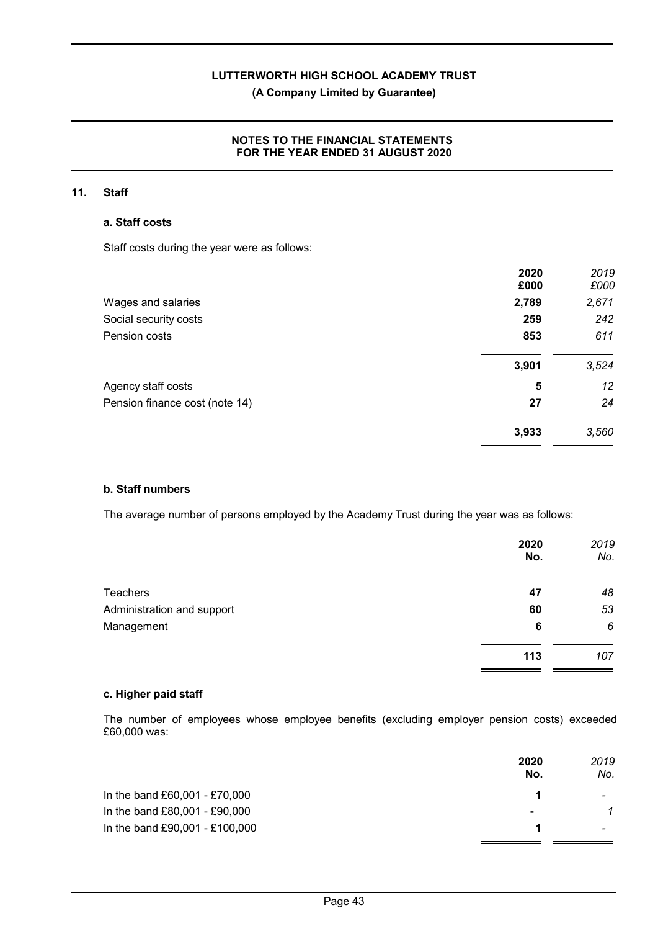### **(A Company Limited by Guarantee)**

#### **NOTES TO THE FINANCIAL STATEMENTS FOR THE YEAR ENDED 31 AUGUST 2020**

#### **11. Staff**

#### **a. Staff costs**

Staff costs during the year were as follows:

|                                | 2020<br>£000 | 2019<br>£000 |
|--------------------------------|--------------|--------------|
| Wages and salaries             | 2,789        | 2,671        |
| Social security costs          | 259          | 242          |
| Pension costs                  | 853          | 611          |
|                                | 3,901        | 3,524        |
| Agency staff costs             | 5            | 12           |
| Pension finance cost (note 14) | 27           | 24           |
|                                | 3,933        | 3,560        |

#### **b. Staff numbers**

The average number of persons employed by the Academy Trust during the year was as follows:

|                            | 2020<br>No. | 2019<br>No. |
|----------------------------|-------------|-------------|
| <b>Teachers</b>            | 47          | 48          |
| Administration and support | 60          | 53          |
| Management                 | 6           | 6           |
|                            | 113         | 107         |

#### **c. Higher paid staff**

The number of employees whose employee benefits (excluding employer pension costs) exceeded £60,000 was:

|                                | 2020<br>No.    | 2019<br>No. |
|--------------------------------|----------------|-------------|
| In the band £60,001 - £70,000  |                |             |
| In the band £80,001 - £90,000  | $\blacksquare$ |             |
| In the band £90,001 - £100,000 |                |             |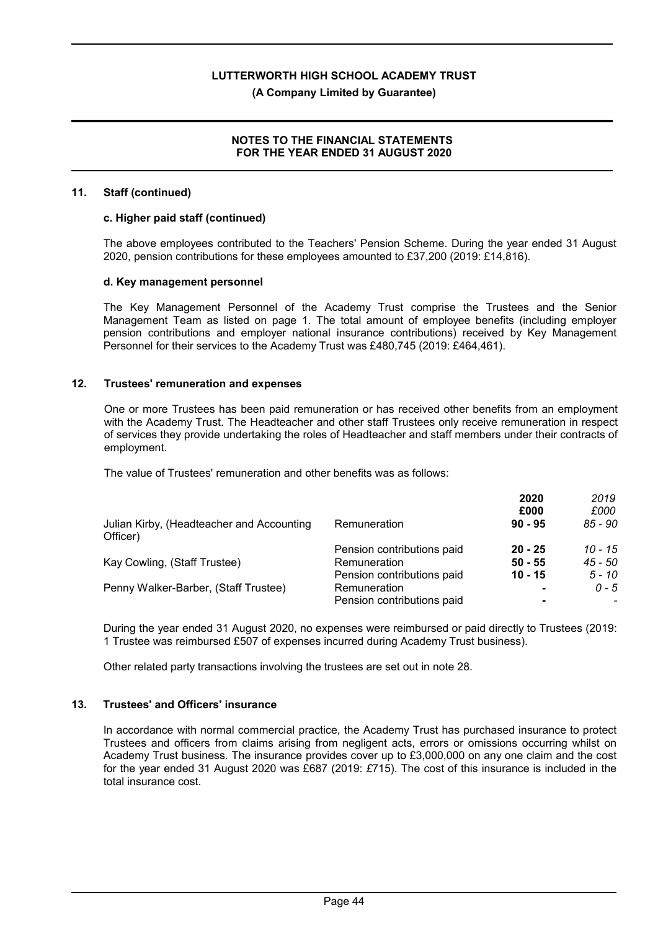#### **(A Company Limited by Guarantee)**

#### **NOTES TO THE FINANCIAL STATEMENTS FOR THE YEAR ENDED 31 AUGUST 2020**

#### **11. Staff (continued)**

#### **c. Higher paid staff (continued)**

The above employees contributed to the Teachers' Pension Scheme. During the year ended 31 August 2020, pension contributions for these employees amounted to £37,200 (2019: £14,816).

#### **d. Key management personnel**

The Key Management Personnel of the Academy Trust comprise the Trustees and the Senior Management Team as listed on page 1. The total amount of employee benefits (including employer pension contributions and employer national insurance contributions) received by Key Management Personnel for their services to the Academy Trust was £480,745 (2019: £464,461).

#### **12. Trustees' remuneration and expenses**

One or more Trustees has been paid remuneration or has received other benefits from an employment with the Academy Trust. The Headteacher and other staff Trustees only receive remuneration in respect of services they provide undertaking the roles of Headteacher and staff members under their contracts of employment.

The value of Trustees' remuneration and other benefits was as follows:

|                                                       |                            | 2020      | 2019      |
|-------------------------------------------------------|----------------------------|-----------|-----------|
|                                                       |                            | £000      | £000      |
| Julian Kirby, (Headteacher and Accounting<br>Officer) | Remuneration               | $90 - 95$ | $85 - 90$ |
|                                                       | Pension contributions paid | $20 - 25$ | $10 - 15$ |
| Kay Cowling, (Staff Trustee)                          | Remuneration               | $50 - 55$ | 45 - 50   |
|                                                       | Pension contributions paid | $10 - 15$ | 5 - 10    |
| Penny Walker-Barber, (Staff Trustee)                  | Remuneration               |           | $0 - 5$   |
|                                                       | Pension contributions paid |           |           |

During the year ended 31 August 2020, no expenses were reimbursed or paid directly to Trustees (2019: 1 Trustee was reimbursed £507 of expenses incurred during Academy Trust business).

Other related party transactions involving the trustees are set out in note 28.

#### **13. Trustees' and Officers' insurance**

In accordance with normal commercial practice, the Academy Trust has purchased insurance to protect Trustees and officers from claims arising from negligent acts, errors or omissions occurring whilst on Academy Trust business. The insurance provides cover up to £3,000,000 on any one claim and the cost for the year ended 31 August 2020 was £687 (2019: *£*715). The cost of this insurance is included in the total insurance cost.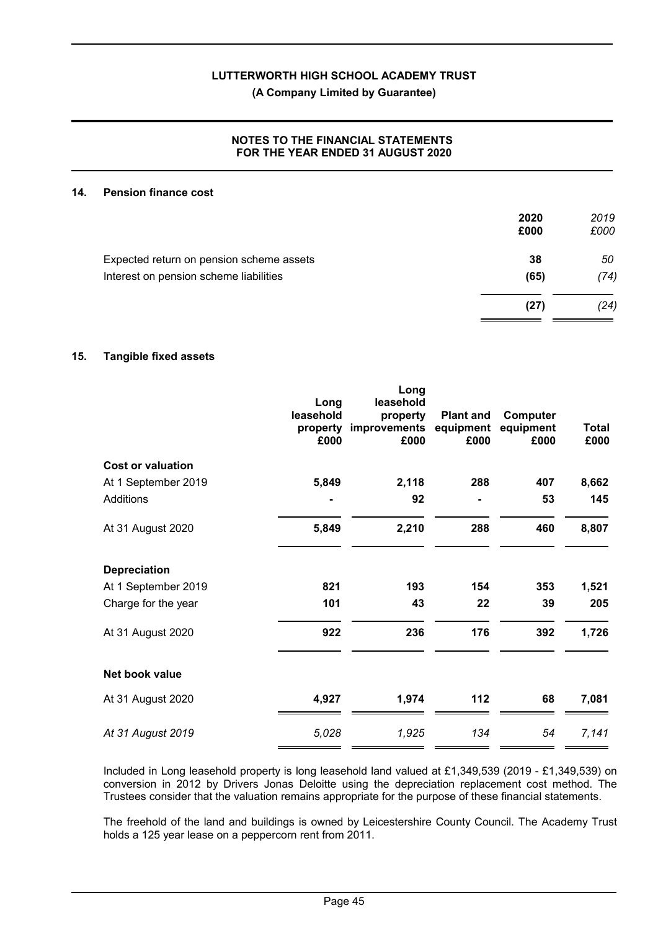**(A Company Limited by Guarantee)**

#### **NOTES TO THE FINANCIAL STATEMENTS FOR THE YEAR ENDED 31 AUGUST 2020**

#### **14. Pension finance cost**

|                                          | 2020<br>£000 | 2019<br>£000 |
|------------------------------------------|--------------|--------------|
| Expected return on pension scheme assets | 38           | 50           |
| Interest on pension scheme liabilities   | (65)         | (74)         |
|                                          | (27)         | (24)         |

#### **15. Tangible fixed assets**

|                          | Long<br>leasehold<br>property<br>£000 | Long<br>leasehold<br>property<br>improvements<br>£000 | <b>Plant and</b><br>equipment<br>£000 | Computer<br>equipment<br>£000 | <b>Total</b><br>£000 |
|--------------------------|---------------------------------------|-------------------------------------------------------|---------------------------------------|-------------------------------|----------------------|
| <b>Cost or valuation</b> |                                       |                                                       |                                       |                               |                      |
| At 1 September 2019      | 5,849                                 | 2,118                                                 | 288                                   | 407                           | 8,662                |
| Additions                |                                       | 92                                                    |                                       | 53                            | 145                  |
| At 31 August 2020        | 5,849                                 | 2,210                                                 | 288                                   | 460                           | 8,807                |
| <b>Depreciation</b>      |                                       |                                                       |                                       |                               |                      |
| At 1 September 2019      | 821                                   | 193                                                   | 154                                   | 353                           | 1,521                |
| Charge for the year      | 101                                   | 43                                                    | 22                                    | 39                            | 205                  |
| At 31 August 2020        | 922                                   | 236                                                   | 176                                   | 392                           | 1,726                |
| Net book value           |                                       |                                                       |                                       |                               |                      |
| At 31 August 2020        | 4,927                                 | 1,974                                                 | 112                                   | 68                            | 7,081                |
| At 31 August 2019        | 5,028                                 | 1,925                                                 | 134                                   | 54                            | 7,141                |
|                          |                                       |                                                       |                                       |                               |                      |

Included in Long leasehold property is long leasehold land valued at £1,349,539 (2019 - £1,349,539) on conversion in 2012 by Drivers Jonas Deloitte using the depreciation replacement cost method. The Trustees consider that the valuation remains appropriate for the purpose of these financial statements.

The freehold of the land and buildings is owned by Leicestershire County Council. The Academy Trust holds a 125 year lease on a peppercorn rent from 2011.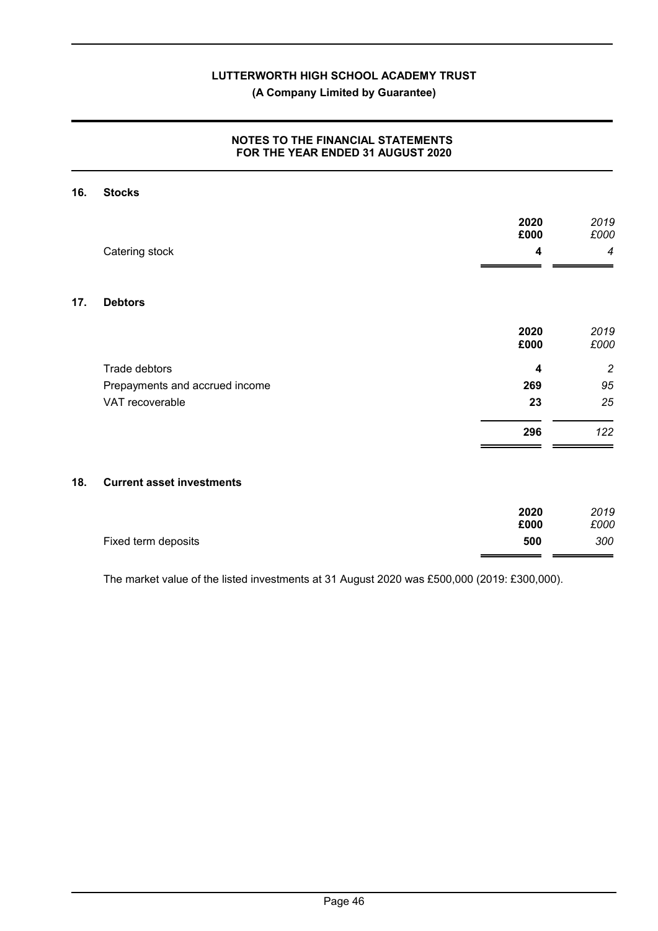### **(A Company Limited by Guarantee)**

#### **NOTES TO THE FINANCIAL STATEMENTS FOR THE YEAR ENDED 31 AUGUST 2020**

### **16. Stocks**

 $17.$ 

|     |                                  | 2020<br>£000 | 2019<br>£000   |
|-----|----------------------------------|--------------|----------------|
|     | Catering stock                   | 4            | 4              |
|     |                                  |              |                |
| 17. | <b>Debtors</b>                   |              |                |
|     |                                  | 2020<br>£000 | 2019<br>£000   |
|     | Trade debtors                    | 4            | $\overline{c}$ |
|     | Prepayments and accrued income   | 269          | 95             |
|     | VAT recoverable                  | 23           | 25             |
|     |                                  | 296          | 122            |
|     |                                  |              |                |
| 18. | <b>Current asset investments</b> |              |                |
|     |                                  |              |                |

|                     | 2020 | 2019 |
|---------------------|------|------|
|                     | £000 | £000 |
| Fixed term deposits | 500  | 300  |
|                     |      |      |

The market value of the listed investments at 31 August 2020 was £500,000 (2019: £300,000).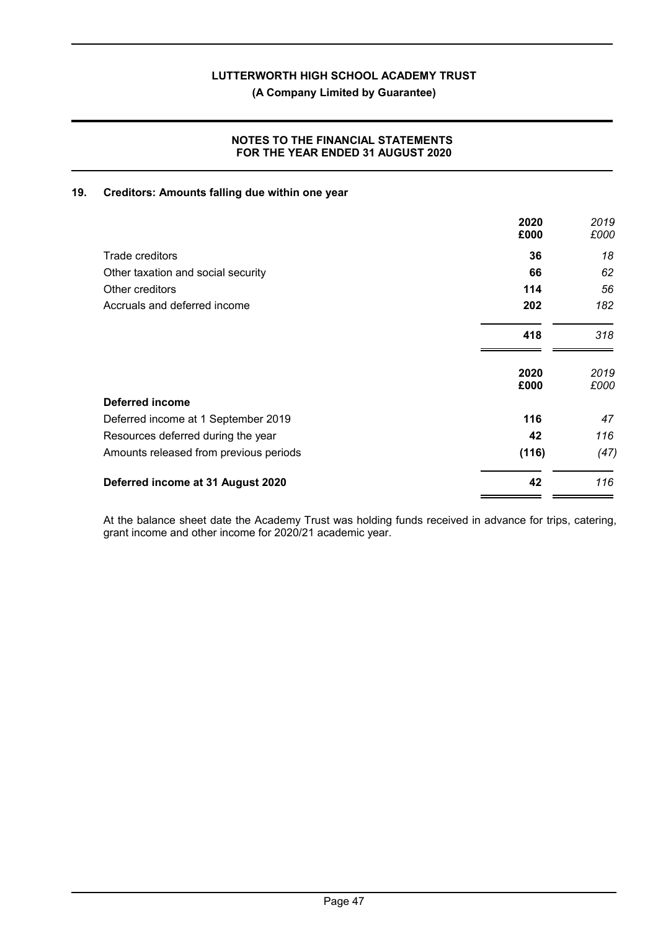**(A Company Limited by Guarantee)**

#### **NOTES TO THE FINANCIAL STATEMENTS FOR THE YEAR ENDED 31 AUGUST 2020**

#### **19. Creditors: Amounts falling due within one year**

|                                        | 2020<br>£000 | 2019<br>£000 |
|----------------------------------------|--------------|--------------|
| Trade creditors                        | 36           | 18           |
| Other taxation and social security     | 66           | 62           |
| Other creditors                        | 114          | 56           |
| Accruals and deferred income           | 202          | 182          |
|                                        | 418          | 318          |
|                                        | 2020<br>£000 | 2019<br>£000 |
| <b>Deferred income</b>                 |              |              |
| Deferred income at 1 September 2019    | 116          | 47           |
| Resources deferred during the year     | 42           | 116          |
| Amounts released from previous periods | (116)        | (47)         |
| Deferred income at 31 August 2020      | 42           | 116          |

At the balance sheet date the Academy Trust was holding funds received in advance for trips, catering, grant income and other income for 2020/21 academic year.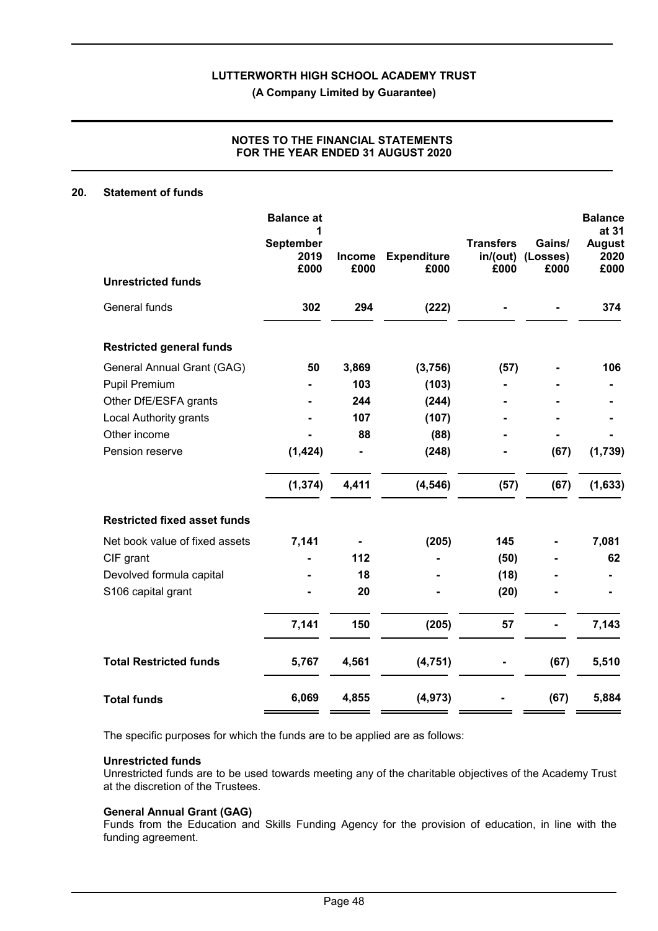**(A Company Limited by Guarantee)**

#### **NOTES TO THE FINANCIAL STATEMENTS FOR THE YEAR ENDED 31 AUGUST 2020**

#### **20. Statement of funds**

|                                     | <b>Balance</b> at         |                       |                            |                          |                                     | <b>Balance</b>                         |
|-------------------------------------|---------------------------|-----------------------|----------------------------|--------------------------|-------------------------------------|----------------------------------------|
|                                     | September<br>2019<br>£000 | <b>Income</b><br>£000 | <b>Expenditure</b><br>£000 | <b>Transfers</b><br>£000 | Gains/<br>in/(out) (Losses)<br>£000 | at 31<br><b>August</b><br>2020<br>£000 |
| <b>Unrestricted funds</b>           |                           |                       |                            |                          |                                     |                                        |
| General funds                       | 302                       | 294                   | (222)                      |                          |                                     | 374                                    |
| <b>Restricted general funds</b>     |                           |                       |                            |                          |                                     |                                        |
| General Annual Grant (GAG)          | 50                        | 3,869                 | (3,756)                    | (57)                     |                                     | 106                                    |
| Pupil Premium                       |                           | 103                   | (103)                      |                          |                                     |                                        |
| Other DfE/ESFA grants               |                           | 244                   | (244)                      |                          |                                     |                                        |
| <b>Local Authority grants</b>       |                           | 107                   | (107)                      |                          |                                     |                                        |
| Other income                        |                           | 88                    | (88)                       |                          |                                     |                                        |
| Pension reserve                     | (1, 424)                  |                       | (248)                      |                          | (67)                                | (1,739)                                |
|                                     | (1, 374)                  | 4,411                 | (4, 546)                   | (57)                     | (67)                                | (1,633)                                |
| <b>Restricted fixed asset funds</b> |                           |                       |                            |                          |                                     |                                        |
| Net book value of fixed assets      | 7,141                     |                       | (205)                      | 145                      |                                     | 7,081                                  |
| CIF grant                           |                           | 112                   |                            | (50)                     |                                     | 62                                     |
| Devolved formula capital            |                           | 18                    |                            | (18)                     |                                     |                                        |
| S106 capital grant                  |                           | 20                    |                            | (20)                     |                                     |                                        |
|                                     | 7,141                     | 150                   | (205)                      | 57                       |                                     | 7,143                                  |
| <b>Total Restricted funds</b>       | 5,767                     | 4,561                 | (4, 751)                   |                          | (67)                                | 5,510                                  |
| <b>Total funds</b>                  | 6,069                     | 4,855                 | (4, 973)                   |                          | (67)                                | 5,884                                  |

The specific purposes for which the funds are to be applied are as follows:

#### **Unrestricted funds**

Unrestricted funds are to be used towards meeting any of the charitable objectives of the Academy Trust at the discretion of the Trustees.

#### **General Annual Grant (GAG)**

Funds from the Education and Skills Funding Agency for the provision of education, in line with the funding agreement.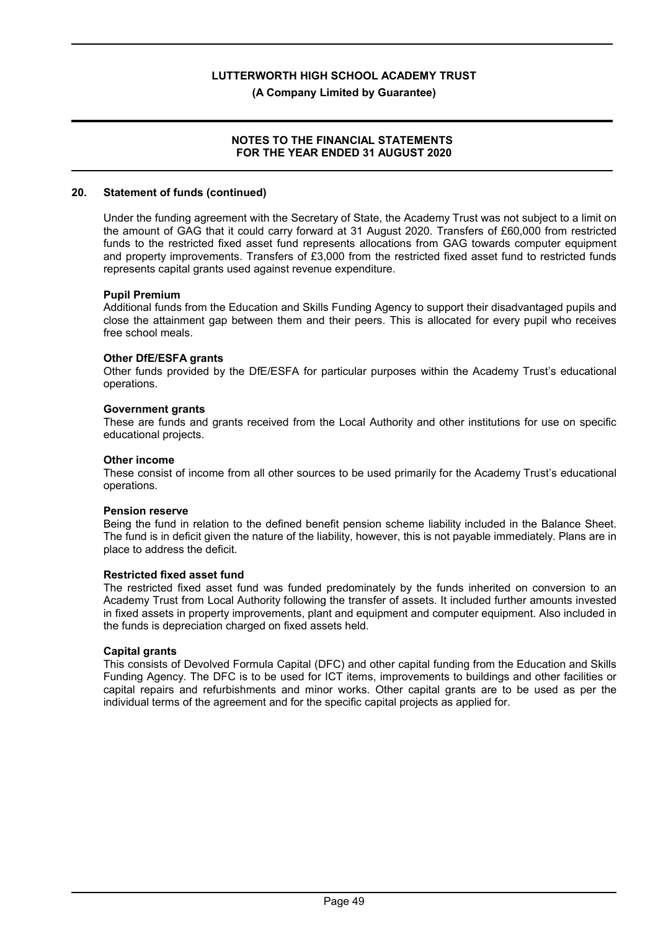**(A Company Limited by Guarantee)**

#### **NOTES TO THE FINANCIAL STATEMENTS FOR THE YEAR ENDED 31 AUGUST 2020**

#### **20. Statement of funds (continued)**

Under the funding agreement with the Secretary of State, the Academy Trust was not subject to a limit on the amount of GAG that it could carry forward at 31 August 2020. Transfers of £60,000 from restricted funds to the restricted fixed asset fund represents allocations from GAG towards computer equipment and property improvements. Transfers of £3,000 from the restricted fixed asset fund to restricted funds represents capital grants used against revenue expenditure.

#### **Pupil Premium**

Additional funds from the Education and Skills Funding Agency to support their disadvantaged pupils and close the attainment gap between them and their peers. This is allocated for every pupil who receives free school meals.

#### **Other DfE/ESFA grants**

Other funds provided by the DfE/ESFA for particular purposes within the Academy Trust's educational operations.

#### **Government grants**

These are funds and grants received from the Local Authority and other institutions for use on specific educational projects.

#### **Other income**

These consist of income from all other sources to be used primarily for the Academy Trust's educational operations.

#### **Pension reserve**

Being the fund in relation to the defined benefit pension scheme liability included in the Balance Sheet. The fund is in deficit given the nature of the liability, however, this is not payable immediately. Plans are in place to address the deficit.

#### **Restricted fixed asset fund**

The restricted fixed asset fund was funded predominately by the funds inherited on conversion to an Academy Trust from Local Authority following the transfer of assets. It included further amounts invested in fixed assets in property improvements, plant and equipment and computer equipment. Also included in the funds is depreciation charged on fixed assets held.

#### **Capital grants**

This consists of Devolved Formula Capital (DFC) and other capital funding from the Education and Skills Funding Agency. The DFC is to be used for ICT items, improvements to buildings and other facilities or capital repairs and refurbishments and minor works. Other capital grants are to be used as per the individual terms of the agreement and for the specific capital projects as applied for.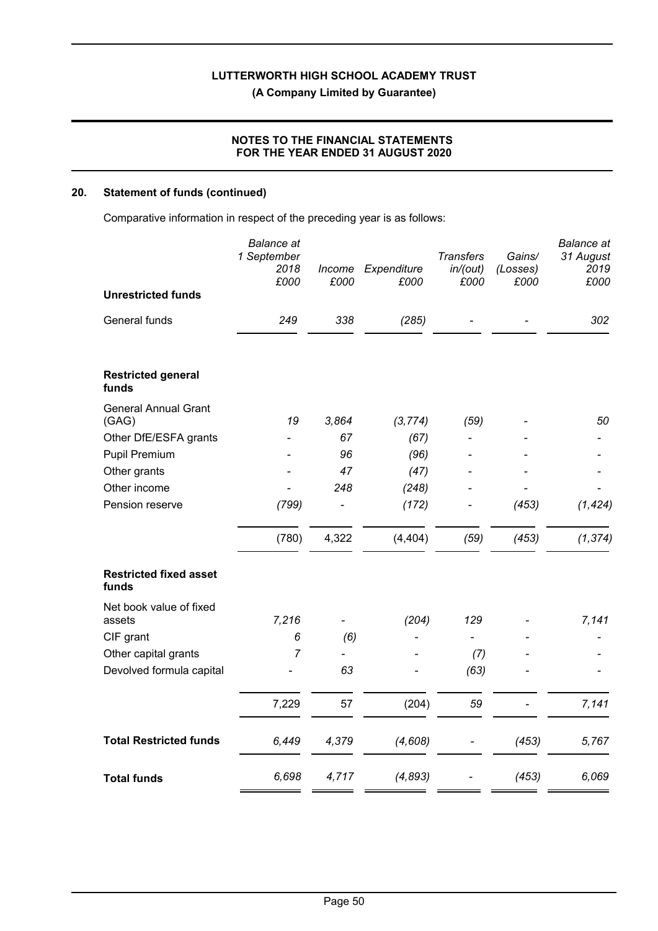**(A Company Limited by Guarantee)**

#### **NOTES TO THE FINANCIAL STATEMENTS FOR THE YEAR ENDED 31 AUGUST 2020**

#### **20. Statement of funds (continued)**

Comparative information in respect of the preceding year is as follows:

|                                        | <b>Balance</b> at<br>1 September<br>2018<br>£000 | Income<br>£000 | Expenditure<br>£000 | <b>Transfers</b><br>in/(out)<br>£000 | Gains/<br>(Losses)<br>£000 | <b>Balance</b> at<br>31 August<br>2019<br>£000 |
|----------------------------------------|--------------------------------------------------|----------------|---------------------|--------------------------------------|----------------------------|------------------------------------------------|
| <b>Unrestricted funds</b>              |                                                  |                |                     |                                      |                            |                                                |
| General funds                          | 249                                              | 338            | (285)               |                                      |                            | 302                                            |
| <b>Restricted general</b><br>funds     |                                                  |                |                     |                                      |                            |                                                |
| <b>General Annual Grant</b><br>(GAG)   | 19                                               | 3,864          | (3, 774)            | (59)                                 |                            | 50                                             |
| Other DfE/ESFA grants                  |                                                  | 67             | (67)                |                                      |                            |                                                |
| Pupil Premium                          |                                                  | 96             | (96)                |                                      |                            |                                                |
| Other grants                           |                                                  | 47             | (47)                |                                      |                            |                                                |
| Other income                           |                                                  | 248            | (248)               |                                      |                            |                                                |
| Pension reserve                        | (799)                                            |                | (172)               |                                      | (453)                      | (1, 424)                                       |
|                                        | (780)                                            | 4,322          | (4, 404)            | (59)                                 | (453)                      | (1, 374)                                       |
| <b>Restricted fixed asset</b><br>funds |                                                  |                |                     |                                      |                            |                                                |
| Net book value of fixed<br>assets      | 7,216                                            |                | (204)               | 129                                  |                            | 7,141                                          |
| CIF grant                              | 6                                                | (6)            |                     |                                      |                            |                                                |
| Other capital grants                   | $\overline{7}$                                   |                |                     | (7)                                  |                            |                                                |
| Devolved formula capital               |                                                  | 63             |                     | (63)                                 |                            |                                                |
|                                        | 7,229                                            | 57             | (204)               | 59                                   |                            | 7,141                                          |
| <b>Total Restricted funds</b>          | 6,449                                            | 4,379          | (4,608)             |                                      | (453)                      | 5,767                                          |
| <b>Total funds</b>                     | 6,698                                            | 4,717          | (4, 893)            |                                      | (453)                      | 6,069                                          |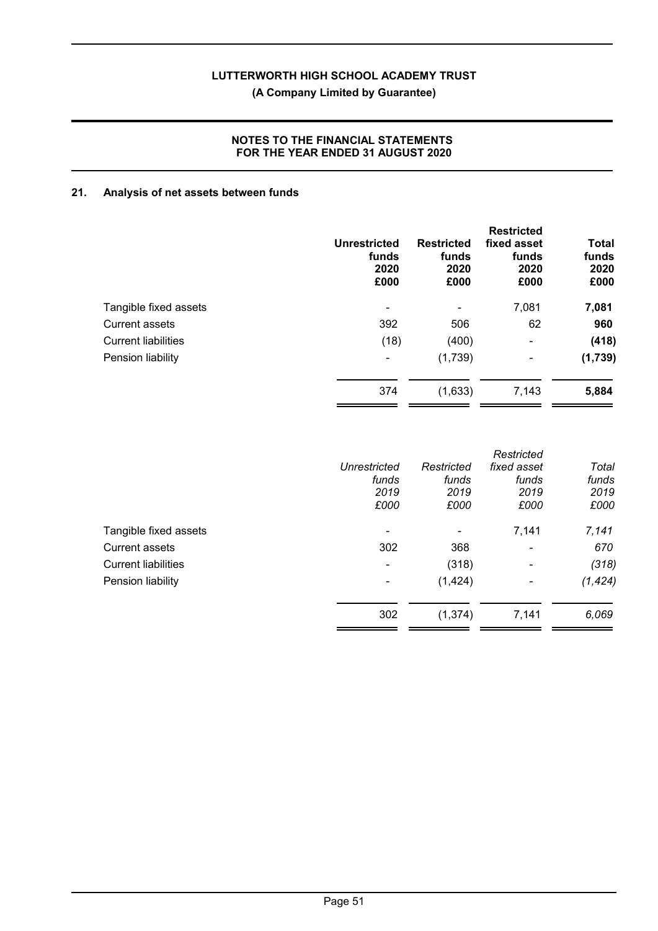## **(A Company Limited by Guarantee)**

#### **NOTES TO THE FINANCIAL STATEMENTS FOR THE YEAR ENDED 31 AUGUST 2020**

#### **21. Analysis of net assets between funds**

|                            | Unrestricted<br>funds<br>2020<br>£000 | <b>Restricted</b><br>funds<br>2020<br>£000 | <b>Restricted</b><br>fixed asset<br>funds<br>2020<br>£000 | Total<br>funds<br>2020<br>£000 |
|----------------------------|---------------------------------------|--------------------------------------------|-----------------------------------------------------------|--------------------------------|
| Tangible fixed assets      | ۰                                     | ۰                                          | 7,081                                                     | 7,081                          |
| <b>Current assets</b>      | 392                                   | 506                                        | 62                                                        | 960                            |
| <b>Current liabilities</b> | (18)                                  | (400)                                      | $\blacksquare$                                            | (418)                          |
| Pension liability          | $\blacksquare$                        | (1,739)                                    | $\blacksquare$                                            | (1,739)                        |
|                            | 374                                   | (1,633)                                    | 7,143                                                     | 5,884                          |

|              |            | Restricted               |          |
|--------------|------------|--------------------------|----------|
| Unrestricted | Restricted | fixed asset              | Total    |
| funds        | funds      | funds                    | funds    |
| 2019         | 2019       | 2019                     | 2019     |
| £000         | £000       | £000                     | £000     |
| -            | -          | 7,141                    | 7,141    |
| 302          | 368        | $\overline{\phantom{0}}$ | 670      |
| ۰            | (318)      | ۰                        | (318)    |
|              | (1, 424)   | ۰                        | (1, 424) |
| 302          | (1, 374)   | 7,141                    | 6,069    |
|              |            |                          |          |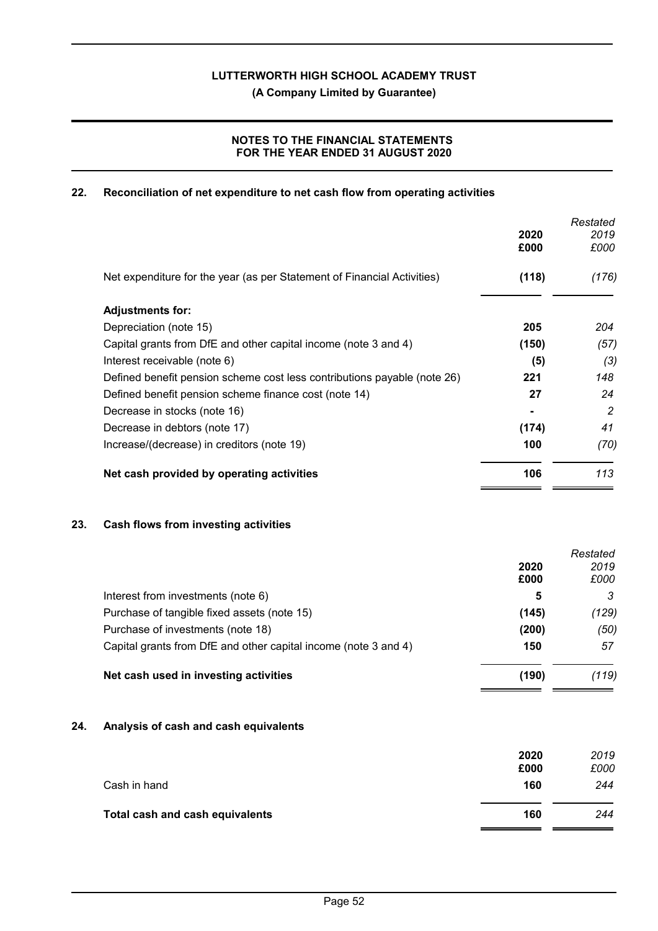**(A Company Limited by Guarantee)**

#### **NOTES TO THE FINANCIAL STATEMENTS FOR THE YEAR ENDED 31 AUGUST 2020**

#### **22. Reconciliation of net expenditure to net cash flow from operating activities**

|                                                                          |                | Restated |
|--------------------------------------------------------------------------|----------------|----------|
|                                                                          | 2020           | 2019     |
|                                                                          | £000           | £000     |
| Net expenditure for the year (as per Statement of Financial Activities)  | (118)          | (176)    |
| <b>Adjustments for:</b>                                                  |                |          |
| Depreciation (note 15)                                                   | 205            | 204      |
| Capital grants from DfE and other capital income (note 3 and 4)          | (150)          | (57)     |
| Interest receivable (note 6)                                             | (5)            | (3)      |
| Defined benefit pension scheme cost less contributions payable (note 26) | 221            | 148      |
| Defined benefit pension scheme finance cost (note 14)                    | 27             | 24       |
| Decrease in stocks (note 16)                                             | $\blacksquare$ | 2        |
| Decrease in debtors (note 17)                                            | (174)          | 41       |
| Increase/(decrease) in creditors (note 19)                               | 100            | (70)     |
| Net cash provided by operating activities                                | 106            | 113      |

#### **23. Cash flows from investing activities**

|                                                                 |       | Restated |
|-----------------------------------------------------------------|-------|----------|
|                                                                 | 2020  | 2019     |
|                                                                 | £000  | £000     |
| Interest from investments (note 6)                              | 5     | 3        |
| Purchase of tangible fixed assets (note 15)                     | (145) | (129)    |
| Purchase of investments (note 18)                               | (200) | (50)     |
| Capital grants from DfE and other capital income (note 3 and 4) | 150   | 57       |
| Net cash used in investing activities                           | (190) | (119)    |
|                                                                 |       |          |

#### **24. Analysis of cash and cash equivalents**

|                                 | 2020<br>£000 | 2019<br>£000 |
|---------------------------------|--------------|--------------|
| Cash in hand                    | 160          | 244          |
| Total cash and cash equivalents | 160          | 244          |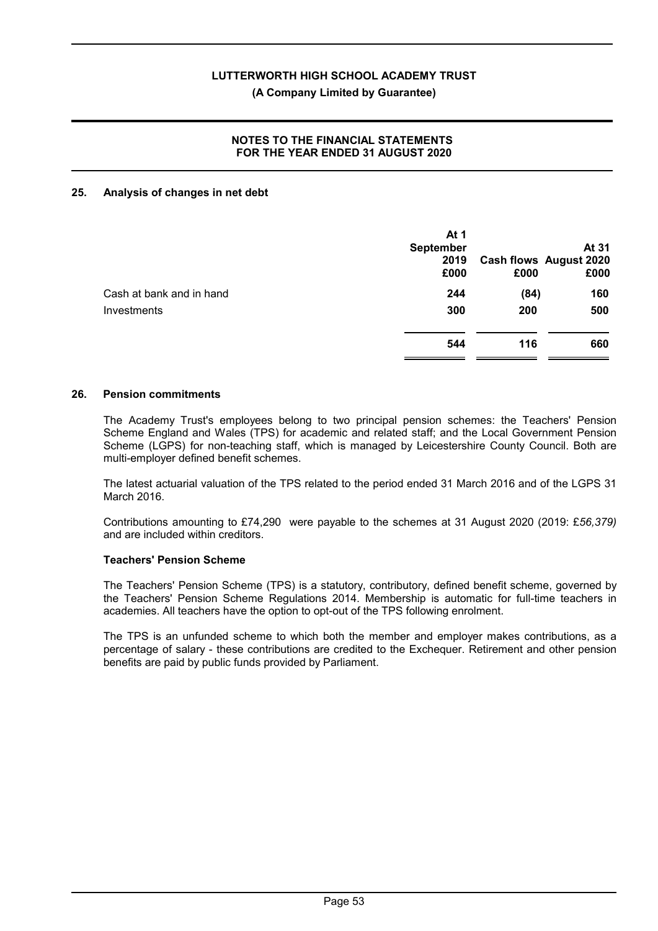#### **(A Company Limited by Guarantee)**

#### **NOTES TO THE FINANCIAL STATEMENTS FOR THE YEAR ENDED 31 AUGUST 2020**

#### **25. Analysis of changes in net debt**

|                          | At 1<br><b>September</b><br>2019<br>£000 | £000 | At 31<br><b>Cash flows August 2020</b><br>£000 |
|--------------------------|------------------------------------------|------|------------------------------------------------|
| Cash at bank and in hand | 244                                      | (84) | 160                                            |
| Investments              | 300                                      | 200  | 500                                            |
|                          | 544                                      | 116  | 660                                            |

#### **26. Pension commitments**

The Academy Trust's employees belong to two principal pension schemes: the Teachers' Pension Scheme England and Wales (TPS) for academic and related staff; and the Local Government Pension Scheme (LGPS) for non-teaching staff, which is managed by Leicestershire County Council. Both are multi-employer defined benefit schemes.

The latest actuarial valuation of the TPS related to the period ended 31 March 2016 and of the LGPS 31 March 2016.

Contributions amounting to £74,290 were payable to the schemes at 31 August 2020 (2019: £*56,379)* and are included within creditors.

#### **Teachers' Pension Scheme**

The Teachers' Pension Scheme (TPS) is a statutory, contributory, defined benefit scheme, governed by the Teachers' Pension Scheme Regulations 2014. Membership is automatic for full-time teachers in academies. All teachers have the option to opt-out of the TPS following enrolment.

The TPS is an unfunded scheme to which both the member and employer makes contributions, as a percentage of salary - these contributions are credited to the Exchequer. Retirement and other pension benefits are paid by public funds provided by Parliament.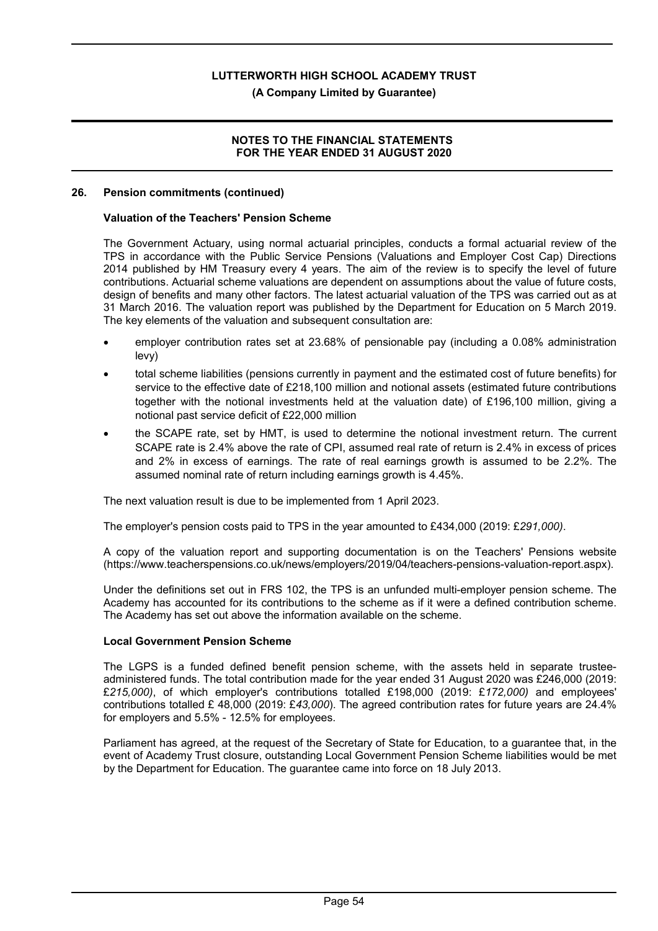#### **(A Company Limited by Guarantee)**

#### **NOTES TO THE FINANCIAL STATEMENTS FOR THE YEAR ENDED 31 AUGUST 2020**

#### **26. Pension commitments (continued)**

#### **Valuation of the Teachers' Pension Scheme**

The Government Actuary, using normal actuarial principles, conducts a formal actuarial review of the TPS in accordance with the Public Service Pensions (Valuations and Employer Cost Cap) Directions 2014 published by HM Treasury every 4 years. The aim of the review is to specify the level of future contributions. Actuarial scheme valuations are dependent on assumptions about the value of future costs, design of benefits and many other factors. The latest actuarial valuation of the TPS was carried out as at 31 March 2016. The valuation report was published by the Department for Education on 5 March 2019. The key elements of the valuation and subsequent consultation are:

- employer contribution rates set at 23.68% of pensionable pay (including a 0.08% administration levy)
- total scheme liabilities (pensions currently in payment and the estimated cost of future benefits) for service to the effective date of £218,100 million and notional assets (estimated future contributions together with the notional investments held at the valuation date) of £196,100 million, giving a notional past service deficit of £22,000 million
- the SCAPE rate, set by HMT, is used to determine the notional investment return. The current SCAPE rate is 2.4% above the rate of CPI, assumed real rate of return is 2.4% in excess of prices and 2% in excess of earnings. The rate of real earnings growth is assumed to be 2.2%. The assumed nominal rate of return including earnings growth is 4.45%.

The next valuation result is due to be implemented from 1 April 2023.

The employer's pension costs paid to TPS in the year amounted to £434,000 (2019: £*291,000)*.

A copy of the valuation report and supporting documentation is on the Teachers' Pensions website (https://www.teacherspensions.co.uk/news/employers/2019/04/teachers-pensions-valuation-report.aspx).

Under the definitions set out in FRS 102, the TPS is an unfunded multi-employer pension scheme. The Academy has accounted for its contributions to the scheme as if it were a defined contribution scheme. The Academy has set out above the information available on the scheme.

#### **Local Government Pension Scheme**

The LGPS is a funded defined benefit pension scheme, with the assets held in separate trusteeadministered funds. The total contribution made for the year ended 31 August 2020 was £246,000 (2019: £*215,000)*, of which employer's contributions totalled £198,000 (2019: £*172,000)* and employees' contributions totalled £ 48,000 (2019: £*43,000*). The agreed contribution rates for future years are 24.4% for employers and 5.5% - 12.5% for employees.

Parliament has agreed, at the request of the Secretary of State for Education, to a guarantee that, in the event of Academy Trust closure, outstanding Local Government Pension Scheme liabilities would be met by the Department for Education. The guarantee came into force on 18 July 2013.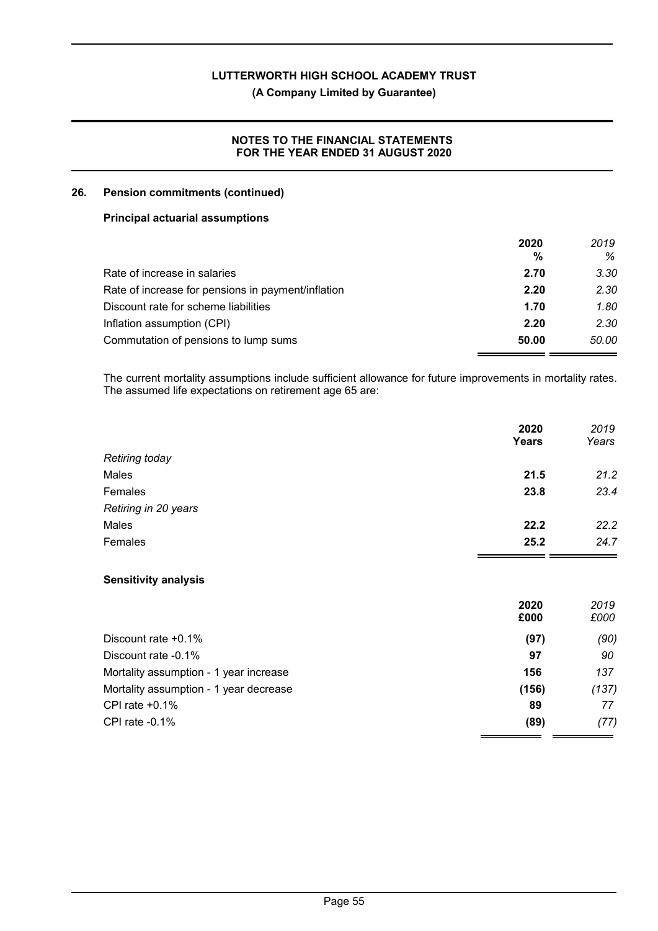#### **(A Company Limited by Guarantee)**

#### **NOTES TO THE FINANCIAL STATEMENTS FOR THE YEAR ENDED 31 AUGUST 2020**

#### **26. Pension commitments (continued)**

#### **Principal actuarial assumptions**

|                                                    | 2020  | 2019  |
|----------------------------------------------------|-------|-------|
|                                                    | %     | ℅     |
| Rate of increase in salaries                       | 2.70  | 3.30  |
| Rate of increase for pensions in payment/inflation | 2.20  | 2.30  |
| Discount rate for scheme liabilities               | 1.70  | 1.80  |
| Inflation assumption (CPI)                         | 2.20  | 2.30  |
| Commutation of pensions to lump sums               | 50.00 | 50.00 |

The current mortality assumptions include sufficient allowance for future improvements in mortality rates. The assumed life expectations on retirement age 65 are:

|                      | 2020<br>Years | 2019<br>Years |
|----------------------|---------------|---------------|
| Retiring today       |               |               |
| Males                | 21.5          | 21.2          |
| Females              | 23.8          | 23.4          |
| Retiring in 20 years |               |               |
| Males                | 22.2          | 22.2          |
| Females              | 25.2          | 24.7          |

#### **Sensitivity analysis**

|                                        | 2020<br>£000 | 2019<br>£000 |
|----------------------------------------|--------------|--------------|
| Discount rate $+0.1\%$                 | (97)         | (90)         |
| Discount rate -0.1%                    | 97           | 90           |
| Mortality assumption - 1 year increase | 156          | 137          |
| Mortality assumption - 1 year decrease | (156)        | (137)        |
| CPI rate $+0.1\%$                      | 89           | 77           |
| CPI rate $-0.1\%$                      | (89)         | (77)         |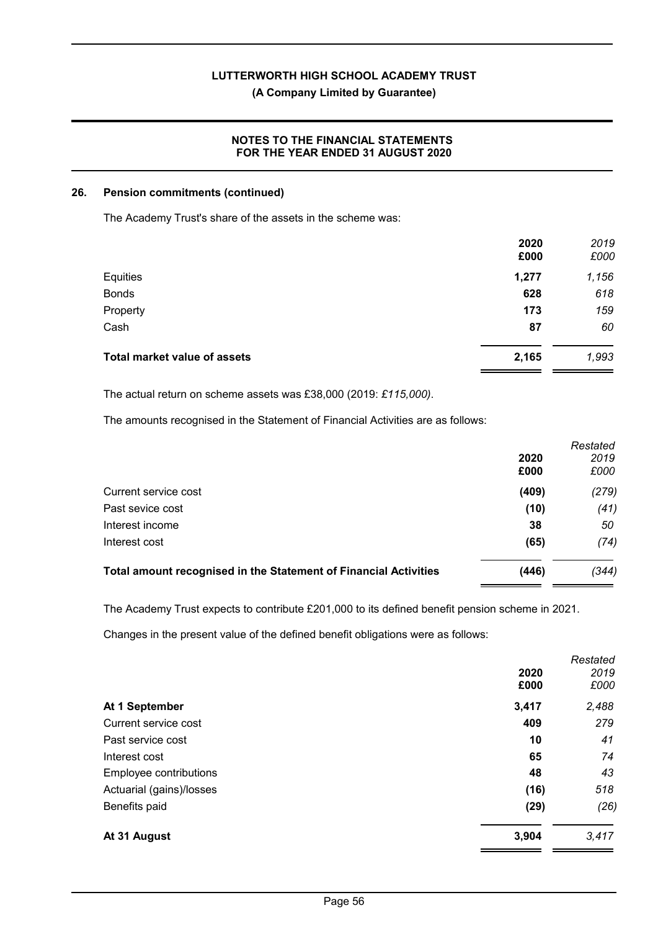#### **(A Company Limited by Guarantee)**

#### **NOTES TO THE FINANCIAL STATEMENTS FOR THE YEAR ENDED 31 AUGUST 2020**

#### **26. Pension commitments (continued)**

The Academy Trust's share of the assets in the scheme was:

|                                     | 2020<br>£000 | 2019<br>£000 |
|-------------------------------------|--------------|--------------|
| Equities                            | 1,277        | 1,156        |
| <b>Bonds</b>                        | 628          | 618          |
| Property                            | 173          | 159          |
| Cash                                | 87           | 60           |
| <b>Total market value of assets</b> | 2,165        | 1,993        |

The actual return on scheme assets was £38,000 (2019: *£115,000)*.

The amounts recognised in the Statement of Financial Activities are as follows:

|                                                                  |       | Restated |
|------------------------------------------------------------------|-------|----------|
|                                                                  | 2020  | 2019     |
|                                                                  | £000  | £000     |
| Current service cost                                             | (409) | (279)    |
| Past sevice cost                                                 | (10)  | (41)     |
| Interest income                                                  | 38    | 50       |
| Interest cost                                                    | (65)  | (74)     |
| Total amount recognised in the Statement of Financial Activities | (446) | (344)    |
|                                                                  |       |          |

The Academy Trust expects to contribute £201,000 to its defined benefit pension scheme in 2021.

Changes in the present value of the defined benefit obligations were as follows:

|                          |       | Restated |
|--------------------------|-------|----------|
|                          | 2020  | 2019     |
|                          | £000  | £000     |
| At 1 September           | 3,417 | 2,488    |
| Current service cost     | 409   | 279      |
| Past service cost        | 10    | 41       |
| Interest cost            | 65    | 74       |
| Employee contributions   | 48    | 43       |
| Actuarial (gains)/losses | (16)  | 518      |
| Benefits paid            | (29)  | (26)     |
| At 31 August             | 3,904 | 3,417    |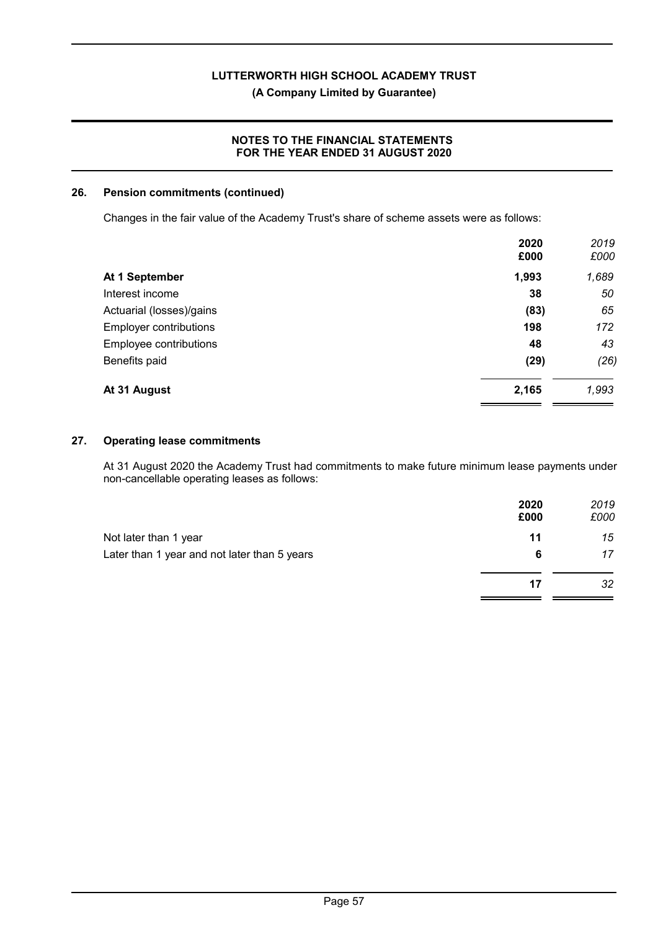**(A Company Limited by Guarantee)**

#### **NOTES TO THE FINANCIAL STATEMENTS FOR THE YEAR ENDED 31 AUGUST 2020**

#### **26. Pension commitments (continued)**

Changes in the fair value of the Academy Trust's share of scheme assets were as follows:

|                               | 2020<br>£000 | 2019<br>£000 |
|-------------------------------|--------------|--------------|
| At 1 September                | 1,993        | 1,689        |
| Interest income               | 38           | 50           |
| Actuarial (losses)/gains      | (83)         | 65           |
| <b>Employer contributions</b> | 198          | 172          |
| Employee contributions        | 48           | 43           |
| Benefits paid                 | (29)         | (26)         |
| At 31 August                  | 2,165        | 1,993        |

#### **27. Operating lease commitments**

At 31 August 2020 the Academy Trust had commitments to make future minimum lease payments under non-cancellable operating leases as follows:

|                                              | 2020<br>£000 | 2019<br>£000 |
|----------------------------------------------|--------------|--------------|
| Not later than 1 year                        | 11           | 15           |
| Later than 1 year and not later than 5 years | 6            | 17           |
|                                              | 17           | 32           |